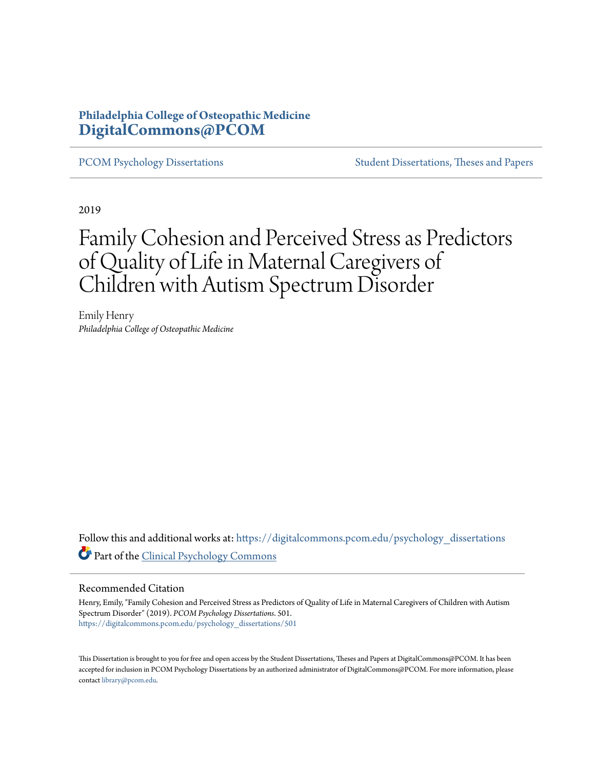## **Philadelphia College of Osteopathic Medicine [DigitalCommons@PCOM](https://digitalcommons.pcom.edu?utm_source=digitalcommons.pcom.edu%2Fpsychology_dissertations%2F501&utm_medium=PDF&utm_campaign=PDFCoverPages)**

[PCOM Psychology Dissertations](https://digitalcommons.pcom.edu/psychology_dissertations?utm_source=digitalcommons.pcom.edu%2Fpsychology_dissertations%2F501&utm_medium=PDF&utm_campaign=PDFCoverPages) [Student Dissertations, Theses and Papers](https://digitalcommons.pcom.edu/etds?utm_source=digitalcommons.pcom.edu%2Fpsychology_dissertations%2F501&utm_medium=PDF&utm_campaign=PDFCoverPages)

2019

# Family Cohesion and Perceived Stress as Predictors of Quality of Life in Maternal Caregivers of Children with Autism Spectrum Disorder

Emily Henry *Philadelphia College of Osteopathic Medicine*

Follow this and additional works at: [https://digitalcommons.pcom.edu/psychology\\_dissertations](https://digitalcommons.pcom.edu/psychology_dissertations?utm_source=digitalcommons.pcom.edu%2Fpsychology_dissertations%2F501&utm_medium=PDF&utm_campaign=PDFCoverPages) Part of the [Clinical Psychology Commons](http://network.bepress.com/hgg/discipline/406?utm_source=digitalcommons.pcom.edu%2Fpsychology_dissertations%2F501&utm_medium=PDF&utm_campaign=PDFCoverPages)

#### Recommended Citation

Henry, Emily, "Family Cohesion and Perceived Stress as Predictors of Quality of Life in Maternal Caregivers of Children with Autism Spectrum Disorder" (2019). *PCOM Psychology Dissertations*. 501. [https://digitalcommons.pcom.edu/psychology\\_dissertations/501](https://digitalcommons.pcom.edu/psychology_dissertations/501?utm_source=digitalcommons.pcom.edu%2Fpsychology_dissertations%2F501&utm_medium=PDF&utm_campaign=PDFCoverPages)

This Dissertation is brought to you for free and open access by the Student Dissertations, Theses and Papers at DigitalCommons@PCOM. It has been accepted for inclusion in PCOM Psychology Dissertations by an authorized administrator of DigitalCommons@PCOM. For more information, please contact [library@pcom.edu.](mailto:library@pcom.edu)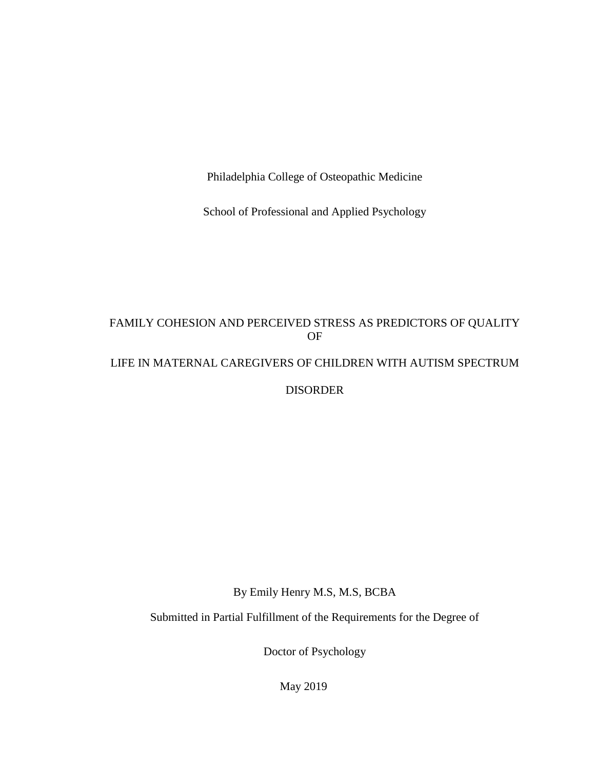Philadelphia College of Osteopathic Medicine

School of Professional and Applied Psychology

## FAMILY COHESION AND PERCEIVED STRESS AS PREDICTORS OF QUALITY OF

## LIFE IN MATERNAL CAREGIVERS OF CHILDREN WITH AUTISM SPECTRUM

DISORDER

By Emily Henry M.S, M.S, BCBA

Submitted in Partial Fulfillment of the Requirements for the Degree of

Doctor of Psychology

May 2019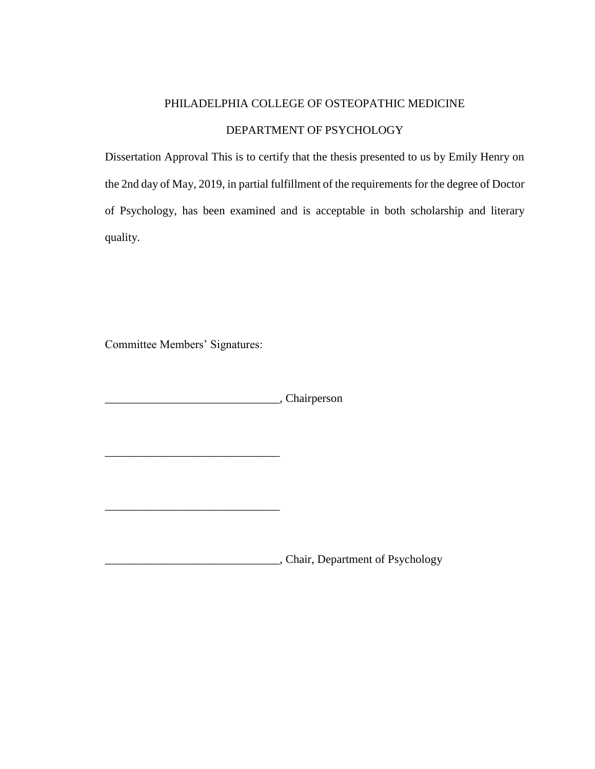## PHILADELPHIA COLLEGE OF OSTEOPATHIC MEDICINE DEPARTMENT OF PSYCHOLOGY

Dissertation Approval This is to certify that the thesis presented to us by Emily Henry on the 2nd day of May, 2019, in partial fulfillment of the requirements for the degree of Doctor of Psychology, has been examined and is acceptable in both scholarship and literary quality.

Committee Members' Signatures:

 $\mathcal{L}_\text{max}$  and  $\mathcal{L}_\text{max}$  and  $\mathcal{L}_\text{max}$  and  $\mathcal{L}_\text{max}$ 

\_\_\_\_\_\_\_\_\_\_\_\_\_\_\_\_\_\_\_\_\_\_\_\_\_\_\_\_\_\_, Chairperson

\_\_\_\_\_\_\_\_\_\_\_\_\_\_\_\_\_\_\_\_\_\_\_\_\_\_\_\_\_\_, Chair, Department of Psychology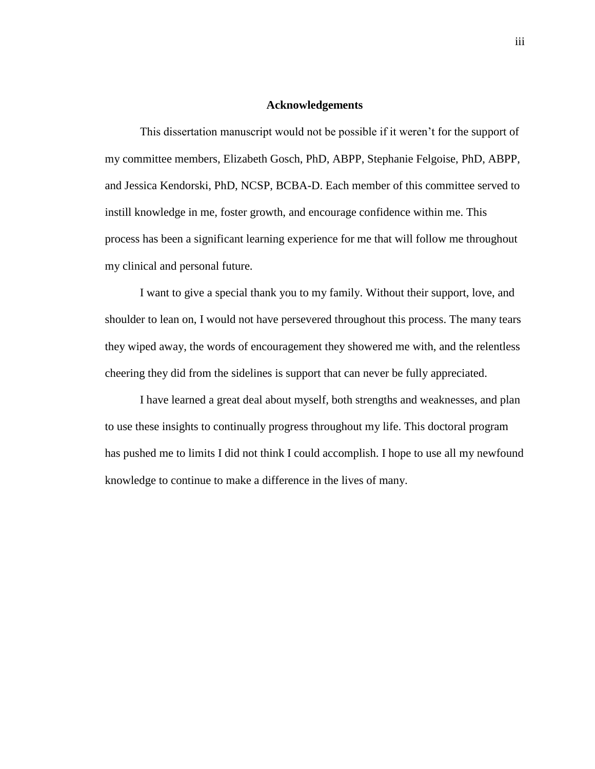#### **Acknowledgements**

This dissertation manuscript would not be possible if it weren't for the support of my committee members, Elizabeth Gosch, PhD, ABPP, Stephanie Felgoise, PhD, ABPP, and Jessica Kendorski, PhD, NCSP, BCBA-D. Each member of this committee served to instill knowledge in me, foster growth, and encourage confidence within me. This process has been a significant learning experience for me that will follow me throughout my clinical and personal future.

I want to give a special thank you to my family. Without their support, love, and shoulder to lean on, I would not have persevered throughout this process. The many tears they wiped away, the words of encouragement they showered me with, and the relentless cheering they did from the sidelines is support that can never be fully appreciated.

I have learned a great deal about myself, both strengths and weaknesses, and plan to use these insights to continually progress throughout my life. This doctoral program has pushed me to limits I did not think I could accomplish. I hope to use all my newfound knowledge to continue to make a difference in the lives of many.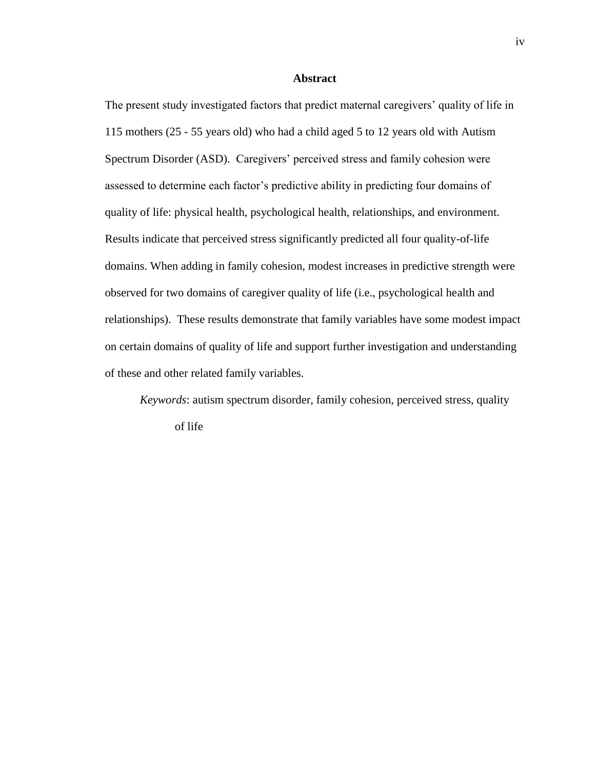#### **Abstract**

The present study investigated factors that predict maternal caregivers' quality of life in 115 mothers (25 - 55 years old) who had a child aged 5 to 12 years old with Autism Spectrum Disorder (ASD). Caregivers' perceived stress and family cohesion were assessed to determine each factor's predictive ability in predicting four domains of quality of life: physical health, psychological health, relationships, and environment. Results indicate that perceived stress significantly predicted all four quality-of-life domains. When adding in family cohesion, modest increases in predictive strength were observed for two domains of caregiver quality of life (i.e., psychological health and relationships). These results demonstrate that family variables have some modest impact on certain domains of quality of life and support further investigation and understanding of these and other related family variables.

*Keywords*: autism spectrum disorder, family cohesion, perceived stress, quality of life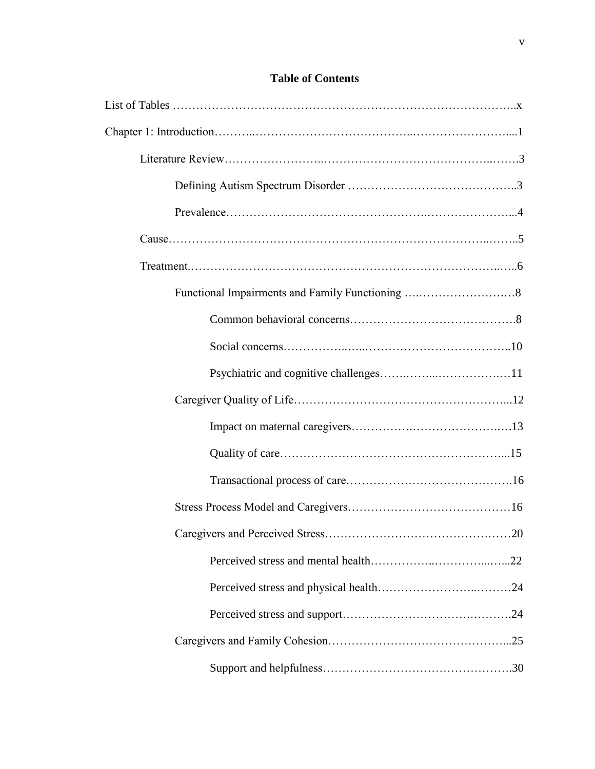| . 20 |
|------|
|      |
|      |
|      |
|      |
|      |

### **Table of Contents**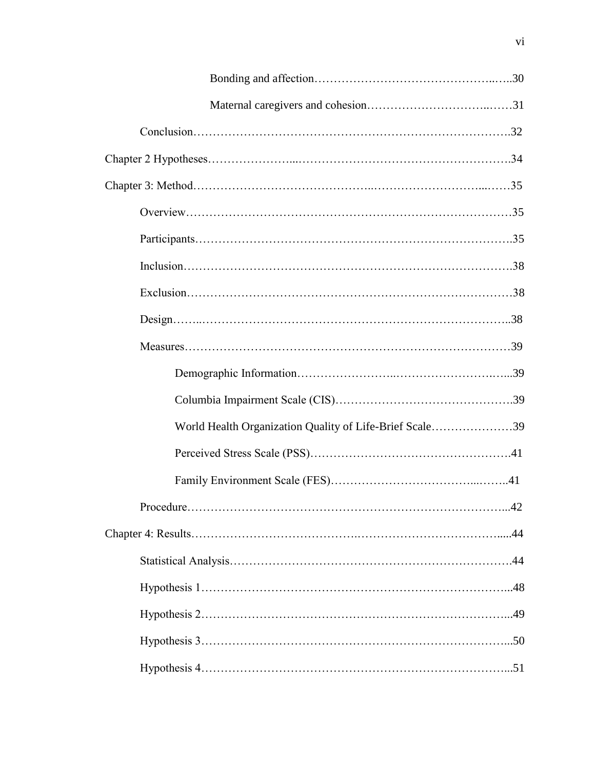| World Health Organization Quality of Life-Brief Scale39 |  |
|---------------------------------------------------------|--|
|                                                         |  |
|                                                         |  |
|                                                         |  |
|                                                         |  |
|                                                         |  |
|                                                         |  |
|                                                         |  |
|                                                         |  |
|                                                         |  |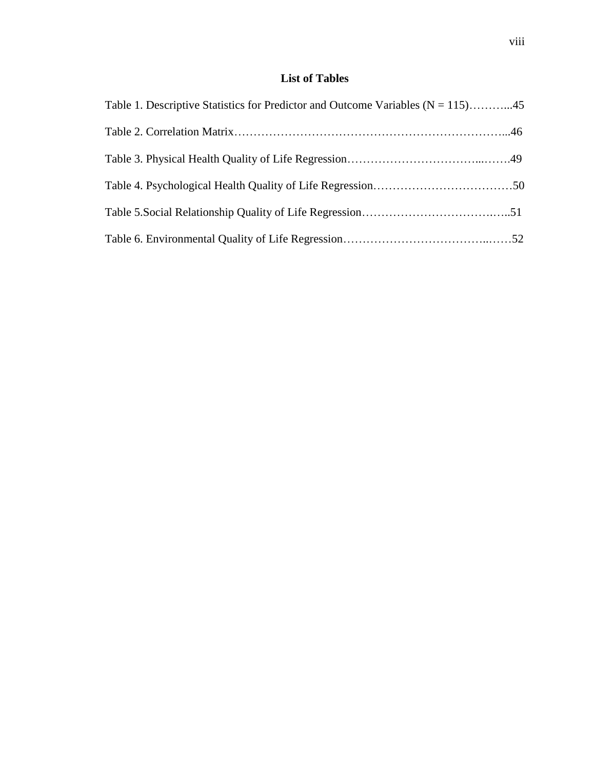## **List of Tables**

| Table 1. Descriptive Statistics for Predictor and Outcome Variables $(N = 115)$ 45 |  |
|------------------------------------------------------------------------------------|--|
|                                                                                    |  |
|                                                                                    |  |
|                                                                                    |  |
|                                                                                    |  |
|                                                                                    |  |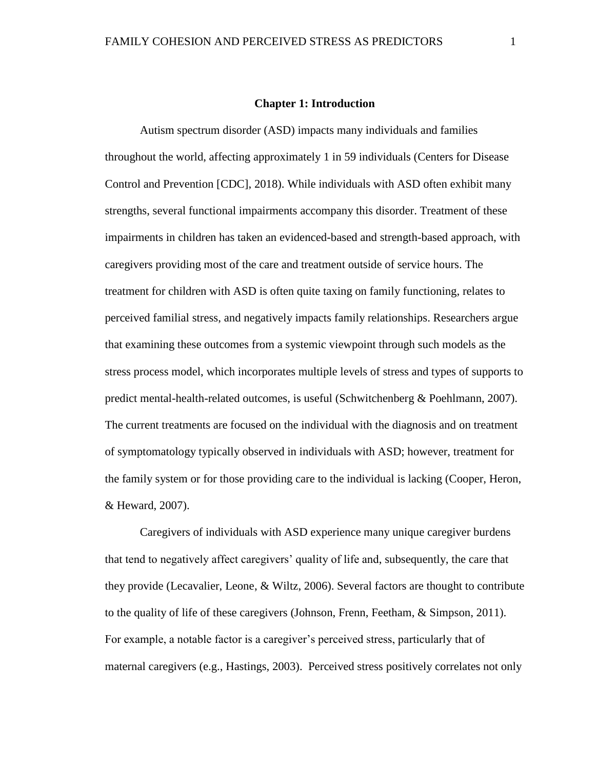#### **Chapter 1: Introduction**

Autism spectrum disorder (ASD) impacts many individuals and families throughout the world, affecting approximately 1 in 59 individuals (Centers for Disease Control and Prevention [CDC], 2018). While individuals with ASD often exhibit many strengths, several functional impairments accompany this disorder. Treatment of these impairments in children has taken an evidenced-based and strength-based approach, with caregivers providing most of the care and treatment outside of service hours. The treatment for children with ASD is often quite taxing on family functioning, relates to perceived familial stress, and negatively impacts family relationships. Researchers argue that examining these outcomes from a systemic viewpoint through such models as the stress process model, which incorporates multiple levels of stress and types of supports to predict mental-health-related outcomes, is useful (Schwitchenberg & Poehlmann, 2007). The current treatments are focused on the individual with the diagnosis and on treatment of symptomatology typically observed in individuals with ASD; however, treatment for the family system or for those providing care to the individual is lacking (Cooper, Heron, & Heward, 2007).

Caregivers of individuals with ASD experience many unique caregiver burdens that tend to negatively affect caregivers' quality of life and, subsequently, the care that they provide (Lecavalier, Leone, & Wiltz, 2006). Several factors are thought to contribute to the quality of life of these caregivers (Johnson, Frenn, Feetham, & Simpson, 2011). For example, a notable factor is a caregiver's perceived stress, particularly that of maternal caregivers (e.g., Hastings, 2003). Perceived stress positively correlates not only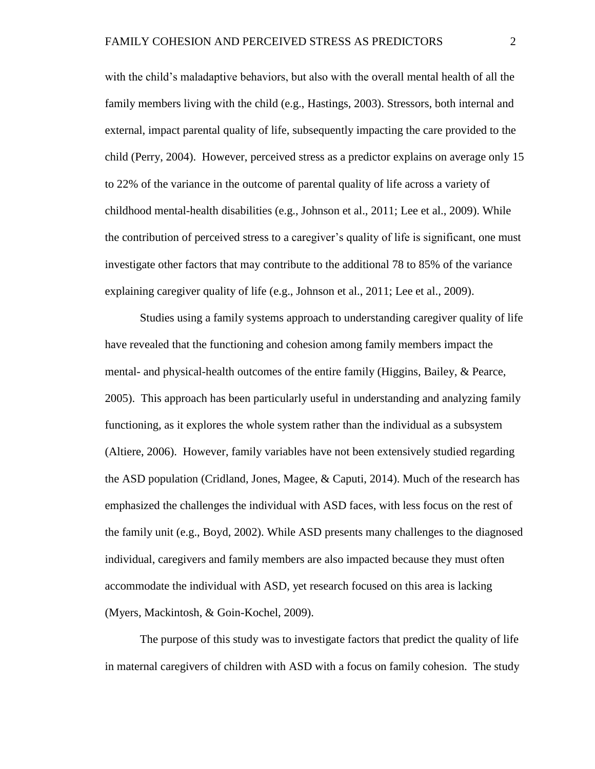with the child's maladaptive behaviors, but also with the overall mental health of all the family members living with the child (e.g., Hastings, 2003). Stressors, both internal and external, impact parental quality of life, subsequently impacting the care provided to the child (Perry, 2004). However, perceived stress as a predictor explains on average only 15 to 22% of the variance in the outcome of parental quality of life across a variety of childhood mental-health disabilities (e.g., Johnson et al., 2011; Lee et al., 2009). While the contribution of perceived stress to a caregiver's quality of life is significant, one must investigate other factors that may contribute to the additional 78 to 85% of the variance explaining caregiver quality of life (e.g., Johnson et al., 2011; Lee et al., 2009).

Studies using a family systems approach to understanding caregiver quality of life have revealed that the functioning and cohesion among family members impact the mental- and physical-health outcomes of the entire family (Higgins, Bailey, & Pearce, 2005). This approach has been particularly useful in understanding and analyzing family functioning, as it explores the whole system rather than the individual as a subsystem (Altiere, 2006). However, family variables have not been extensively studied regarding the ASD population (Cridland, Jones, Magee, & Caputi, 2014). Much of the research has emphasized the challenges the individual with ASD faces, with less focus on the rest of the family unit (e.g., Boyd, 2002). While ASD presents many challenges to the diagnosed individual, caregivers and family members are also impacted because they must often accommodate the individual with ASD, yet research focused on this area is lacking (Myers, Mackintosh, & Goin-Kochel, 2009).

The purpose of this study was to investigate factors that predict the quality of life in maternal caregivers of children with ASD with a focus on family cohesion. The study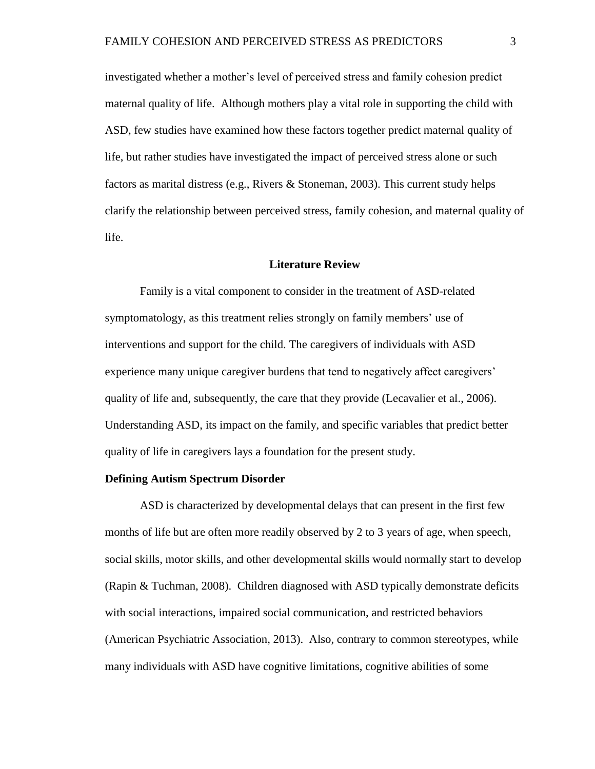investigated whether a mother's level of perceived stress and family cohesion predict maternal quality of life. Although mothers play a vital role in supporting the child with ASD, few studies have examined how these factors together predict maternal quality of life, but rather studies have investigated the impact of perceived stress alone or such factors as marital distress (e.g., Rivers & Stoneman, 2003). This current study helps clarify the relationship between perceived stress, family cohesion, and maternal quality of life.

#### **Literature Review**

Family is a vital component to consider in the treatment of ASD-related symptomatology, as this treatment relies strongly on family members' use of interventions and support for the child. The caregivers of individuals with ASD experience many unique caregiver burdens that tend to negatively affect caregivers' quality of life and, subsequently, the care that they provide (Lecavalier et al., 2006). Understanding ASD, its impact on the family, and specific variables that predict better quality of life in caregivers lays a foundation for the present study.

#### **Defining Autism Spectrum Disorder**

ASD is characterized by developmental delays that can present in the first few months of life but are often more readily observed by 2 to 3 years of age, when speech, social skills, motor skills, and other developmental skills would normally start to develop (Rapin & Tuchman, 2008). Children diagnosed with ASD typically demonstrate deficits with social interactions, impaired social communication, and restricted behaviors (American Psychiatric Association, 2013). Also, contrary to common stereotypes, while many individuals with ASD have cognitive limitations, cognitive abilities of some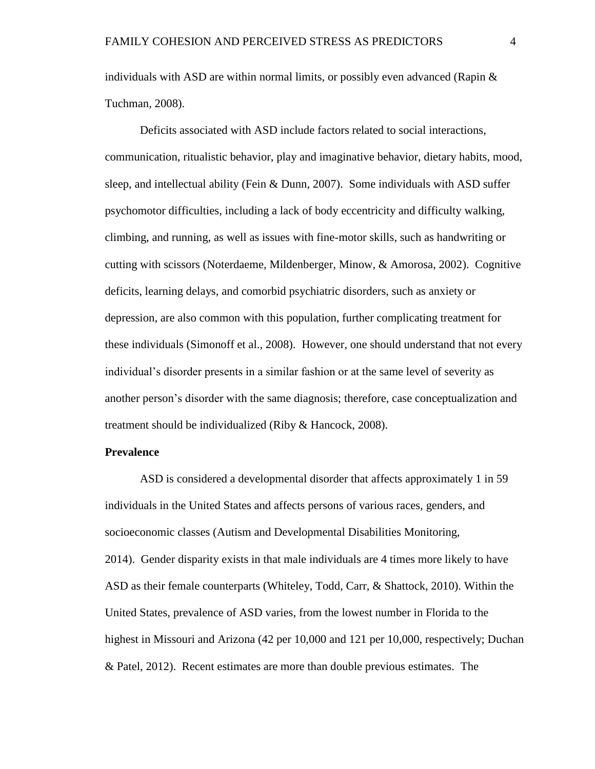individuals with ASD are within normal limits, or possibly even advanced (Rapin  $\&$ Tuchman, 2008).

Deficits associated with ASD include factors related to social interactions, communication, ritualistic behavior, play and imaginative behavior, dietary habits, mood, sleep, and intellectual ability (Fein & Dunn, 2007). Some individuals with ASD suffer psychomotor difficulties, including a lack of body eccentricity and difficulty walking, climbing, and running, as well as issues with fine-motor skills, such as handwriting or cutting with scissors (Noterdaeme, Mildenberger, Minow, & Amorosa, 2002). Cognitive deficits, learning delays, and comorbid psychiatric disorders, such as anxiety or depression, are also common with this population, further complicating treatment for these individuals (Simonoff et al., 2008). However, one should understand that not every individual's disorder presents in a similar fashion or at the same level of severity as another person's disorder with the same diagnosis; therefore, case conceptualization and treatment should be individualized (Riby & Hancock, 2008).

#### **Prevalence**

ASD is considered a developmental disorder that affects approximately 1 in 59 individuals in the United States and affects persons of various races, genders, and socioeconomic classes (Autism and Developmental Disabilities Monitoring, 2014). Gender disparity exists in that male individuals are 4 times more likely to have ASD as their female counterparts (Whiteley, Todd, Carr, & Shattock, 2010). Within the United States, prevalence of ASD varies, from the lowest number in Florida to the highest in Missouri and Arizona (42 per 10,000 and 121 per 10,000, respectively; Duchan & Patel, 2012). Recent estimates are more than double previous estimates. The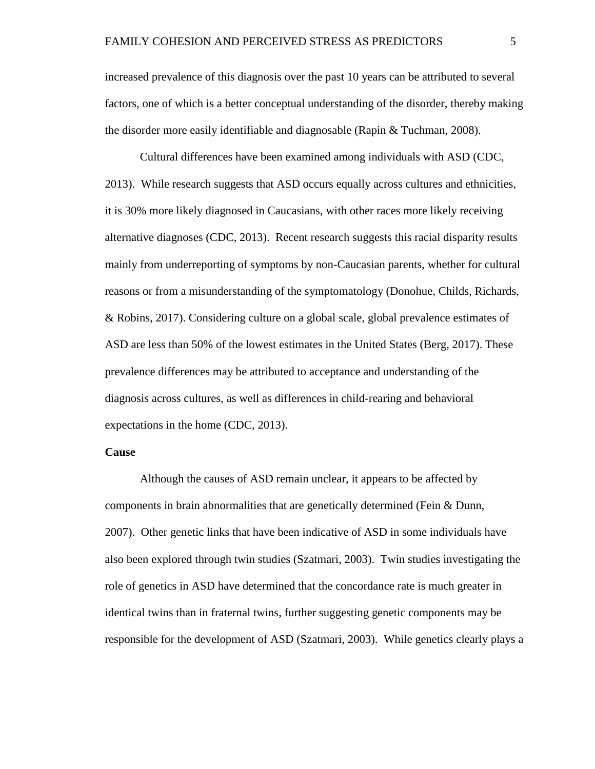increased prevalence of this diagnosis over the past 10 years can be attributed to several factors, one of which is a better conceptual understanding of the disorder, thereby making the disorder more easily identifiable and diagnosable (Rapin & Tuchman, 2008).

Cultural differences have been examined among individuals with ASD (CDC, 2013). While research suggests that ASD occurs equally across cultures and ethnicities, it is 30% more likely diagnosed in Caucasians, with other races more likely receiving alternative diagnoses (CDC, 2013). Recent research suggests this racial disparity results mainly from underreporting of symptoms by non-Caucasian parents, whether for cultural reasons or from a misunderstanding of the symptomatology (Donohue, Childs, Richards, & Robins, 2017). Considering culture on a global scale, global prevalence estimates of ASD are less than 50% of the lowest estimates in the United States (Berg, 2017). These prevalence differences may be attributed to acceptance and understanding of the diagnosis across cultures, as well as differences in child-rearing and behavioral expectations in the home (CDC, 2013).

#### **Cause**

Although the causes of ASD remain unclear, it appears to be affected by components in brain abnormalities that are genetically determined (Fein & Dunn, 2007). Other genetic links that have been indicative of ASD in some individuals have also been explored through twin studies (Szatmari, 2003). Twin studies investigating the role of genetics in ASD have determined that the concordance rate is much greater in identical twins than in fraternal twins, further suggesting genetic components may be responsible for the development of ASD (Szatmari, 2003). While genetics clearly plays a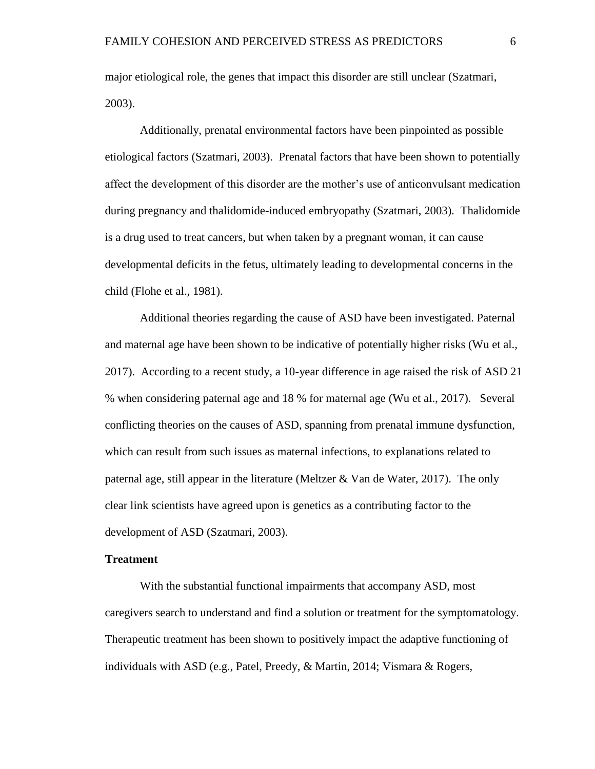major etiological role, the genes that impact this disorder are still unclear (Szatmari, 2003).

Additionally, prenatal environmental factors have been pinpointed as possible etiological factors (Szatmari, 2003). Prenatal factors that have been shown to potentially affect the development of this disorder are the mother's use of anticonvulsant medication during pregnancy and thalidomide-induced embryopathy (Szatmari, 2003). Thalidomide is a drug used to treat cancers, but when taken by a pregnant woman, it can cause developmental deficits in the fetus, ultimately leading to developmental concerns in the child (Flohe et al., 1981).

Additional theories regarding the cause of ASD have been investigated. Paternal and maternal age have been shown to be indicative of potentially higher risks (Wu et al., 2017). According to a recent study, a 10-year difference in age raised the risk of ASD 21 % when considering paternal age and 18 % for maternal age (Wu et al., 2017). Several conflicting theories on the causes of ASD, spanning from prenatal immune dysfunction, which can result from such issues as maternal infections, to explanations related to paternal age, still appear in the literature (Meltzer & Van de Water, 2017). The only clear link scientists have agreed upon is genetics as a contributing factor to the development of ASD (Szatmari, 2003).

#### **Treatment**

With the substantial functional impairments that accompany ASD, most caregivers search to understand and find a solution or treatment for the symptomatology. Therapeutic treatment has been shown to positively impact the adaptive functioning of individuals with ASD (e.g., Patel, Preedy, & Martin, 2014; Vismara & Rogers,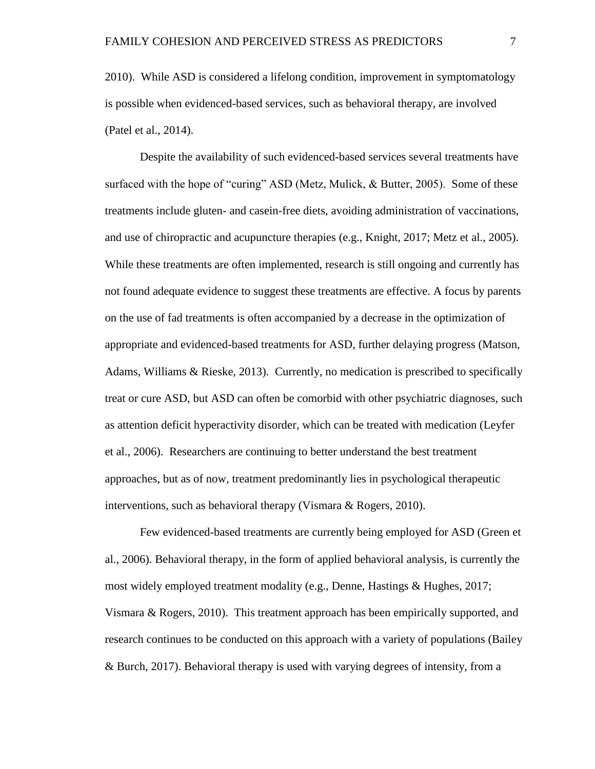2010). While ASD is considered a lifelong condition, improvement in symptomatology is possible when evidenced-based services, such as behavioral therapy, are involved (Patel et al., 2014).

Despite the availability of such evidenced-based services several treatments have surfaced with the hope of "curing" ASD (Metz, Mulick, & Butter, 2005). Some of these treatments include gluten- and casein-free diets, avoiding administration of vaccinations, and use of chiropractic and acupuncture therapies (e.g., Knight, 2017; Metz et al., 2005). While these treatments are often implemented, research is still ongoing and currently has not found adequate evidence to suggest these treatments are effective. A focus by parents on the use of fad treatments is often accompanied by a decrease in the optimization of appropriate and evidenced-based treatments for ASD, further delaying progress (Matson, Adams, Williams & Rieske, 2013). Currently, no medication is prescribed to specifically treat or cure ASD, but ASD can often be comorbid with other psychiatric diagnoses, such as attention deficit hyperactivity disorder, which can be treated with medication (Leyfer et al., 2006). Researchers are continuing to better understand the best treatment approaches, but as of now, treatment predominantly lies in psychological therapeutic interventions, such as behavioral therapy (Vismara & Rogers, 2010).

Few evidenced-based treatments are currently being employed for ASD (Green et al., 2006). Behavioral therapy, in the form of applied behavioral analysis, is currently the most widely employed treatment modality (e.g., Denne, Hastings & Hughes, 2017; Vismara & Rogers, 2010). This treatment approach has been empirically supported, and research continues to be conducted on this approach with a variety of populations (Bailey & Burch, 2017). Behavioral therapy is used with varying degrees of intensity, from a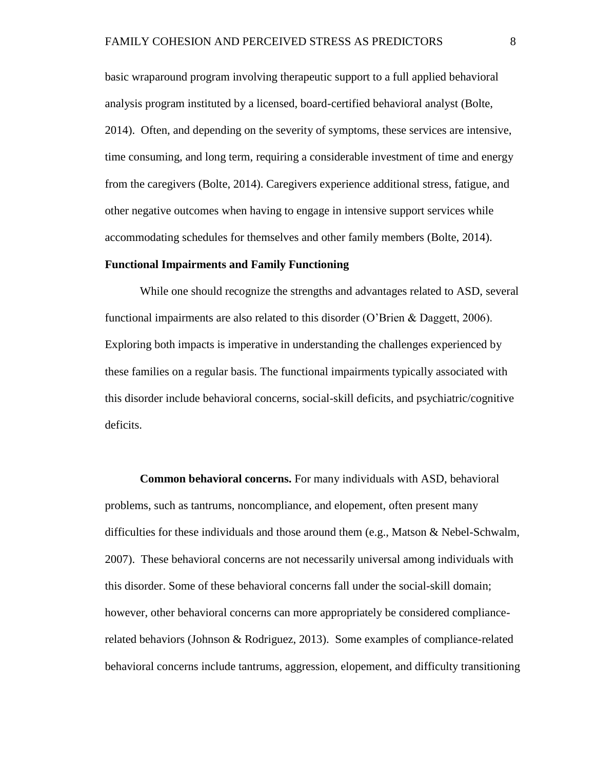basic wraparound program involving therapeutic support to a full applied behavioral analysis program instituted by a licensed, board-certified behavioral analyst (Bolte, 2014). Often, and depending on the severity of symptoms, these services are intensive, time consuming, and long term, requiring a considerable investment of time and energy from the caregivers (Bolte, 2014). Caregivers experience additional stress, fatigue, and other negative outcomes when having to engage in intensive support services while accommodating schedules for themselves and other family members (Bolte, 2014).

#### **Functional Impairments and Family Functioning**

While one should recognize the strengths and advantages related to ASD, several functional impairments are also related to this disorder (O'Brien & Daggett, 2006). Exploring both impacts is imperative in understanding the challenges experienced by these families on a regular basis. The functional impairments typically associated with this disorder include behavioral concerns, social-skill deficits, and psychiatric/cognitive deficits.

**Common behavioral concerns.** For many individuals with ASD, behavioral problems, such as tantrums, noncompliance, and elopement, often present many difficulties for these individuals and those around them (e.g., Matson & Nebel-Schwalm, 2007). These behavioral concerns are not necessarily universal among individuals with this disorder. Some of these behavioral concerns fall under the social-skill domain; however, other behavioral concerns can more appropriately be considered compliancerelated behaviors (Johnson & Rodriguez, 2013). Some examples of compliance-related behavioral concerns include tantrums, aggression, elopement, and difficulty transitioning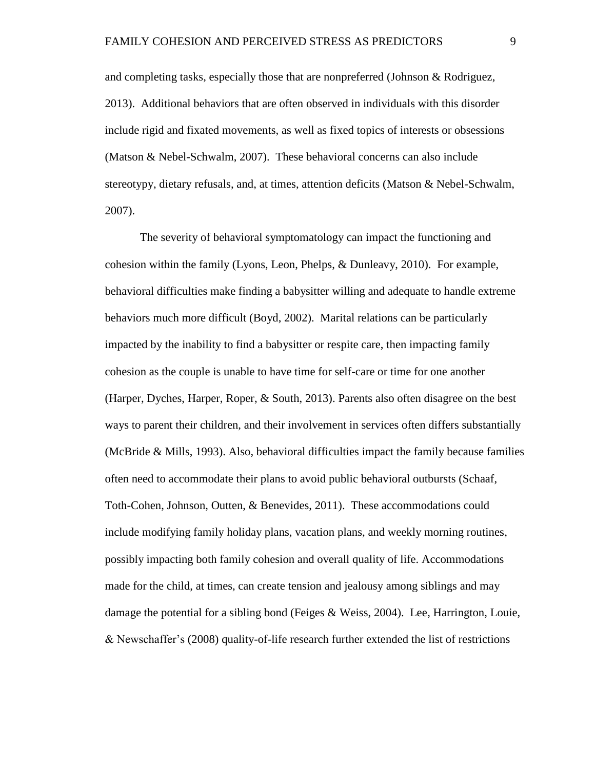and completing tasks, especially those that are nonpreferred (Johnson & Rodriguez, 2013). Additional behaviors that are often observed in individuals with this disorder include rigid and fixated movements, as well as fixed topics of interests or obsessions (Matson & Nebel-Schwalm, 2007). These behavioral concerns can also include stereotypy, dietary refusals, and, at times, attention deficits (Matson & Nebel-Schwalm, 2007).

The severity of behavioral symptomatology can impact the functioning and cohesion within the family (Lyons, Leon, Phelps, & Dunleavy, 2010). For example, behavioral difficulties make finding a babysitter willing and adequate to handle extreme behaviors much more difficult (Boyd, 2002). Marital relations can be particularly impacted by the inability to find a babysitter or respite care, then impacting family cohesion as the couple is unable to have time for self-care or time for one another (Harper, Dyches, Harper, Roper, & South, 2013). Parents also often disagree on the best ways to parent their children, and their involvement in services often differs substantially (McBride & Mills, 1993). Also, behavioral difficulties impact the family because families often need to accommodate their plans to avoid public behavioral outbursts (Schaaf, Toth-Cohen, Johnson, Outten, & Benevides, 2011). These accommodations could include modifying family holiday plans, vacation plans, and weekly morning routines, possibly impacting both family cohesion and overall quality of life. Accommodations made for the child, at times, can create tension and jealousy among siblings and may damage the potential for a sibling bond (Feiges & Weiss, 2004). Lee, Harrington, Louie, & Newschaffer's (2008) quality-of-life research further extended the list of restrictions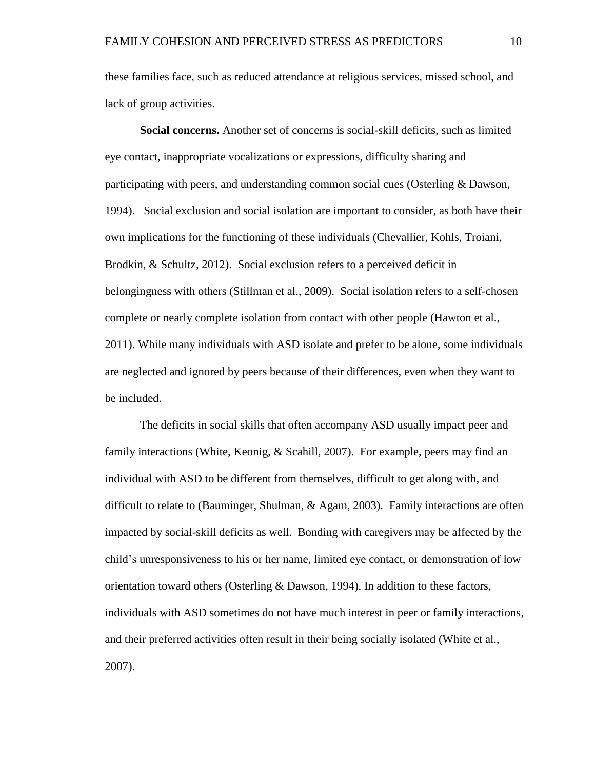these families face, such as reduced attendance at religious services, missed school, and lack of group activities.

**Social concerns.** Another set of concerns is social-skill deficits, such as limited eye contact, inappropriate vocalizations or expressions, difficulty sharing and participating with peers, and understanding common social cues (Osterling & Dawson, 1994). Social exclusion and social isolation are important to consider, as both have their own implications for the functioning of these individuals (Chevallier, Kohls, Troiani, Brodkin, & Schultz, 2012). Social exclusion refers to a perceived deficit in belongingness with others (Stillman et al., 2009). Social isolation refers to a self-chosen complete or nearly complete isolation from contact with other people (Hawton et al., 2011). While many individuals with ASD isolate and prefer to be alone, some individuals are neglected and ignored by peers because of their differences, even when they want to be included.

The deficits in social skills that often accompany ASD usually impact peer and family interactions (White, Keonig, & Scahill, 2007). For example, peers may find an individual with ASD to be different from themselves, difficult to get along with, and difficult to relate to (Bauminger, Shulman, & Agam, 2003). Family interactions are often impacted by social-skill deficits as well. Bonding with caregivers may be affected by the child's unresponsiveness to his or her name, limited eye contact, or demonstration of low orientation toward others (Osterling & Dawson, 1994). In addition to these factors, individuals with ASD sometimes do not have much interest in peer or family interactions, and their preferred activities often result in their being socially isolated (White et al., 2007).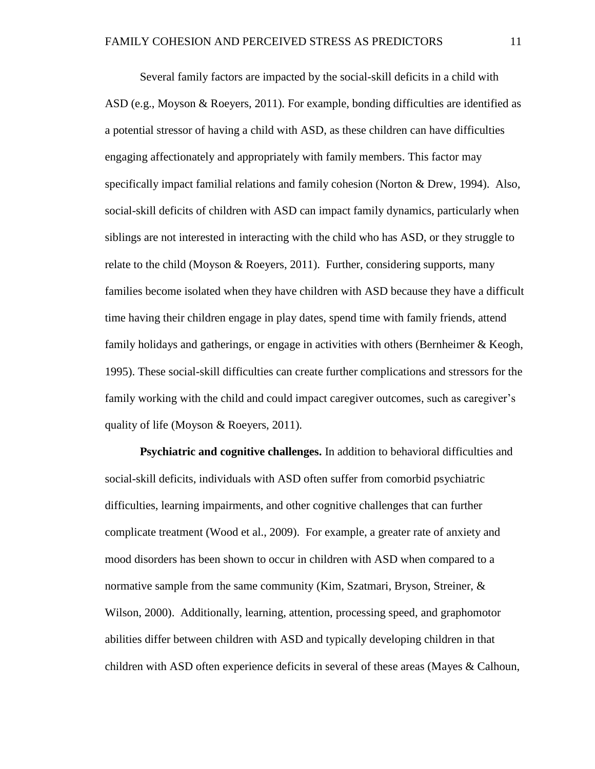Several family factors are impacted by the social-skill deficits in a child with ASD (e.g., Moyson & Roeyers, 2011). For example, bonding difficulties are identified as a potential stressor of having a child with ASD, as these children can have difficulties engaging affectionately and appropriately with family members. This factor may specifically impact familial relations and family cohesion (Norton & Drew, 1994). Also, social-skill deficits of children with ASD can impact family dynamics, particularly when siblings are not interested in interacting with the child who has ASD, or they struggle to relate to the child (Moyson & Roeyers, 2011). Further, considering supports, many families become isolated when they have children with ASD because they have a difficult time having their children engage in play dates, spend time with family friends, attend family holidays and gatherings, or engage in activities with others (Bernheimer & Keogh, 1995). These social-skill difficulties can create further complications and stressors for the family working with the child and could impact caregiver outcomes, such as caregiver's quality of life (Moyson & Roeyers, 2011).

**Psychiatric and cognitive challenges.** In addition to behavioral difficulties and social-skill deficits, individuals with ASD often suffer from comorbid psychiatric difficulties, learning impairments, and other cognitive challenges that can further complicate treatment (Wood et al., 2009). For example, a greater rate of anxiety and mood disorders has been shown to occur in children with ASD when compared to a normative sample from the same community (Kim, Szatmari, Bryson, Streiner, & Wilson, 2000). Additionally, learning, attention, processing speed, and graphomotor abilities differ between children with ASD and typically developing children in that children with ASD often experience deficits in several of these areas (Mayes & Calhoun,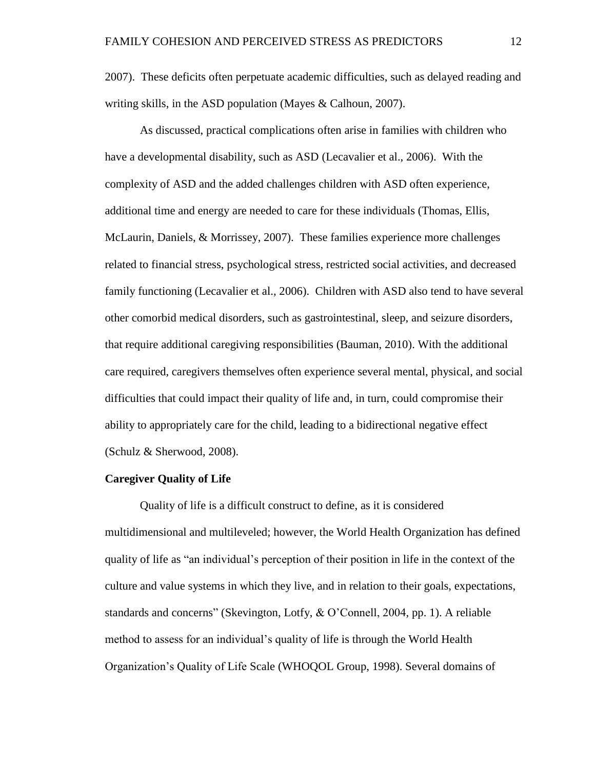2007). These deficits often perpetuate academic difficulties, such as delayed reading and writing skills, in the ASD population (Mayes & Calhoun, 2007).

As discussed, practical complications often arise in families with children who have a developmental disability, such as ASD (Lecavalier et al., 2006). With the complexity of ASD and the added challenges children with ASD often experience, additional time and energy are needed to care for these individuals (Thomas, Ellis, McLaurin, Daniels, & Morrissey, 2007). These families experience more challenges related to financial stress, psychological stress, restricted social activities, and decreased family functioning (Lecavalier et al., 2006). Children with ASD also tend to have several other comorbid medical disorders, such as gastrointestinal, sleep, and seizure disorders, that require additional caregiving responsibilities (Bauman, 2010). With the additional care required, caregivers themselves often experience several mental, physical, and social difficulties that could impact their quality of life and, in turn, could compromise their ability to appropriately care for the child, leading to a bidirectional negative effect (Schulz & Sherwood, 2008).

#### **Caregiver Quality of Life**

Quality of life is a difficult construct to define, as it is considered multidimensional and multileveled; however, the World Health Organization has defined quality of life as "an individual's perception of their position in life in the context of the culture and value systems in which they live, and in relation to their goals, expectations, standards and concerns" (Skevington, Lotfy, & O'Connell, 2004, pp. 1). A reliable method to assess for an individual's quality of life is through the World Health Organization's Quality of Life Scale (WHOQOL Group, 1998). Several domains of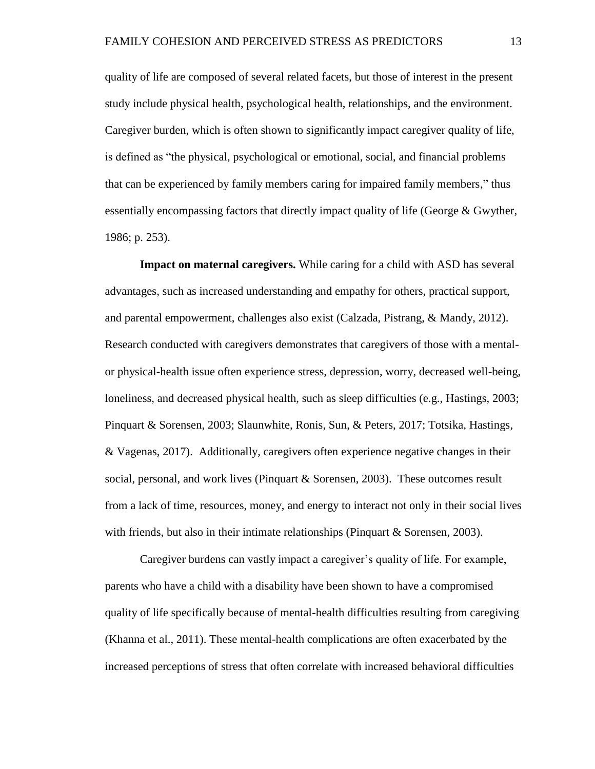quality of life are composed of several related facets, but those of interest in the present study include physical health, psychological health, relationships, and the environment. Caregiver burden, which is often shown to significantly impact caregiver quality of life, is defined as "the physical, psychological or emotional, social, and financial problems that can be experienced by family members caring for impaired family members," thus essentially encompassing factors that directly impact quality of life (George & Gwyther, 1986; p. 253).

**Impact on maternal caregivers.** While caring for a child with ASD has several advantages, such as increased understanding and empathy for others, practical support, and parental empowerment, challenges also exist (Calzada, Pistrang, & Mandy, 2012). Research conducted with caregivers demonstrates that caregivers of those with a mentalor physical-health issue often experience stress, depression, worry, decreased well-being, loneliness, and decreased physical health, such as sleep difficulties (e.g., Hastings, 2003; Pinquart & Sorensen, 2003; Slaunwhite, Ronis, Sun, & Peters, 2017; Totsika, Hastings, & Vagenas, 2017). Additionally, caregivers often experience negative changes in their social, personal, and work lives (Pinquart & Sorensen, 2003). These outcomes result from a lack of time, resources, money, and energy to interact not only in their social lives with friends, but also in their intimate relationships (Pinquart & Sorensen, 2003).

Caregiver burdens can vastly impact a caregiver's quality of life. For example, parents who have a child with a disability have been shown to have a compromised quality of life specifically because of mental-health difficulties resulting from caregiving (Khanna et al., 2011). These mental-health complications are often exacerbated by the increased perceptions of stress that often correlate with increased behavioral difficulties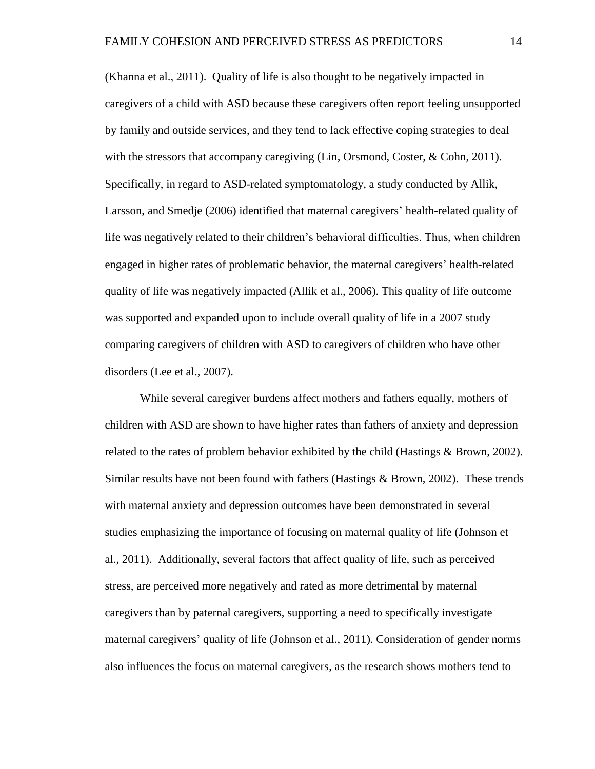(Khanna et al., 2011). Quality of life is also thought to be negatively impacted in caregivers of a child with ASD because these caregivers often report feeling unsupported by family and outside services, and they tend to lack effective coping strategies to deal with the stressors that accompany caregiving (Lin, Orsmond, Coster, & Cohn, 2011). Specifically, in regard to ASD-related symptomatology, a study conducted by Allik, Larsson, and Smedje (2006) identified that maternal caregivers' health-related quality of life was negatively related to their children's behavioral difficulties. Thus, when children engaged in higher rates of problematic behavior, the maternal caregivers' health-related quality of life was negatively impacted (Allik et al., 2006). This quality of life outcome was supported and expanded upon to include overall quality of life in a 2007 study comparing caregivers of children with ASD to caregivers of children who have other disorders (Lee et al., 2007).

While several caregiver burdens affect mothers and fathers equally, mothers of children with ASD are shown to have higher rates than fathers of anxiety and depression related to the rates of problem behavior exhibited by the child (Hastings  $\&$  Brown, 2002). Similar results have not been found with fathers (Hastings  $& Brown, 2002$ ). These trends with maternal anxiety and depression outcomes have been demonstrated in several studies emphasizing the importance of focusing on maternal quality of life (Johnson et al., 2011). Additionally, several factors that affect quality of life, such as perceived stress, are perceived more negatively and rated as more detrimental by maternal caregivers than by paternal caregivers, supporting a need to specifically investigate maternal caregivers' quality of life (Johnson et al., 2011). Consideration of gender norms also influences the focus on maternal caregivers, as the research shows mothers tend to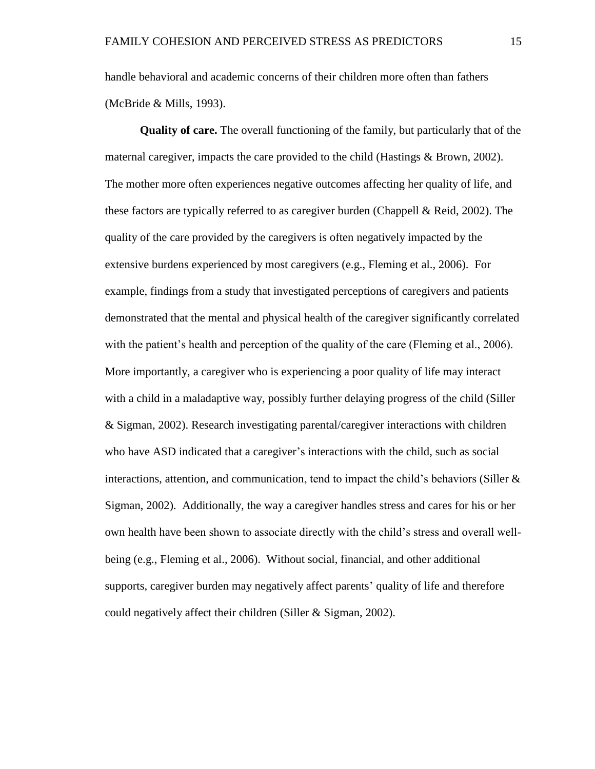handle behavioral and academic concerns of their children more often than fathers (McBride & Mills, 1993).

**Quality of care.** The overall functioning of the family, but particularly that of the maternal caregiver, impacts the care provided to the child (Hastings & Brown, 2002). The mother more often experiences negative outcomes affecting her quality of life, and these factors are typically referred to as caregiver burden (Chappell & Reid, 2002). The quality of the care provided by the caregivers is often negatively impacted by the extensive burdens experienced by most caregivers (e.g., Fleming et al., 2006). For example, findings from a study that investigated perceptions of caregivers and patients demonstrated that the mental and physical health of the caregiver significantly correlated with the patient's health and perception of the quality of the care (Fleming et al., 2006). More importantly, a caregiver who is experiencing a poor quality of life may interact with a child in a maladaptive way, possibly further delaying progress of the child (Siller & Sigman, 2002). Research investigating parental/caregiver interactions with children who have ASD indicated that a caregiver's interactions with the child, such as social interactions, attention, and communication, tend to impact the child's behaviors (Siller  $\&$ Sigman, 2002). Additionally, the way a caregiver handles stress and cares for his or her own health have been shown to associate directly with the child's stress and overall wellbeing (e.g., Fleming et al., 2006). Without social, financial, and other additional supports, caregiver burden may negatively affect parents' quality of life and therefore could negatively affect their children (Siller & Sigman, 2002).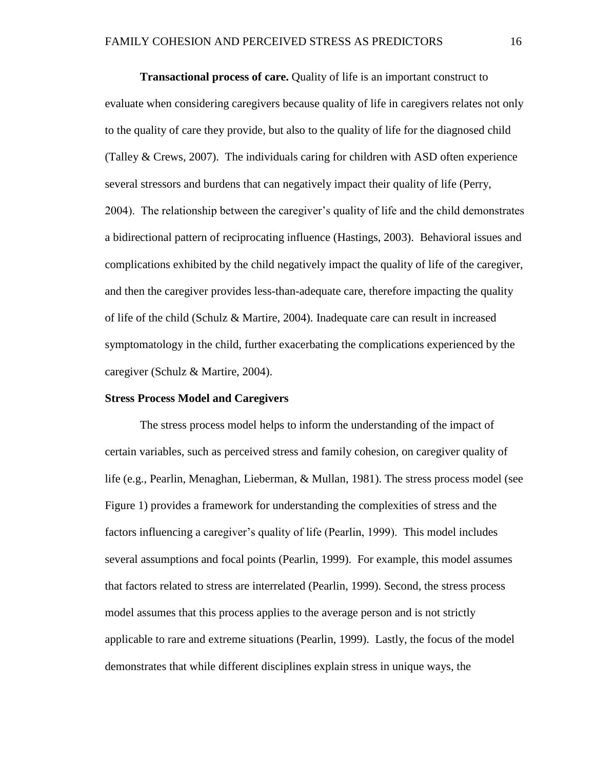**Transactional process of care.** Quality of life is an important construct to evaluate when considering caregivers because quality of life in caregivers relates not only to the quality of care they provide, but also to the quality of life for the diagnosed child (Talley & Crews, 2007). The individuals caring for children with ASD often experience several stressors and burdens that can negatively impact their quality of life (Perry, 2004). The relationship between the caregiver's quality of life and the child demonstrates a bidirectional pattern of reciprocating influence (Hastings, 2003). Behavioral issues and complications exhibited by the child negatively impact the quality of life of the caregiver, and then the caregiver provides less-than-adequate care, therefore impacting the quality of life of the child (Schulz & Martire, 2004). Inadequate care can result in increased symptomatology in the child, further exacerbating the complications experienced by the caregiver (Schulz & Martire, 2004).

#### **Stress Process Model and Caregivers**

The stress process model helps to inform the understanding of the impact of certain variables, such as perceived stress and family cohesion, on caregiver quality of life (e.g., Pearlin, Menaghan, Lieberman, & Mullan, 1981). The stress process model (see Figure 1) provides a framework for understanding the complexities of stress and the factors influencing a caregiver's quality of life (Pearlin, 1999). This model includes several assumptions and focal points (Pearlin, 1999). For example, this model assumes that factors related to stress are interrelated (Pearlin, 1999). Second, the stress process model assumes that this process applies to the average person and is not strictly applicable to rare and extreme situations (Pearlin, 1999). Lastly, the focus of the model demonstrates that while different disciplines explain stress in unique ways, the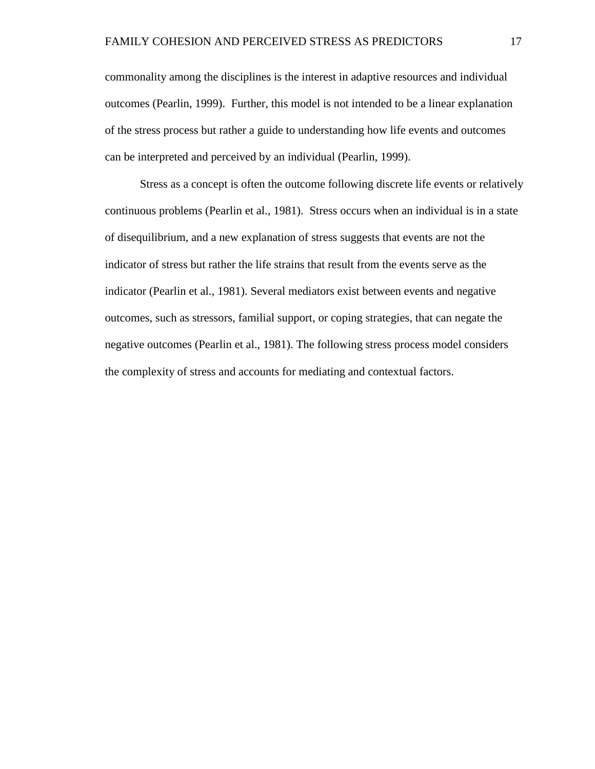commonality among the disciplines is the interest in adaptive resources and individual outcomes (Pearlin, 1999). Further, this model is not intended to be a linear explanation of the stress process but rather a guide to understanding how life events and outcomes can be interpreted and perceived by an individual (Pearlin, 1999).

Stress as a concept is often the outcome following discrete life events or relatively continuous problems (Pearlin et al., 1981). Stress occurs when an individual is in a state of disequilibrium, and a new explanation of stress suggests that events are not the indicator of stress but rather the life strains that result from the events serve as the indicator (Pearlin et al., 1981). Several mediators exist between events and negative outcomes, such as stressors, familial support, or coping strategies, that can negate the negative outcomes (Pearlin et al., 1981). The following stress process model considers the complexity of stress and accounts for mediating and contextual factors.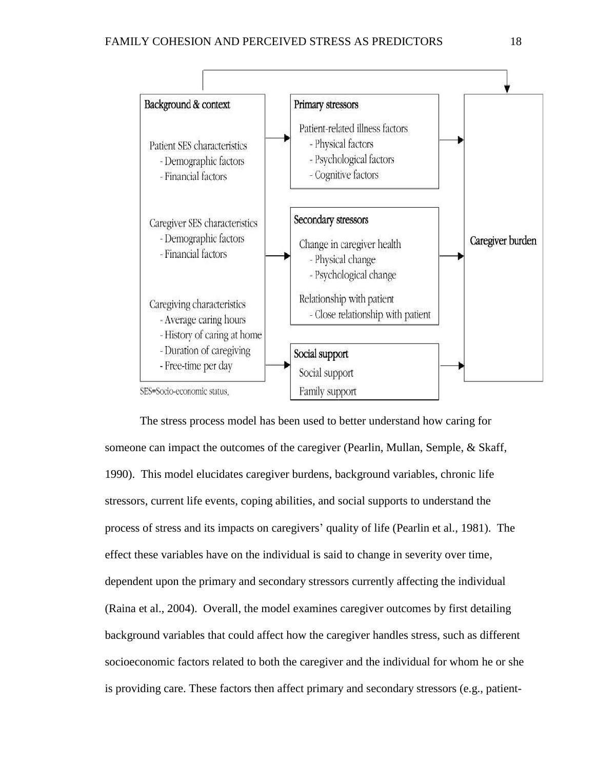

The stress process model has been used to better understand how caring for someone can impact the outcomes of the caregiver (Pearlin, Mullan, Semple, & Skaff, 1990). This model elucidates caregiver burdens, background variables, chronic life stressors, current life events, coping abilities, and social supports to understand the process of stress and its impacts on caregivers' quality of life (Pearlin et al., 1981). The effect these variables have on the individual is said to change in severity over time, dependent upon the primary and secondary stressors currently affecting the individual (Raina et al., 2004). Overall, the model examines caregiver outcomes by first detailing background variables that could affect how the caregiver handles stress, such as different socioeconomic factors related to both the caregiver and the individual for whom he or she is providing care. These factors then affect primary and secondary stressors (e.g., patient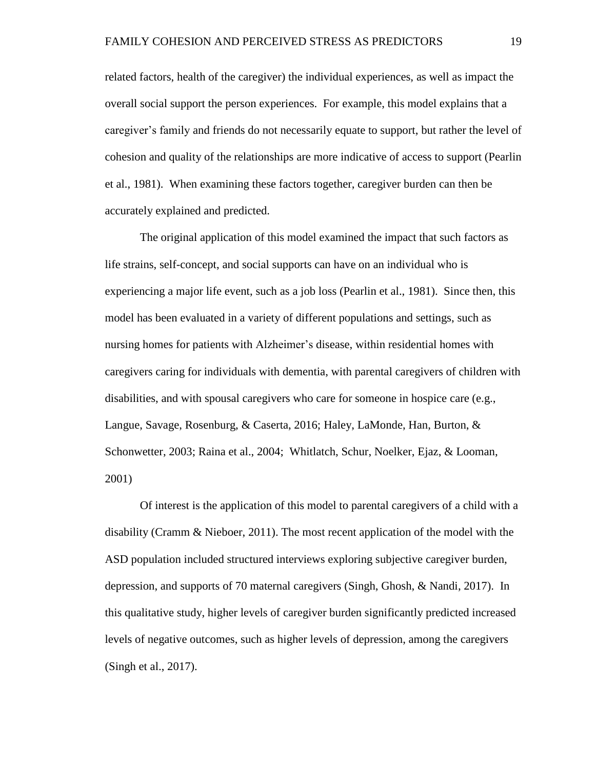related factors, health of the caregiver) the individual experiences, as well as impact the overall social support the person experiences. For example, this model explains that a caregiver's family and friends do not necessarily equate to support, but rather the level of cohesion and quality of the relationships are more indicative of access to support (Pearlin et al., 1981). When examining these factors together, caregiver burden can then be accurately explained and predicted.

The original application of this model examined the impact that such factors as life strains, self-concept, and social supports can have on an individual who is experiencing a major life event, such as a job loss (Pearlin et al., 1981). Since then, this model has been evaluated in a variety of different populations and settings, such as nursing homes for patients with Alzheimer's disease, within residential homes with caregivers caring for individuals with dementia, with parental caregivers of children with disabilities, and with spousal caregivers who care for someone in hospice care (e.g., Langue, Savage, Rosenburg, & Caserta, 2016; Haley, LaMonde, Han, Burton, & Schonwetter, 2003; Raina et al., 2004; Whitlatch, Schur, Noelker, Ejaz, & Looman, 2001)

Of interest is the application of this model to parental caregivers of a child with a disability (Cramm & Nieboer, 2011). The most recent application of the model with the ASD population included structured interviews exploring subjective caregiver burden, depression, and supports of 70 maternal caregivers (Singh, Ghosh, & Nandi, 2017). In this qualitative study, higher levels of caregiver burden significantly predicted increased levels of negative outcomes, such as higher levels of depression, among the caregivers (Singh et al., 2017).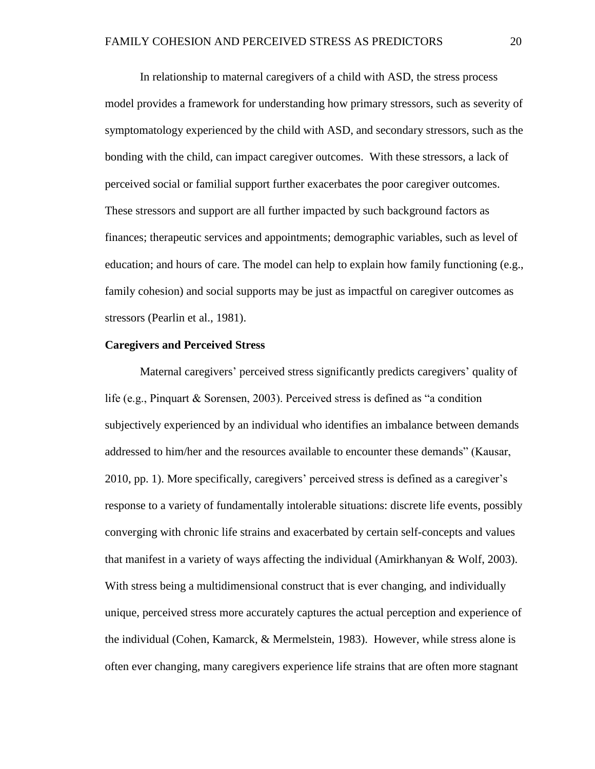In relationship to maternal caregivers of a child with ASD, the stress process model provides a framework for understanding how primary stressors, such as severity of symptomatology experienced by the child with ASD, and secondary stressors, such as the bonding with the child, can impact caregiver outcomes. With these stressors, a lack of perceived social or familial support further exacerbates the poor caregiver outcomes. These stressors and support are all further impacted by such background factors as finances; therapeutic services and appointments; demographic variables, such as level of education; and hours of care. The model can help to explain how family functioning (e.g., family cohesion) and social supports may be just as impactful on caregiver outcomes as stressors (Pearlin et al., 1981).

#### **Caregivers and Perceived Stress**

Maternal caregivers' perceived stress significantly predicts caregivers' quality of life (e.g., Pinquart & Sorensen, 2003). Perceived stress is defined as "a condition subjectively experienced by an individual who identifies an imbalance between demands addressed to him/her and the resources available to encounter these demands" (Kausar, 2010, pp. 1). More specifically, caregivers' perceived stress is defined as a caregiver's response to a variety of fundamentally intolerable situations: discrete life events, possibly converging with chronic life strains and exacerbated by certain self-concepts and values that manifest in a variety of ways affecting the individual (Amirkhanyan & Wolf, 2003). With stress being a multidimensional construct that is ever changing, and individually unique, perceived stress more accurately captures the actual perception and experience of the individual (Cohen, Kamarck, & Mermelstein, 1983). However, while stress alone is often ever changing, many caregivers experience life strains that are often more stagnant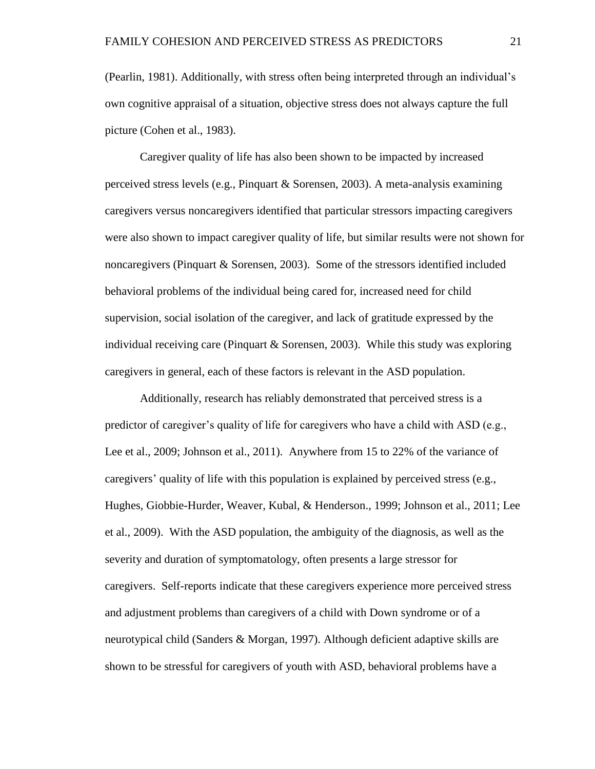(Pearlin, 1981). Additionally, with stress often being interpreted through an individual's own cognitive appraisal of a situation, objective stress does not always capture the full picture (Cohen et al., 1983).

Caregiver quality of life has also been shown to be impacted by increased perceived stress levels (e.g., Pinquart & Sorensen, 2003). A meta-analysis examining caregivers versus noncaregivers identified that particular stressors impacting caregivers were also shown to impact caregiver quality of life, but similar results were not shown for noncaregivers (Pinquart & Sorensen, 2003). Some of the stressors identified included behavioral problems of the individual being cared for, increased need for child supervision, social isolation of the caregiver, and lack of gratitude expressed by the individual receiving care (Pinquart & Sorensen, 2003). While this study was exploring caregivers in general, each of these factors is relevant in the ASD population.

Additionally, research has reliably demonstrated that perceived stress is a predictor of caregiver's quality of life for caregivers who have a child with ASD (e.g., Lee et al., 2009; Johnson et al., 2011). Anywhere from 15 to 22% of the variance of caregivers' quality of life with this population is explained by perceived stress (e.g., Hughes, Giobbie-Hurder, Weaver, Kubal, & Henderson., 1999; Johnson et al., 2011; Lee et al., 2009). With the ASD population, the ambiguity of the diagnosis, as well as the severity and duration of symptomatology, often presents a large stressor for caregivers. Self-reports indicate that these caregivers experience more perceived stress and adjustment problems than caregivers of a child with Down syndrome or of a neurotypical child (Sanders & Morgan, 1997). Although deficient adaptive skills are shown to be stressful for caregivers of youth with ASD, behavioral problems have a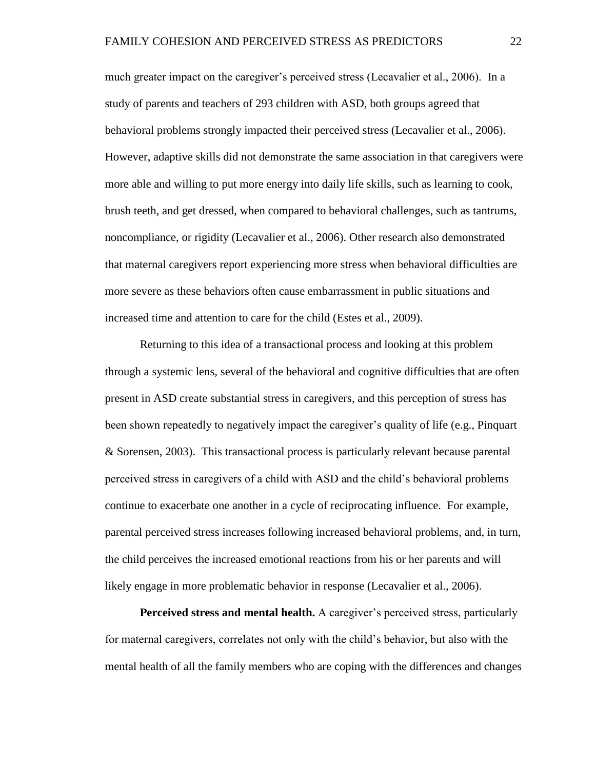much greater impact on the caregiver's perceived stress (Lecavalier et al., 2006). In a study of parents and teachers of 293 children with ASD, both groups agreed that behavioral problems strongly impacted their perceived stress (Lecavalier et al., 2006). However, adaptive skills did not demonstrate the same association in that caregivers were more able and willing to put more energy into daily life skills, such as learning to cook, brush teeth, and get dressed, when compared to behavioral challenges, such as tantrums, noncompliance, or rigidity (Lecavalier et al., 2006). Other research also demonstrated that maternal caregivers report experiencing more stress when behavioral difficulties are more severe as these behaviors often cause embarrassment in public situations and increased time and attention to care for the child (Estes et al., 2009).

Returning to this idea of a transactional process and looking at this problem through a systemic lens, several of the behavioral and cognitive difficulties that are often present in ASD create substantial stress in caregivers, and this perception of stress has been shown repeatedly to negatively impact the caregiver's quality of life (e.g., Pinquart & Sorensen, 2003). This transactional process is particularly relevant because parental perceived stress in caregivers of a child with ASD and the child's behavioral problems continue to exacerbate one another in a cycle of reciprocating influence. For example, parental perceived stress increases following increased behavioral problems, and, in turn, the child perceives the increased emotional reactions from his or her parents and will likely engage in more problematic behavior in response (Lecavalier et al., 2006).

**Perceived stress and mental health.** A caregiver's perceived stress, particularly for maternal caregivers, correlates not only with the child's behavior, but also with the mental health of all the family members who are coping with the differences and changes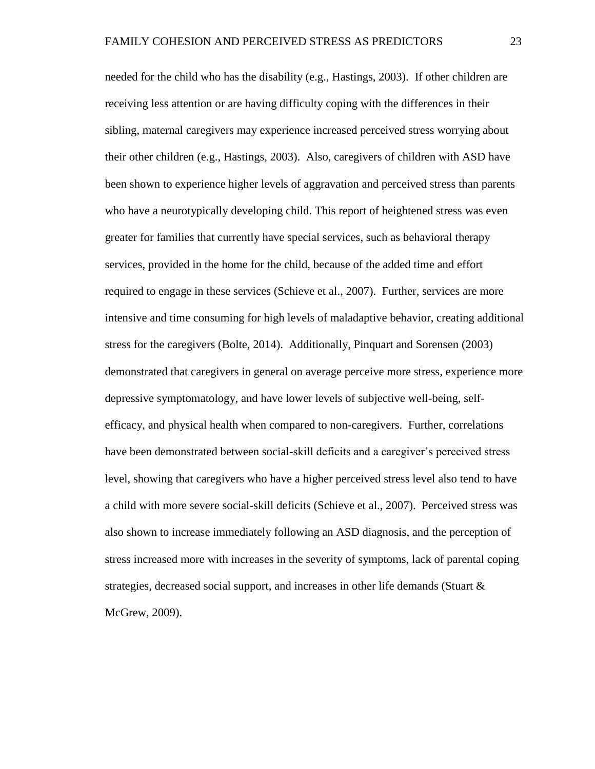needed for the child who has the disability (e.g., Hastings, 2003). If other children are receiving less attention or are having difficulty coping with the differences in their sibling, maternal caregivers may experience increased perceived stress worrying about their other children (e.g., Hastings, 2003). Also, caregivers of children with ASD have been shown to experience higher levels of aggravation and perceived stress than parents who have a neurotypically developing child. This report of heightened stress was even greater for families that currently have special services, such as behavioral therapy services, provided in the home for the child, because of the added time and effort required to engage in these services (Schieve et al., 2007). Further, services are more intensive and time consuming for high levels of maladaptive behavior, creating additional stress for the caregivers (Bolte, 2014). Additionally, Pinquart and Sorensen (2003) demonstrated that caregivers in general on average perceive more stress, experience more depressive symptomatology, and have lower levels of subjective well-being, selfefficacy, and physical health when compared to non-caregivers. Further, correlations have been demonstrated between social-skill deficits and a caregiver's perceived stress level, showing that caregivers who have a higher perceived stress level also tend to have a child with more severe social-skill deficits (Schieve et al., 2007). Perceived stress was also shown to increase immediately following an ASD diagnosis, and the perception of stress increased more with increases in the severity of symptoms, lack of parental coping strategies, decreased social support, and increases in other life demands (Stuart & McGrew, 2009).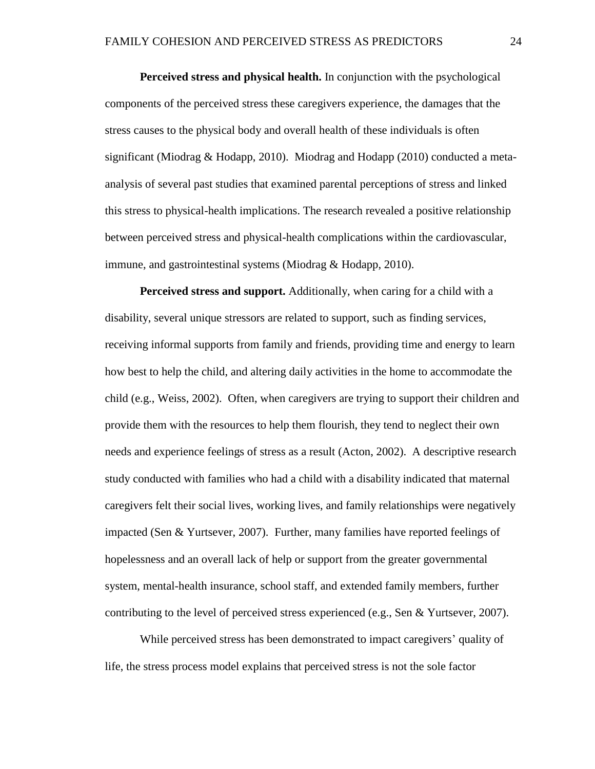**Perceived stress and physical health.** In conjunction with the psychological components of the perceived stress these caregivers experience, the damages that the stress causes to the physical body and overall health of these individuals is often significant (Miodrag & Hodapp, 2010). Miodrag and Hodapp (2010) conducted a metaanalysis of several past studies that examined parental perceptions of stress and linked this stress to physical-health implications. The research revealed a positive relationship between perceived stress and physical-health complications within the cardiovascular, immune, and gastrointestinal systems (Miodrag & Hodapp, 2010).

**Perceived stress and support.** Additionally, when caring for a child with a disability, several unique stressors are related to support, such as finding services, receiving informal supports from family and friends, providing time and energy to learn how best to help the child, and altering daily activities in the home to accommodate the child (e.g., Weiss, 2002). Often, when caregivers are trying to support their children and provide them with the resources to help them flourish, they tend to neglect their own needs and experience feelings of stress as a result (Acton, 2002). A descriptive research study conducted with families who had a child with a disability indicated that maternal caregivers felt their social lives, working lives, and family relationships were negatively impacted (Sen & Yurtsever, 2007). Further, many families have reported feelings of hopelessness and an overall lack of help or support from the greater governmental system, mental-health insurance, school staff, and extended family members, further contributing to the level of perceived stress experienced (e.g., Sen & Yurtsever, 2007).

While perceived stress has been demonstrated to impact caregivers' quality of life, the stress process model explains that perceived stress is not the sole factor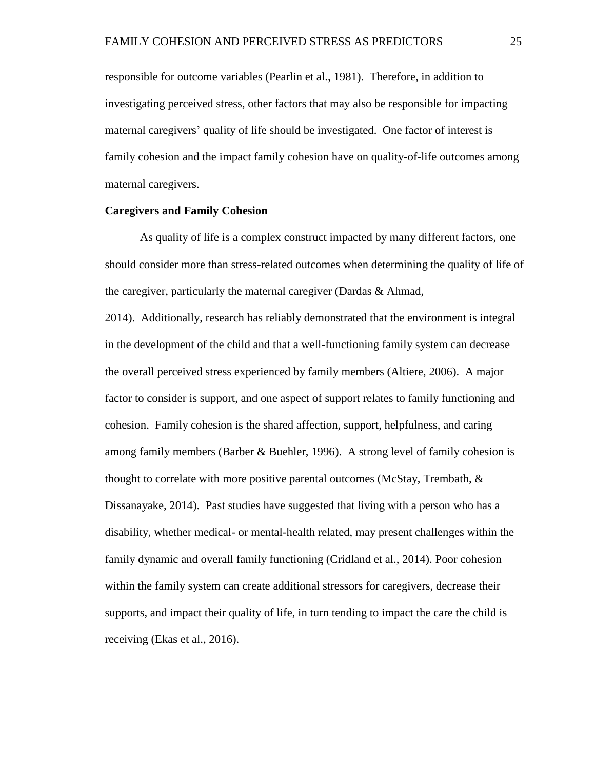responsible for outcome variables (Pearlin et al., 1981). Therefore, in addition to investigating perceived stress, other factors that may also be responsible for impacting maternal caregivers' quality of life should be investigated. One factor of interest is family cohesion and the impact family cohesion have on quality-of-life outcomes among maternal caregivers.

#### **Caregivers and Family Cohesion**

As quality of life is a complex construct impacted by many different factors, one should consider more than stress-related outcomes when determining the quality of life of the caregiver, particularly the maternal caregiver (Dardas & Ahmad,

2014). Additionally, research has reliably demonstrated that the environment is integral in the development of the child and that a well-functioning family system can decrease the overall perceived stress experienced by family members (Altiere, 2006). A major factor to consider is support, and one aspect of support relates to family functioning and cohesion. Family cohesion is the shared affection, support, helpfulness, and caring among family members (Barber & Buehler, 1996). A strong level of family cohesion is thought to correlate with more positive parental outcomes (McStay, Trembath, & Dissanayake, 2014). Past studies have suggested that living with a person who has a disability, whether medical- or mental-health related, may present challenges within the family dynamic and overall family functioning (Cridland et al., 2014). Poor cohesion within the family system can create additional stressors for caregivers, decrease their supports, and impact their quality of life, in turn tending to impact the care the child is receiving (Ekas et al., 2016).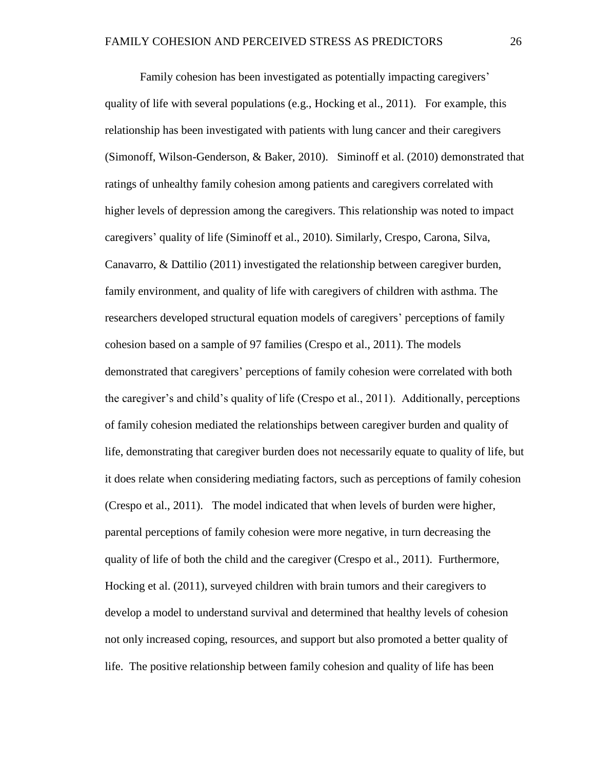Family cohesion has been investigated as potentially impacting caregivers' quality of life with several populations (e.g., Hocking et al., 2011). For example, this relationship has been investigated with patients with lung cancer and their caregivers (Simonoff, Wilson-Genderson, & Baker, 2010). Siminoff et al. (2010) demonstrated that ratings of unhealthy family cohesion among patients and caregivers correlated with higher levels of depression among the caregivers. This relationship was noted to impact caregivers' quality of life (Siminoff et al., 2010). Similarly, Crespo, Carona, Silva, Canavarro, & Dattilio (2011) investigated the relationship between caregiver burden, family environment, and quality of life with caregivers of children with asthma. The researchers developed structural equation models of caregivers' perceptions of family cohesion based on a sample of 97 families (Crespo et al., 2011). The models demonstrated that caregivers' perceptions of family cohesion were correlated with both the caregiver's and child's quality of life (Crespo et al., 2011). Additionally, perceptions of family cohesion mediated the relationships between caregiver burden and quality of life, demonstrating that caregiver burden does not necessarily equate to quality of life, but it does relate when considering mediating factors, such as perceptions of family cohesion (Crespo et al., 2011). The model indicated that when levels of burden were higher, parental perceptions of family cohesion were more negative, in turn decreasing the quality of life of both the child and the caregiver (Crespo et al., 2011). Furthermore, Hocking et al. (2011), surveyed children with brain tumors and their caregivers to develop a model to understand survival and determined that healthy levels of cohesion not only increased coping, resources, and support but also promoted a better quality of life. The positive relationship between family cohesion and quality of life has been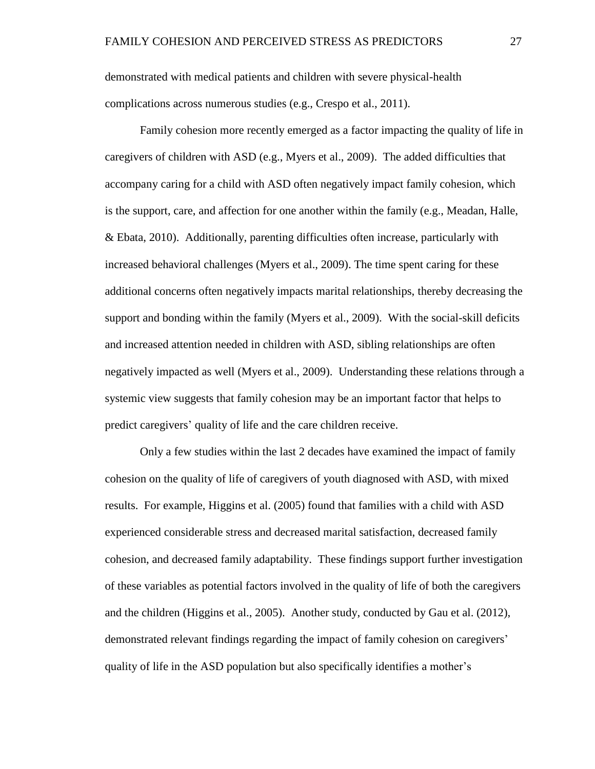demonstrated with medical patients and children with severe physical-health complications across numerous studies (e.g., Crespo et al., 2011).

Family cohesion more recently emerged as a factor impacting the quality of life in caregivers of children with ASD (e.g., Myers et al., 2009). The added difficulties that accompany caring for a child with ASD often negatively impact family cohesion, which is the support, care, and affection for one another within the family (e.g., Meadan, Halle, & Ebata, 2010). Additionally, parenting difficulties often increase, particularly with increased behavioral challenges (Myers et al., 2009). The time spent caring for these additional concerns often negatively impacts marital relationships, thereby decreasing the support and bonding within the family (Myers et al., 2009). With the social-skill deficits and increased attention needed in children with ASD, sibling relationships are often negatively impacted as well (Myers et al., 2009). Understanding these relations through a systemic view suggests that family cohesion may be an important factor that helps to predict caregivers' quality of life and the care children receive.

Only a few studies within the last 2 decades have examined the impact of family cohesion on the quality of life of caregivers of youth diagnosed with ASD, with mixed results. For example, Higgins et al. (2005) found that families with a child with ASD experienced considerable stress and decreased marital satisfaction, decreased family cohesion, and decreased family adaptability. These findings support further investigation of these variables as potential factors involved in the quality of life of both the caregivers and the children (Higgins et al., 2005). Another study, conducted by Gau et al. (2012), demonstrated relevant findings regarding the impact of family cohesion on caregivers' quality of life in the ASD population but also specifically identifies a mother's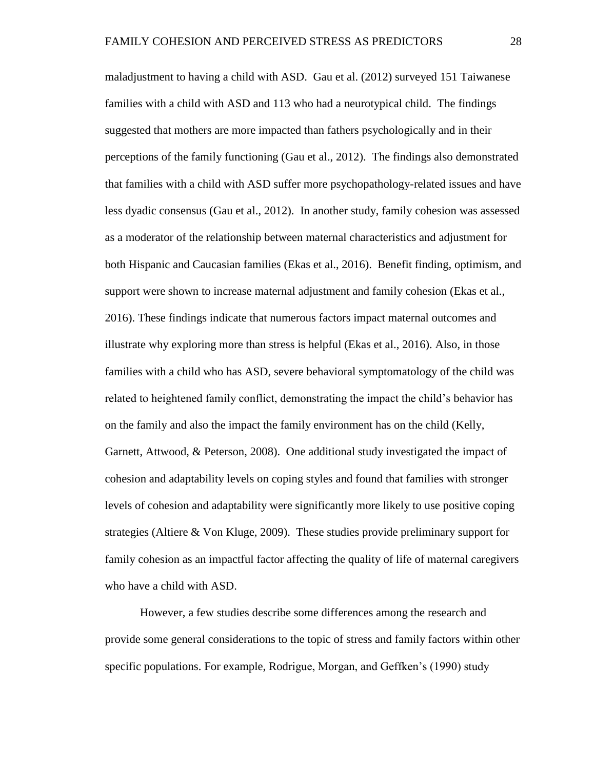maladjustment to having a child with ASD. Gau et al. (2012) surveyed 151 Taiwanese families with a child with ASD and 113 who had a neurotypical child. The findings suggested that mothers are more impacted than fathers psychologically and in their perceptions of the family functioning (Gau et al., 2012). The findings also demonstrated that families with a child with ASD suffer more psychopathology-related issues and have less dyadic consensus (Gau et al., 2012). In another study, family cohesion was assessed as a moderator of the relationship between maternal characteristics and adjustment for both Hispanic and Caucasian families (Ekas et al., 2016). Benefit finding, optimism, and support were shown to increase maternal adjustment and family cohesion (Ekas et al., 2016). These findings indicate that numerous factors impact maternal outcomes and illustrate why exploring more than stress is helpful (Ekas et al., 2016). Also, in those families with a child who has ASD, severe behavioral symptomatology of the child was related to heightened family conflict, demonstrating the impact the child's behavior has on the family and also the impact the family environment has on the child (Kelly, Garnett, Attwood, & Peterson, 2008). One additional study investigated the impact of cohesion and adaptability levels on coping styles and found that families with stronger levels of cohesion and adaptability were significantly more likely to use positive coping strategies (Altiere & Von Kluge, 2009). These studies provide preliminary support for family cohesion as an impactful factor affecting the quality of life of maternal caregivers who have a child with ASD.

However, a few studies describe some differences among the research and provide some general considerations to the topic of stress and family factors within other specific populations. For example, Rodrigue, Morgan, and Geffken's (1990) study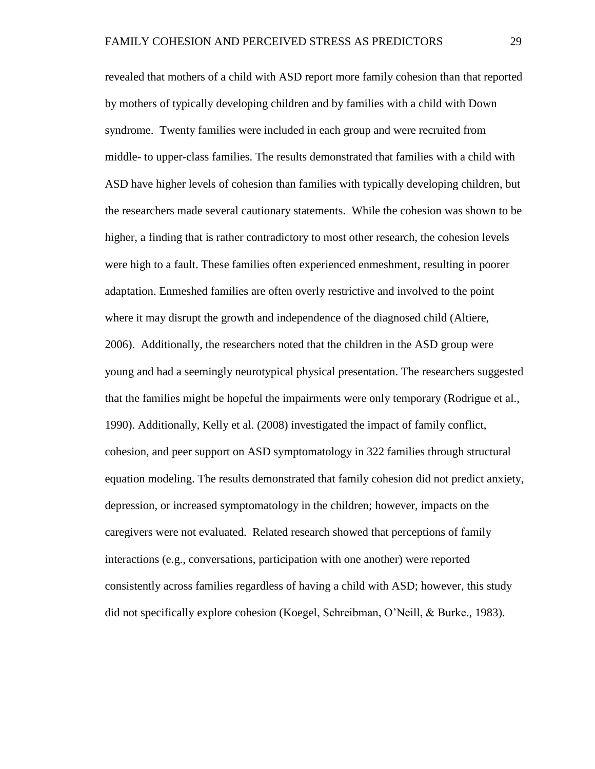revealed that mothers of a child with ASD report more family cohesion than that reported by mothers of typically developing children and by families with a child with Down syndrome. Twenty families were included in each group and were recruited from middle- to upper-class families. The results demonstrated that families with a child with ASD have higher levels of cohesion than families with typically developing children, but the researchers made several cautionary statements. While the cohesion was shown to be higher, a finding that is rather contradictory to most other research, the cohesion levels were high to a fault. These families often experienced enmeshment, resulting in poorer adaptation. Enmeshed families are often overly restrictive and involved to the point where it may disrupt the growth and independence of the diagnosed child (Altiere, 2006). Additionally, the researchers noted that the children in the ASD group were young and had a seemingly neurotypical physical presentation. The researchers suggested that the families might be hopeful the impairments were only temporary (Rodrigue et al., 1990). Additionally, Kelly et al. (2008) investigated the impact of family conflict, cohesion, and peer support on ASD symptomatology in 322 families through structural equation modeling. The results demonstrated that family cohesion did not predict anxiety, depression, or increased symptomatology in the children; however, impacts on the caregivers were not evaluated. Related research showed that perceptions of family interactions (e.g., conversations, participation with one another) were reported consistently across families regardless of having a child with ASD; however, this study did not specifically explore cohesion (Koegel, Schreibman, O'Neill, & Burke., 1983).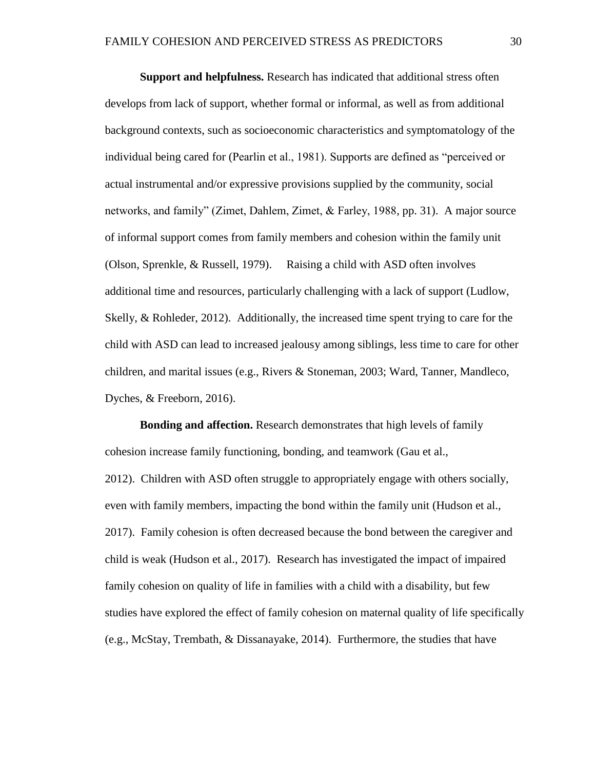**Support and helpfulness.** Research has indicated that additional stress often develops from lack of support, whether formal or informal, as well as from additional background contexts, such as socioeconomic characteristics and symptomatology of the individual being cared for (Pearlin et al., 1981). Supports are defined as "perceived or actual instrumental and/or expressive provisions supplied by the community, social networks, and family" (Zimet, Dahlem, Zimet, & Farley, 1988, pp. 31). A major source of informal support comes from family members and cohesion within the family unit (Olson, Sprenkle, & Russell, 1979). Raising a child with ASD often involves additional time and resources, particularly challenging with a lack of support (Ludlow, Skelly, & Rohleder, 2012). Additionally, the increased time spent trying to care for the child with ASD can lead to increased jealousy among siblings, less time to care for other children, and marital issues (e.g., Rivers & Stoneman, 2003; Ward, Tanner, Mandleco, Dyches, & Freeborn, 2016).

**Bonding and affection.** Research demonstrates that high levels of family cohesion increase family functioning, bonding, and teamwork (Gau et al., 2012). Children with ASD often struggle to appropriately engage with others socially, even with family members, impacting the bond within the family unit (Hudson et al., 2017). Family cohesion is often decreased because the bond between the caregiver and child is weak (Hudson et al., 2017). Research has investigated the impact of impaired family cohesion on quality of life in families with a child with a disability, but few studies have explored the effect of family cohesion on maternal quality of life specifically (e.g., McStay, Trembath, & Dissanayake, 2014). Furthermore, the studies that have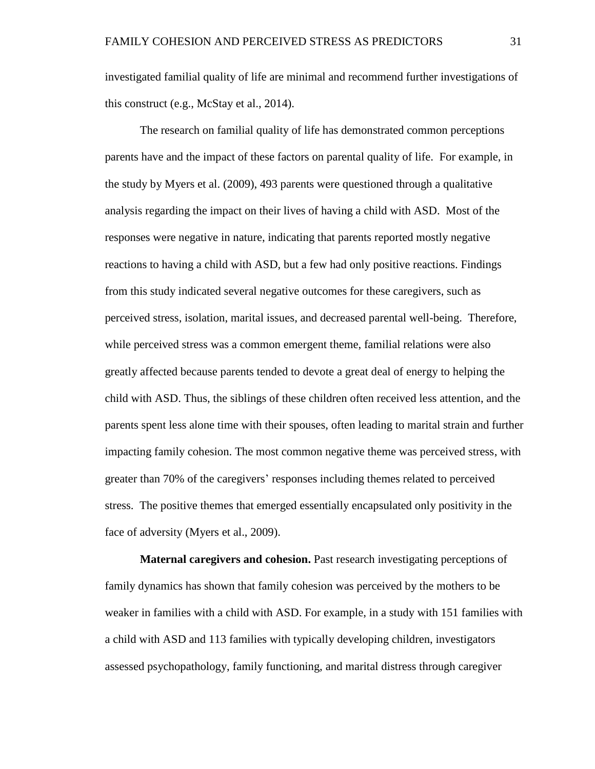investigated familial quality of life are minimal and recommend further investigations of this construct (e.g., McStay et al., 2014).

The research on familial quality of life has demonstrated common perceptions parents have and the impact of these factors on parental quality of life. For example, in the study by Myers et al. (2009), 493 parents were questioned through a qualitative analysis regarding the impact on their lives of having a child with ASD. Most of the responses were negative in nature, indicating that parents reported mostly negative reactions to having a child with ASD, but a few had only positive reactions. Findings from this study indicated several negative outcomes for these caregivers, such as perceived stress, isolation, marital issues, and decreased parental well-being. Therefore, while perceived stress was a common emergent theme, familial relations were also greatly affected because parents tended to devote a great deal of energy to helping the child with ASD. Thus, the siblings of these children often received less attention, and the parents spent less alone time with their spouses, often leading to marital strain and further impacting family cohesion. The most common negative theme was perceived stress, with greater than 70% of the caregivers' responses including themes related to perceived stress. The positive themes that emerged essentially encapsulated only positivity in the face of adversity (Myers et al., 2009).

**Maternal caregivers and cohesion.** Past research investigating perceptions of family dynamics has shown that family cohesion was perceived by the mothers to be weaker in families with a child with ASD. For example, in a study with 151 families with a child with ASD and 113 families with typically developing children, investigators assessed psychopathology, family functioning, and marital distress through caregiver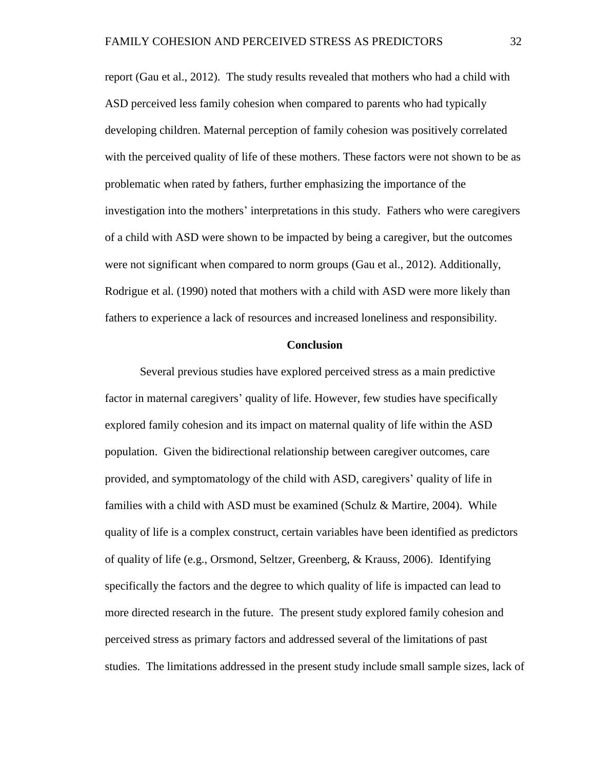report (Gau et al., 2012). The study results revealed that mothers who had a child with ASD perceived less family cohesion when compared to parents who had typically developing children. Maternal perception of family cohesion was positively correlated with the perceived quality of life of these mothers. These factors were not shown to be as problematic when rated by fathers, further emphasizing the importance of the investigation into the mothers' interpretations in this study. Fathers who were caregivers of a child with ASD were shown to be impacted by being a caregiver, but the outcomes were not significant when compared to norm groups (Gau et al., 2012). Additionally, Rodrigue et al. (1990) noted that mothers with a child with ASD were more likely than fathers to experience a lack of resources and increased loneliness and responsibility.

#### **Conclusion**

Several previous studies have explored perceived stress as a main predictive factor in maternal caregivers' quality of life. However, few studies have specifically explored family cohesion and its impact on maternal quality of life within the ASD population. Given the bidirectional relationship between caregiver outcomes, care provided, and symptomatology of the child with ASD, caregivers' quality of life in families with a child with ASD must be examined (Schulz & Martire, 2004). While quality of life is a complex construct, certain variables have been identified as predictors of quality of life (e.g., Orsmond, Seltzer, Greenberg, & Krauss, 2006). Identifying specifically the factors and the degree to which quality of life is impacted can lead to more directed research in the future. The present study explored family cohesion and perceived stress as primary factors and addressed several of the limitations of past studies. The limitations addressed in the present study include small sample sizes, lack of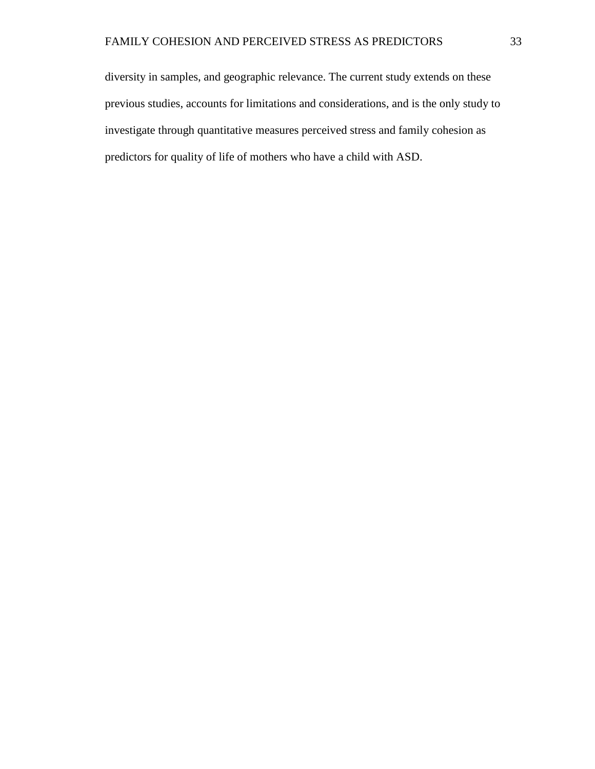diversity in samples, and geographic relevance. The current study extends on these previous studies, accounts for limitations and considerations, and is the only study to investigate through quantitative measures perceived stress and family cohesion as predictors for quality of life of mothers who have a child with ASD.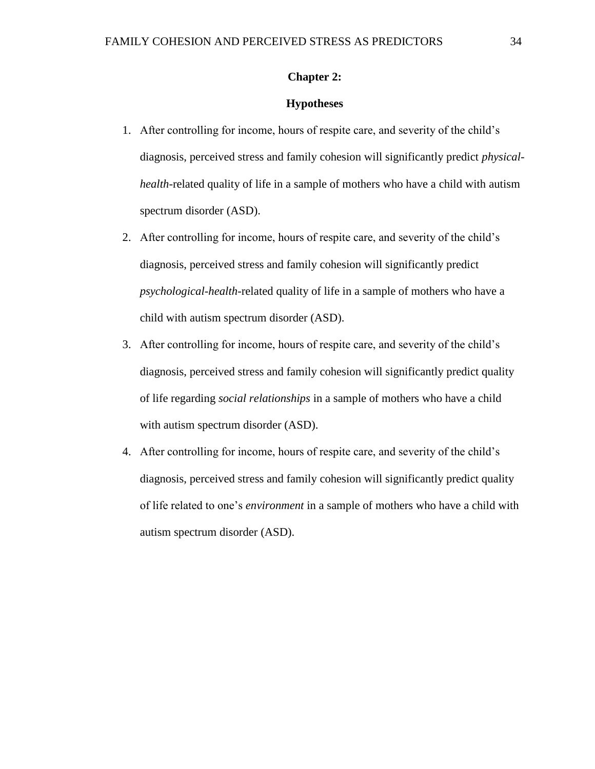## **Chapter 2:**

## **Hypotheses**

- 1. After controlling for income, hours of respite care, and severity of the child's diagnosis, perceived stress and family cohesion will significantly predict *physicalhealth*-related quality of life in a sample of mothers who have a child with autism spectrum disorder (ASD).
- 2. After controlling for income, hours of respite care, and severity of the child's diagnosis, perceived stress and family cohesion will significantly predict *psychological-health*-related quality of life in a sample of mothers who have a child with autism spectrum disorder (ASD).
- 3. After controlling for income, hours of respite care, and severity of the child's diagnosis, perceived stress and family cohesion will significantly predict quality of life regarding *social relationships* in a sample of mothers who have a child with autism spectrum disorder (ASD).
- 4. After controlling for income, hours of respite care, and severity of the child's diagnosis, perceived stress and family cohesion will significantly predict quality of life related to one's *environment* in a sample of mothers who have a child with autism spectrum disorder (ASD).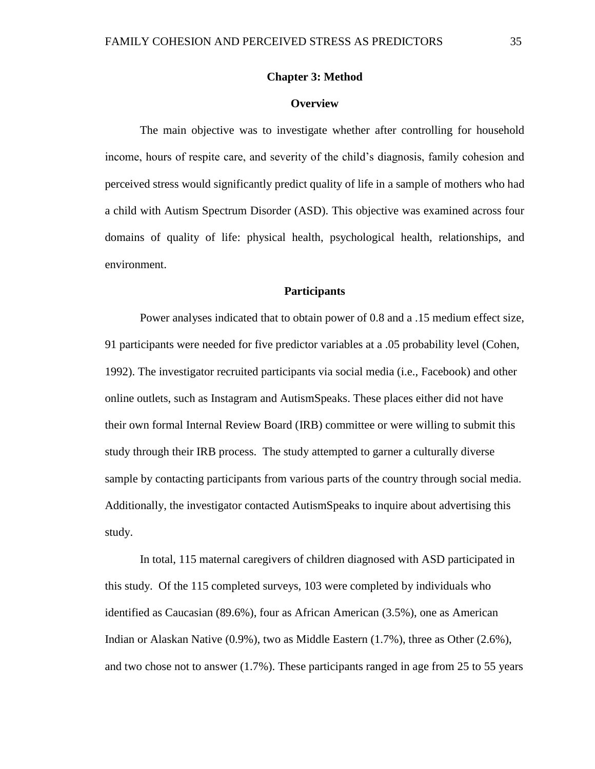## **Chapter 3: Method**

#### **Overview**

The main objective was to investigate whether after controlling for household income, hours of respite care, and severity of the child's diagnosis, family cohesion and perceived stress would significantly predict quality of life in a sample of mothers who had a child with Autism Spectrum Disorder (ASD). This objective was examined across four domains of quality of life: physical health, psychological health, relationships, and environment.

#### **Participants**

Power analyses indicated that to obtain power of 0.8 and a .15 medium effect size, 91 participants were needed for five predictor variables at a .05 probability level (Cohen, 1992). The investigator recruited participants via social media (i.e., Facebook) and other online outlets, such as Instagram and AutismSpeaks. These places either did not have their own formal Internal Review Board (IRB) committee or were willing to submit this study through their IRB process. The study attempted to garner a culturally diverse sample by contacting participants from various parts of the country through social media. Additionally, the investigator contacted AutismSpeaks to inquire about advertising this study.

In total, 115 maternal caregivers of children diagnosed with ASD participated in this study. Of the 115 completed surveys, 103 were completed by individuals who identified as Caucasian (89.6%), four as African American (3.5%), one as American Indian or Alaskan Native (0.9%), two as Middle Eastern (1.7%), three as Other (2.6%), and two chose not to answer (1.7%). These participants ranged in age from 25 to 55 years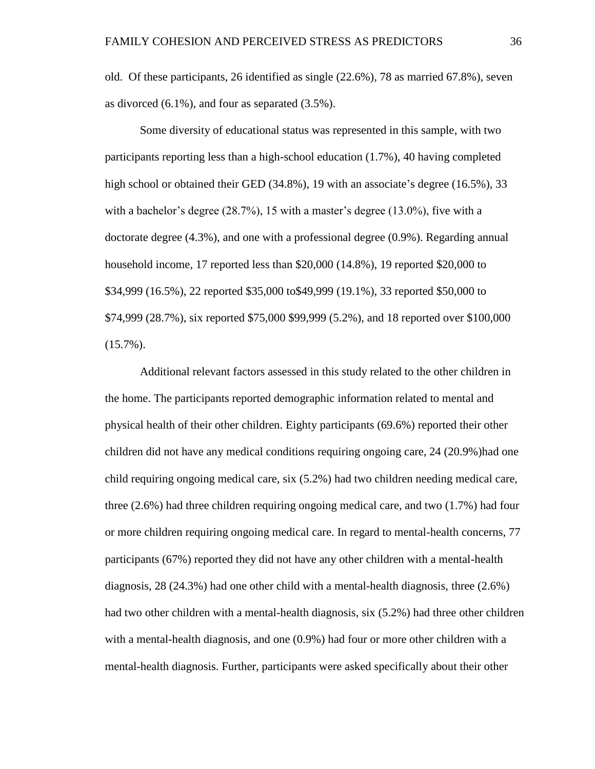old. Of these participants, 26 identified as single (22.6%), 78 as married 67.8%), seven as divorced (6.1%), and four as separated (3.5%).

Some diversity of educational status was represented in this sample, with two participants reporting less than a high-school education (1.7%), 40 having completed high school or obtained their GED (34.8%), 19 with an associate's degree (16.5%), 33 with a bachelor's degree (28.7%), 15 with a master's degree (13.0%), five with a doctorate degree (4.3%), and one with a professional degree (0.9%). Regarding annual household income, 17 reported less than \$20,000 (14.8%), 19 reported \$20,000 to \$34,999 (16.5%), 22 reported \$35,000 to\$49,999 (19.1%), 33 reported \$50,000 to \$74,999 (28.7%), six reported \$75,000 \$99,999 (5.2%), and 18 reported over \$100,000  $(15.7\%)$ .

Additional relevant factors assessed in this study related to the other children in the home. The participants reported demographic information related to mental and physical health of their other children. Eighty participants (69.6%) reported their other children did not have any medical conditions requiring ongoing care, 24 (20.9%)had one child requiring ongoing medical care, six (5.2%) had two children needing medical care, three (2.6%) had three children requiring ongoing medical care, and two (1.7%) had four or more children requiring ongoing medical care. In regard to mental-health concerns, 77 participants (67%) reported they did not have any other children with a mental-health diagnosis, 28 (24.3%) had one other child with a mental-health diagnosis, three (2.6%) had two other children with a mental-health diagnosis, six (5.2%) had three other children with a mental-health diagnosis, and one (0.9%) had four or more other children with a mental-health diagnosis. Further, participants were asked specifically about their other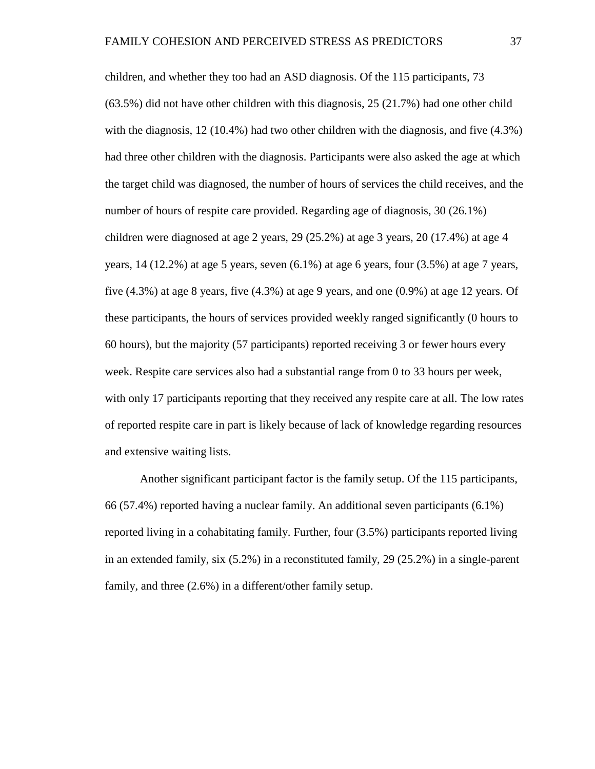children, and whether they too had an ASD diagnosis. Of the 115 participants, 73 (63.5%) did not have other children with this diagnosis, 25 (21.7%) had one other child with the diagnosis, 12 (10.4%) had two other children with the diagnosis, and five (4.3%) had three other children with the diagnosis. Participants were also asked the age at which the target child was diagnosed, the number of hours of services the child receives, and the number of hours of respite care provided. Regarding age of diagnosis, 30 (26.1%) children were diagnosed at age 2 years, 29 (25.2%) at age 3 years, 20 (17.4%) at age 4 years,  $14$  (12.2%) at age 5 years, seven  $(6.1\%)$  at age 6 years, four (3.5%) at age 7 years, five  $(4.3\%)$  at age 8 years, five  $(4.3\%)$  at age 9 years, and one  $(0.9\%)$  at age 12 years. Of these participants, the hours of services provided weekly ranged significantly (0 hours to 60 hours), but the majority (57 participants) reported receiving 3 or fewer hours every week. Respite care services also had a substantial range from 0 to 33 hours per week, with only 17 participants reporting that they received any respite care at all. The low rates of reported respite care in part is likely because of lack of knowledge regarding resources and extensive waiting lists.

Another significant participant factor is the family setup. Of the 115 participants, 66 (57.4%) reported having a nuclear family. An additional seven participants (6.1%) reported living in a cohabitating family. Further, four (3.5%) participants reported living in an extended family, six (5.2%) in a reconstituted family, 29 (25.2%) in a single-parent family, and three (2.6%) in a different/other family setup.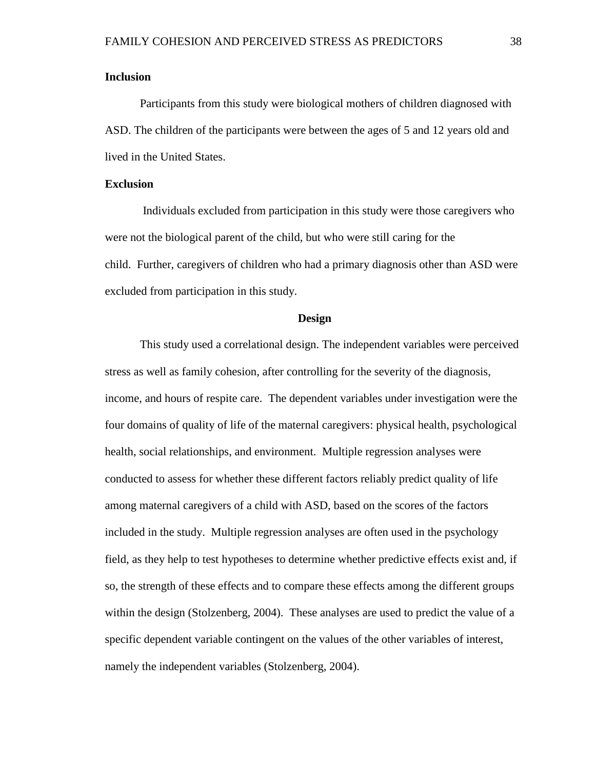#### **Inclusion**

Participants from this study were biological mothers of children diagnosed with ASD. The children of the participants were between the ages of 5 and 12 years old and lived in the United States.

### **Exclusion**

Individuals excluded from participation in this study were those caregivers who were not the biological parent of the child, but who were still caring for the child. Further, caregivers of children who had a primary diagnosis other than ASD were excluded from participation in this study.

#### **Design**

This study used a correlational design. The independent variables were perceived stress as well as family cohesion, after controlling for the severity of the diagnosis, income, and hours of respite care. The dependent variables under investigation were the four domains of quality of life of the maternal caregivers: physical health, psychological health, social relationships, and environment. Multiple regression analyses were conducted to assess for whether these different factors reliably predict quality of life among maternal caregivers of a child with ASD, based on the scores of the factors included in the study. Multiple regression analyses are often used in the psychology field, as they help to test hypotheses to determine whether predictive effects exist and, if so, the strength of these effects and to compare these effects among the different groups within the design (Stolzenberg, 2004). These analyses are used to predict the value of a specific dependent variable contingent on the values of the other variables of interest, namely the independent variables (Stolzenberg, 2004).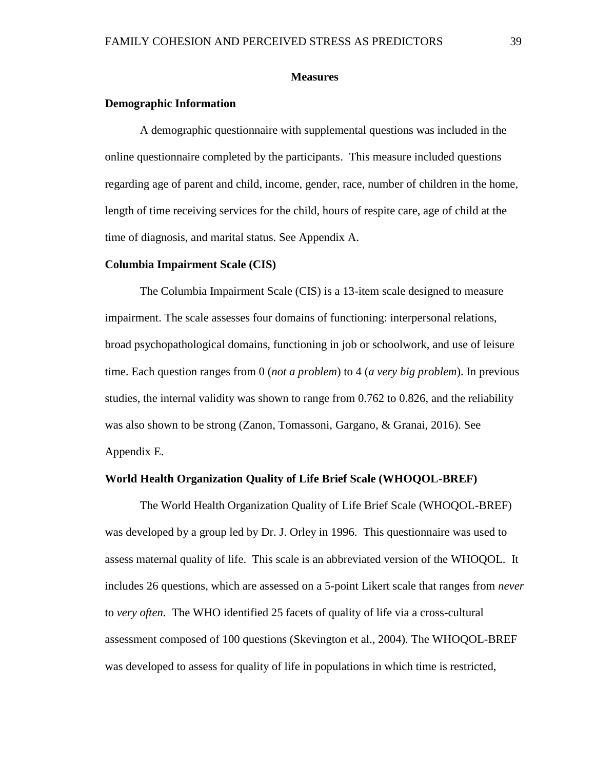#### **Measures**

## **Demographic Information**

A demographic questionnaire with supplemental questions was included in the online questionnaire completed by the participants. This measure included questions regarding age of parent and child, income, gender, race, number of children in the home, length of time receiving services for the child, hours of respite care, age of child at the time of diagnosis, and marital status. See Appendix A.

#### **Columbia Impairment Scale (CIS)**

The Columbia Impairment Scale (CIS) is a 13-item scale designed to measure impairment. The scale assesses four domains of functioning: interpersonal relations, broad psychopathological domains, functioning in job or schoolwork, and use of leisure time. Each question ranges from 0 (*not a problem*) to 4 (*a very big problem*). In previous studies, the internal validity was shown to range from 0.762 to 0.826, and the reliability was also shown to be strong (Zanon, Tomassoni, Gargano, & Granai, 2016). See Appendix E.

## **World Health Organization Quality of Life Brief Scale (WHOQOL-BREF)**

The World Health Organization Quality of Life Brief Scale (WHOQOL-BREF) was developed by a group led by Dr. J. Orley in 1996. This questionnaire was used to assess maternal quality of life. This scale is an abbreviated version of the WHOQOL. It includes 26 questions, which are assessed on a 5-point Likert scale that ranges from *never* to *very often*. The WHO identified 25 facets of quality of life via a cross-cultural assessment composed of 100 questions (Skevington et al., 2004). The WHOQOL-BREF was developed to assess for quality of life in populations in which time is restricted,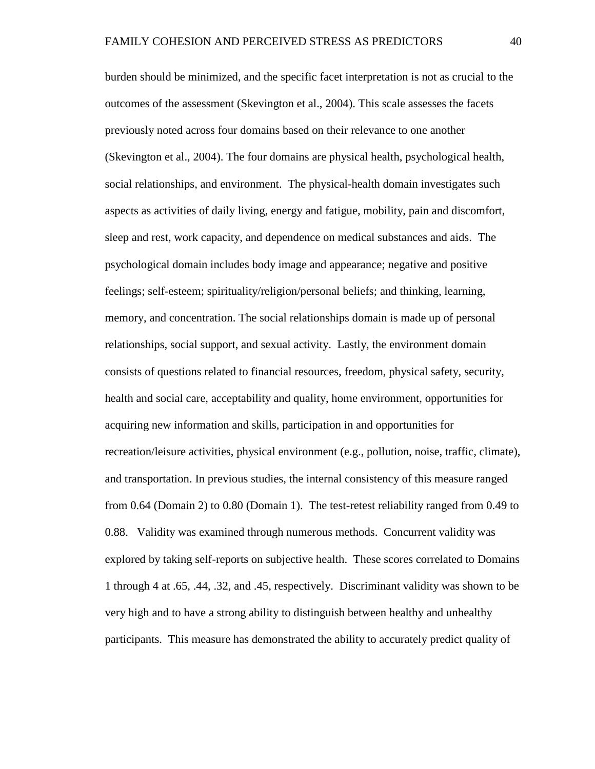burden should be minimized, and the specific facet interpretation is not as crucial to the outcomes of the assessment (Skevington et al., 2004). This scale assesses the facets previously noted across four domains based on their relevance to one another (Skevington et al., 2004). The four domains are physical health, psychological health, social relationships, and environment. The physical-health domain investigates such aspects as activities of daily living, energy and fatigue, mobility, pain and discomfort, sleep and rest, work capacity, and dependence on medical substances and aids. The psychological domain includes body image and appearance; negative and positive feelings; self-esteem; spirituality/religion/personal beliefs; and thinking, learning, memory, and concentration. The social relationships domain is made up of personal relationships, social support, and sexual activity. Lastly, the environment domain consists of questions related to financial resources, freedom, physical safety, security, health and social care, acceptability and quality, home environment, opportunities for acquiring new information and skills, participation in and opportunities for recreation/leisure activities, physical environment (e.g., pollution, noise, traffic, climate), and transportation. In previous studies, the internal consistency of this measure ranged from 0.64 (Domain 2) to 0.80 (Domain 1). The test-retest reliability ranged from 0.49 to 0.88. Validity was examined through numerous methods. Concurrent validity was explored by taking self-reports on subjective health. These scores correlated to Domains 1 through 4 at .65, .44, .32, and .45, respectively. Discriminant validity was shown to be very high and to have a strong ability to distinguish between healthy and unhealthy participants. This measure has demonstrated the ability to accurately predict quality of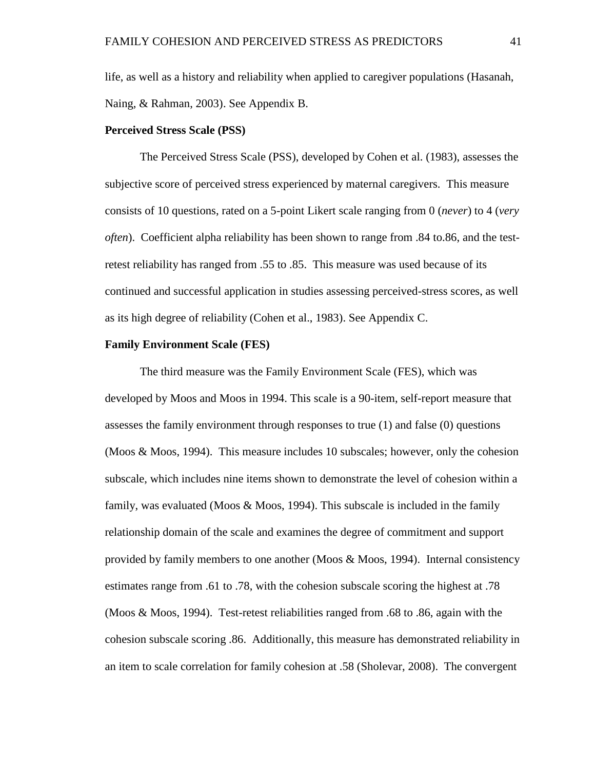life, as well as a history and reliability when applied to caregiver populations (Hasanah, Naing, & Rahman, 2003). See Appendix B.

#### **Perceived Stress Scale (PSS)**

The Perceived Stress Scale (PSS), developed by Cohen et al. (1983), assesses the subjective score of perceived stress experienced by maternal caregivers. This measure consists of 10 questions, rated on a 5-point Likert scale ranging from 0 (*never*) to 4 (*very often*). Coefficient alpha reliability has been shown to range from .84 to.86, and the testretest reliability has ranged from .55 to .85. This measure was used because of its continued and successful application in studies assessing perceived-stress scores, as well as its high degree of reliability (Cohen et al., 1983). See Appendix C.

#### **Family Environment Scale (FES)**

The third measure was the Family Environment Scale (FES), which was developed by Moos and Moos in 1994. This scale is a 90-item, self-report measure that assesses the family environment through responses to true (1) and false (0) questions (Moos & Moos, 1994). This measure includes 10 subscales; however, only the cohesion subscale, which includes nine items shown to demonstrate the level of cohesion within a family, was evaluated (Moos & Moos, 1994). This subscale is included in the family relationship domain of the scale and examines the degree of commitment and support provided by family members to one another (Moos & Moos, 1994). Internal consistency estimates range from .61 to .78, with the cohesion subscale scoring the highest at .78 (Moos & Moos, 1994). Test-retest reliabilities ranged from .68 to .86, again with the cohesion subscale scoring .86. Additionally, this measure has demonstrated reliability in an item to scale correlation for family cohesion at .58 (Sholevar, 2008). The convergent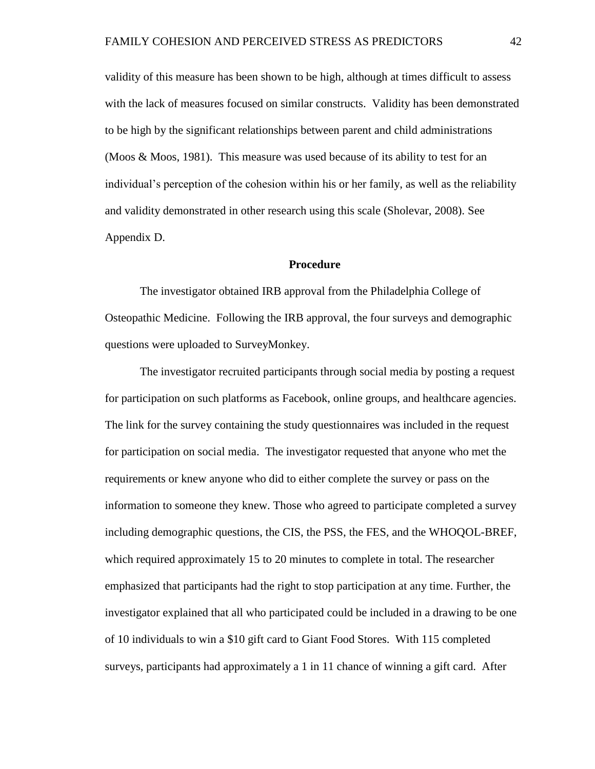validity of this measure has been shown to be high, although at times difficult to assess with the lack of measures focused on similar constructs. Validity has been demonstrated to be high by the significant relationships between parent and child administrations (Moos & Moos, 1981). This measure was used because of its ability to test for an individual's perception of the cohesion within his or her family, as well as the reliability and validity demonstrated in other research using this scale (Sholevar, 2008). See Appendix D.

#### **Procedure**

The investigator obtained IRB approval from the Philadelphia College of Osteopathic Medicine. Following the IRB approval, the four surveys and demographic questions were uploaded to SurveyMonkey.

The investigator recruited participants through social media by posting a request for participation on such platforms as Facebook, online groups, and healthcare agencies. The link for the survey containing the study questionnaires was included in the request for participation on social media. The investigator requested that anyone who met the requirements or knew anyone who did to either complete the survey or pass on the information to someone they knew. Those who agreed to participate completed a survey including demographic questions, the CIS, the PSS, the FES, and the WHOQOL-BREF, which required approximately 15 to 20 minutes to complete in total. The researcher emphasized that participants had the right to stop participation at any time. Further, the investigator explained that all who participated could be included in a drawing to be one of 10 individuals to win a \$10 gift card to Giant Food Stores. With 115 completed surveys, participants had approximately a 1 in 11 chance of winning a gift card. After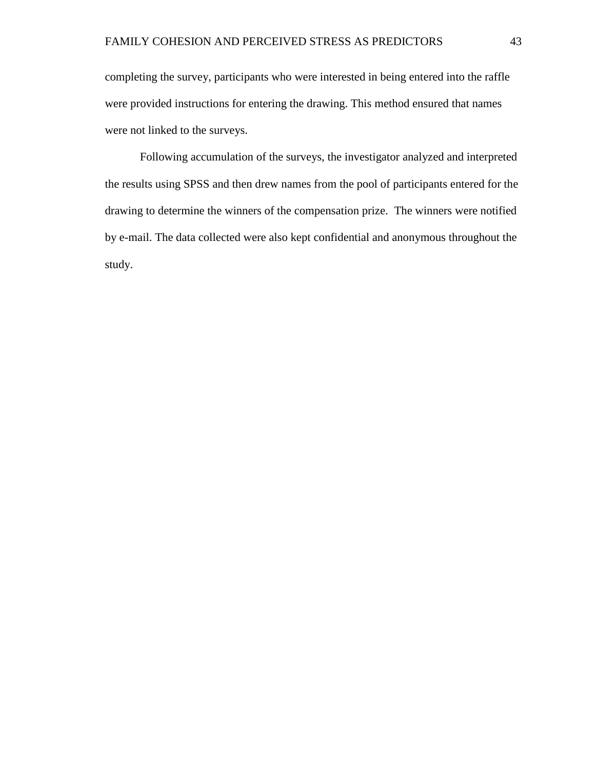completing the survey, participants who were interested in being entered into the raffle were provided instructions for entering the drawing. This method ensured that names were not linked to the surveys.

Following accumulation of the surveys, the investigator analyzed and interpreted the results using SPSS and then drew names from the pool of participants entered for the drawing to determine the winners of the compensation prize. The winners were notified by e-mail. The data collected were also kept confidential and anonymous throughout the study.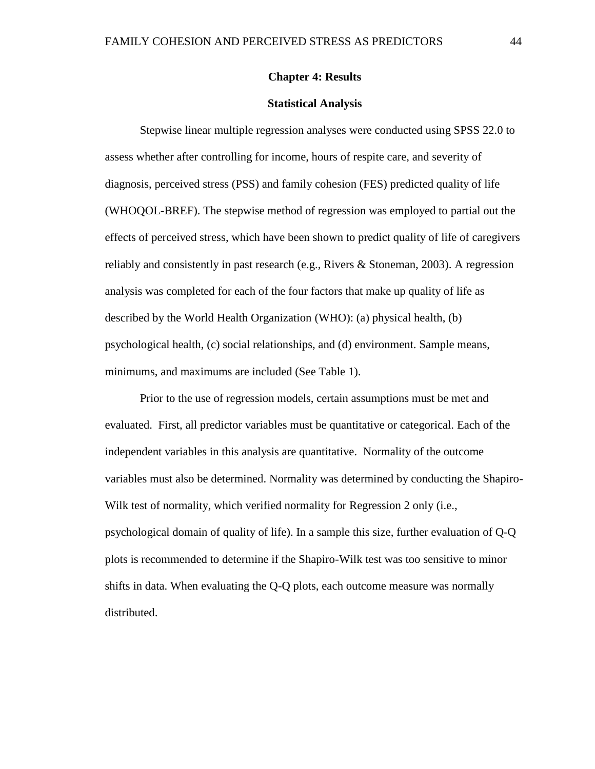## **Chapter 4: Results**

#### **Statistical Analysis**

Stepwise linear multiple regression analyses were conducted using SPSS 22.0 to assess whether after controlling for income, hours of respite care, and severity of diagnosis, perceived stress (PSS) and family cohesion (FES) predicted quality of life (WHOQOL-BREF). The stepwise method of regression was employed to partial out the effects of perceived stress, which have been shown to predict quality of life of caregivers reliably and consistently in past research (e.g., Rivers & Stoneman, 2003). A regression analysis was completed for each of the four factors that make up quality of life as described by the World Health Organization (WHO): (a) physical health, (b) psychological health, (c) social relationships, and (d) environment. Sample means, minimums, and maximums are included (See Table 1).

Prior to the use of regression models, certain assumptions must be met and evaluated. First, all predictor variables must be quantitative or categorical. Each of the independent variables in this analysis are quantitative. Normality of the outcome variables must also be determined. Normality was determined by conducting the Shapiro-Wilk test of normality, which verified normality for Regression 2 only (i.e., psychological domain of quality of life). In a sample this size, further evaluation of Q-Q plots is recommended to determine if the Shapiro-Wilk test was too sensitive to minor shifts in data. When evaluating the Q-Q plots, each outcome measure was normally distributed.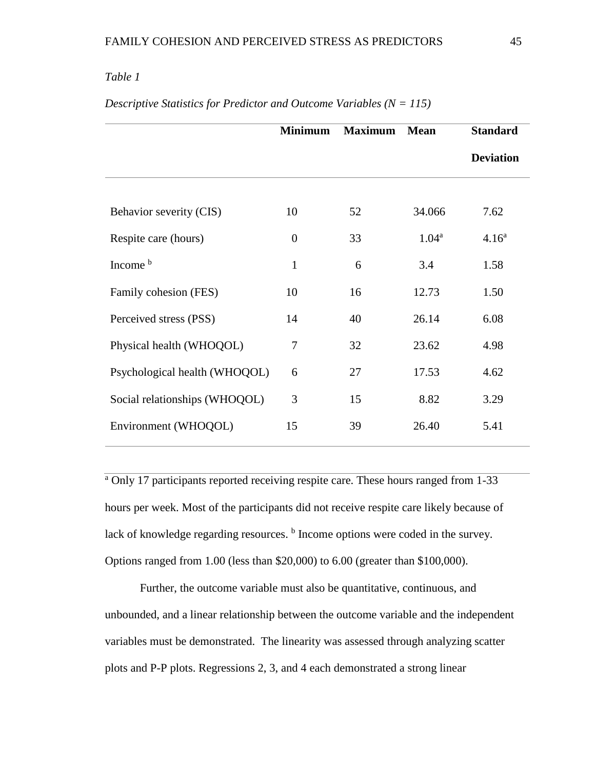# *Table 1*

|                               | <b>Minimum</b> | <b>Maximum</b> | <b>Mean</b>       | <b>Standard</b>   |
|-------------------------------|----------------|----------------|-------------------|-------------------|
|                               |                |                |                   | <b>Deviation</b>  |
|                               |                |                |                   |                   |
| Behavior severity (CIS)       | 10             | 52             | 34.066            | 7.62              |
| Respite care (hours)          | $\overline{0}$ | 33             | 1.04 <sup>a</sup> | 4.16 <sup>a</sup> |
| Income <sup>b</sup>           | $\mathbf{1}$   | 6              | 3.4               | 1.58              |
| Family cohesion (FES)         | 10             | 16             | 12.73             | 1.50              |
| Perceived stress (PSS)        | 14             | 40             | 26.14             | 6.08              |
| Physical health (WHOQOL)      | 7              | 32             | 23.62             | 4.98              |
| Psychological health (WHOQOL) | 6              | 27             | 17.53             | 4.62              |
| Social relationships (WHOQOL) | 3              | 15             | 8.82              | 3.29              |
| Environment (WHOQOL)          | 15             | 39             | 26.40             | 5.41              |

*Descriptive Statistics for Predictor and Outcome Variables (N = 115)*

<sup>a</sup> Only 17 participants reported receiving respite care. These hours ranged from 1-33 hours per week. Most of the participants did not receive respite care likely because of lack of knowledge regarding resources. <sup>b</sup> Income options were coded in the survey. Options ranged from 1.00 (less than \$20,000) to 6.00 (greater than \$100,000).

Further, the outcome variable must also be quantitative, continuous, and unbounded, and a linear relationship between the outcome variable and the independent variables must be demonstrated. The linearity was assessed through analyzing scatter plots and P-P plots. Regressions 2, 3, and 4 each demonstrated a strong linear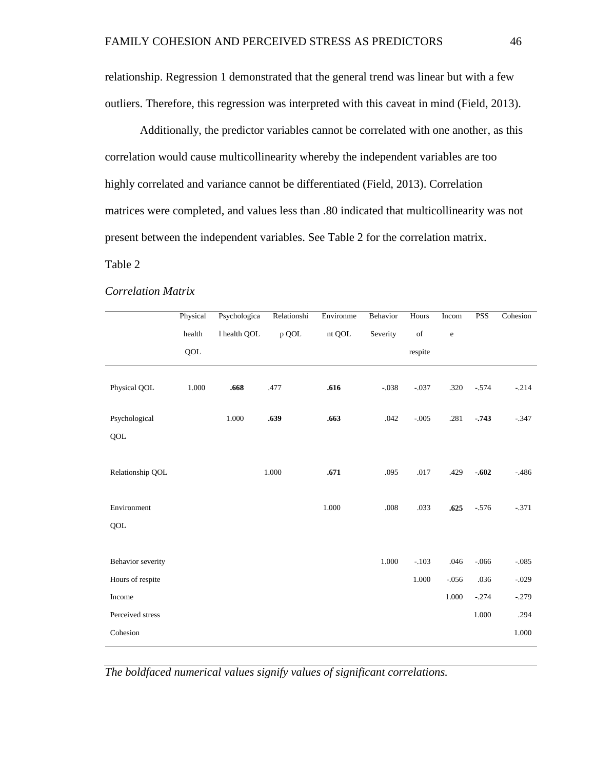relationship. Regression 1 demonstrated that the general trend was linear but with a few outliers. Therefore, this regression was interpreted with this caveat in mind (Field, 2013).

Additionally, the predictor variables cannot be correlated with one another, as this correlation would cause multicollinearity whereby the independent variables are too highly correlated and variance cannot be differentiated (Field, 2013). Correlation matrices were completed, and values less than .80 indicated that multicollinearity was not present between the independent variables. See Table 2 for the correlation matrix.

## Table 2

|                   | Physical | Psychologica | Relationshi | Environme | Behavior | Hours            | Incom       | <b>PSS</b> | Cohesion |
|-------------------|----------|--------------|-------------|-----------|----------|------------------|-------------|------------|----------|
|                   | health   | 1 health QOL | p QOL       | nt QOL    | Severity | $_{\mathrm{of}}$ | $\mathbf e$ |            |          |
|                   | QOL      |              |             |           |          | respite          |             |            |          |
|                   |          |              |             |           |          |                  |             |            |          |
| Physical QOL      | 1.000    | .668         | .477        | .616      | $-.038$  | $-.037$          | .320        | $-.574$    | $-.214$  |
|                   |          |              |             |           |          |                  |             |            |          |
| Psychological     |          | 1.000        | .639        | .663      | .042     | $-.005$          | .281        | $-.743$    | $-.347$  |
| QOL               |          |              |             |           |          |                  |             |            |          |
|                   |          |              |             |           |          |                  |             |            |          |
| Relationship QOL  |          |              | 1.000       | .671      | .095     | .017             | .429        | $-.602$    | $-486$   |
|                   |          |              |             |           |          |                  |             |            |          |
| Environment       |          |              |             | 1.000     | $.008\,$ | .033             | .625        | $-.576$    | $-.371$  |
| QOL               |          |              |             |           |          |                  |             |            |          |
|                   |          |              |             |           |          |                  |             |            |          |
| Behavior severity |          |              |             |           | 1.000    | $-.103$          | .046        | $-.066$    | $-.085$  |
| Hours of respite  |          |              |             |           |          | 1.000            | $-.056$     | .036       | $-.029$  |
| Income            |          |              |             |           |          |                  | 1.000       | $-.274$    | $-.279$  |
| Perceived stress  |          |              |             |           |          |                  |             | 1.000      | .294     |
| Cohesion          |          |              |             |           |          |                  |             |            | 1.000    |

#### *Correlation Matrix*

*The boldfaced numerical values signify values of significant correlations.*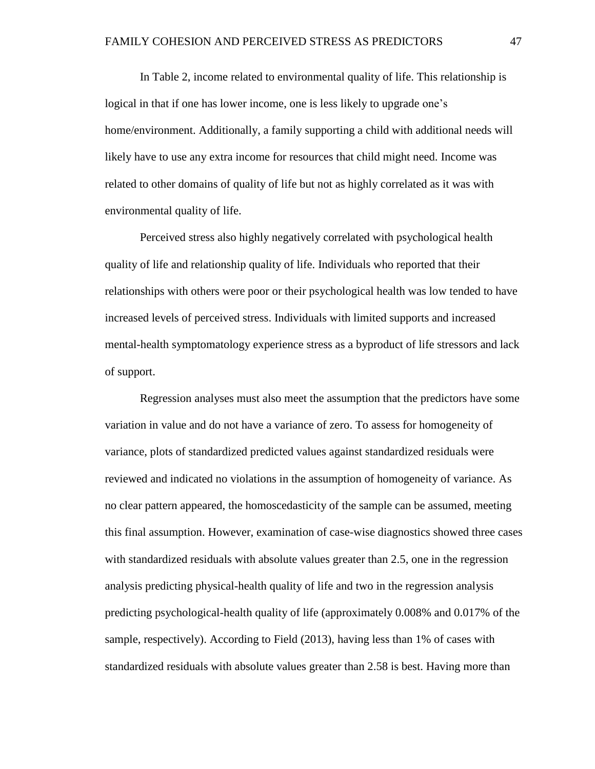In Table 2, income related to environmental quality of life. This relationship is logical in that if one has lower income, one is less likely to upgrade one's home/environment. Additionally, a family supporting a child with additional needs will likely have to use any extra income for resources that child might need. Income was related to other domains of quality of life but not as highly correlated as it was with environmental quality of life.

Perceived stress also highly negatively correlated with psychological health quality of life and relationship quality of life. Individuals who reported that their relationships with others were poor or their psychological health was low tended to have increased levels of perceived stress. Individuals with limited supports and increased mental-health symptomatology experience stress as a byproduct of life stressors and lack of support.

Regression analyses must also meet the assumption that the predictors have some variation in value and do not have a variance of zero. To assess for homogeneity of variance, plots of standardized predicted values against standardized residuals were reviewed and indicated no violations in the assumption of homogeneity of variance. As no clear pattern appeared, the homoscedasticity of the sample can be assumed, meeting this final assumption. However, examination of case-wise diagnostics showed three cases with standardized residuals with absolute values greater than 2.5, one in the regression analysis predicting physical-health quality of life and two in the regression analysis predicting psychological-health quality of life (approximately 0.008% and 0.017% of the sample, respectively). According to Field (2013), having less than 1% of cases with standardized residuals with absolute values greater than 2.58 is best. Having more than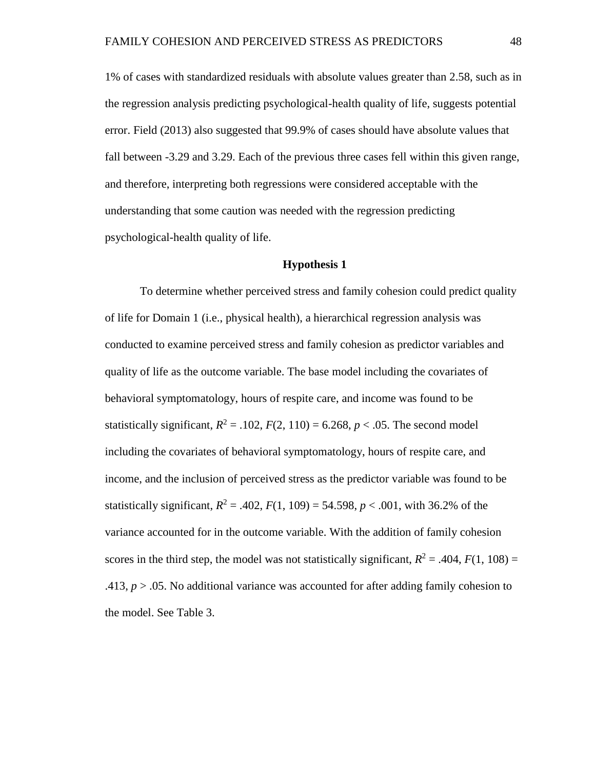1% of cases with standardized residuals with absolute values greater than 2.58, such as in the regression analysis predicting psychological-health quality of life, suggests potential error. Field (2013) also suggested that 99.9% of cases should have absolute values that fall between -3.29 and 3.29. Each of the previous three cases fell within this given range, and therefore, interpreting both regressions were considered acceptable with the understanding that some caution was needed with the regression predicting psychological-health quality of life.

#### **Hypothesis 1**

To determine whether perceived stress and family cohesion could predict quality of life for Domain 1 (i.e., physical health), a hierarchical regression analysis was conducted to examine perceived stress and family cohesion as predictor variables and quality of life as the outcome variable. The base model including the covariates of behavioral symptomatology, hours of respite care, and income was found to be statistically significant,  $R^2 = .102$ ,  $F(2, 110) = 6.268$ ,  $p < .05$ . The second model including the covariates of behavioral symptomatology, hours of respite care, and income, and the inclusion of perceived stress as the predictor variable was found to be statistically significant,  $R^2 = .402$ ,  $F(1, 109) = 54.598$ ,  $p < .001$ , with 36.2% of the variance accounted for in the outcome variable. With the addition of family cohesion scores in the third step, the model was not statistically significant,  $R^2 = .404$ ,  $F(1, 108) =$ .413, *p* > .05. No additional variance was accounted for after adding family cohesion to the model. See Table 3.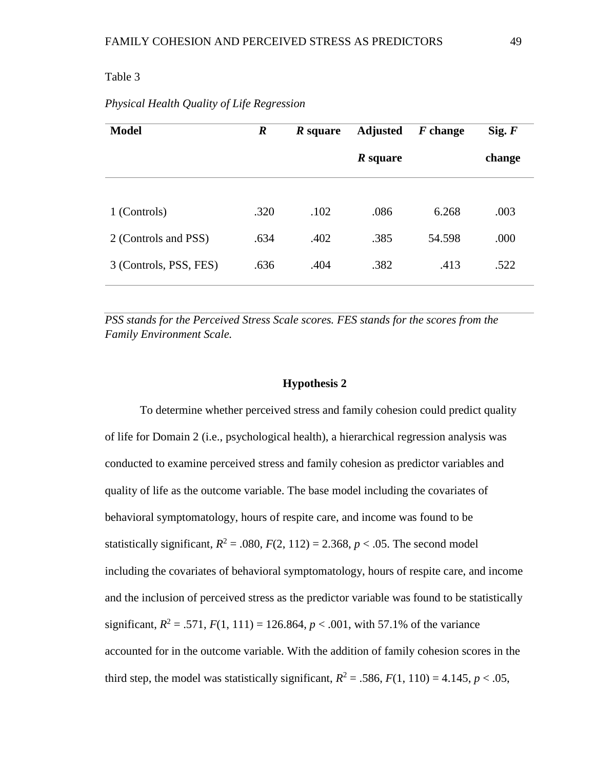## Table 3

| <b>Model</b>           | $\boldsymbol{R}$ | <i>R</i> square | <b>Adjusted</b> | $F$ change | Sig. F |
|------------------------|------------------|-----------------|-----------------|------------|--------|
|                        |                  |                 | <i>R</i> square |            | change |
|                        |                  |                 |                 |            |        |
| 1 (Controls)           | .320             | .102            | .086            | 6.268      | .003   |
| 2 (Controls and PSS)   | .634             | .402            | .385            | 54.598     | .000   |
| 3 (Controls, PSS, FES) | .636             | .404            | .382            | .413       | .522   |

## *Physical Health Quality of Life Regression*

*PSS stands for the Perceived Stress Scale scores. FES stands for the scores from the Family Environment Scale.*

#### **Hypothesis 2**

To determine whether perceived stress and family cohesion could predict quality of life for Domain 2 (i.e., psychological health), a hierarchical regression analysis was conducted to examine perceived stress and family cohesion as predictor variables and quality of life as the outcome variable. The base model including the covariates of behavioral symptomatology, hours of respite care, and income was found to be statistically significant,  $R^2 = .080$ ,  $F(2, 112) = 2.368$ ,  $p < .05$ . The second model including the covariates of behavioral symptomatology, hours of respite care, and income and the inclusion of perceived stress as the predictor variable was found to be statistically significant,  $R^2 = .571$ ,  $F(1, 111) = 126.864$ ,  $p < .001$ , with 57.1% of the variance accounted for in the outcome variable. With the addition of family cohesion scores in the third step, the model was statistically significant,  $R^2 = .586$ ,  $F(1, 110) = 4.145$ ,  $p < .05$ ,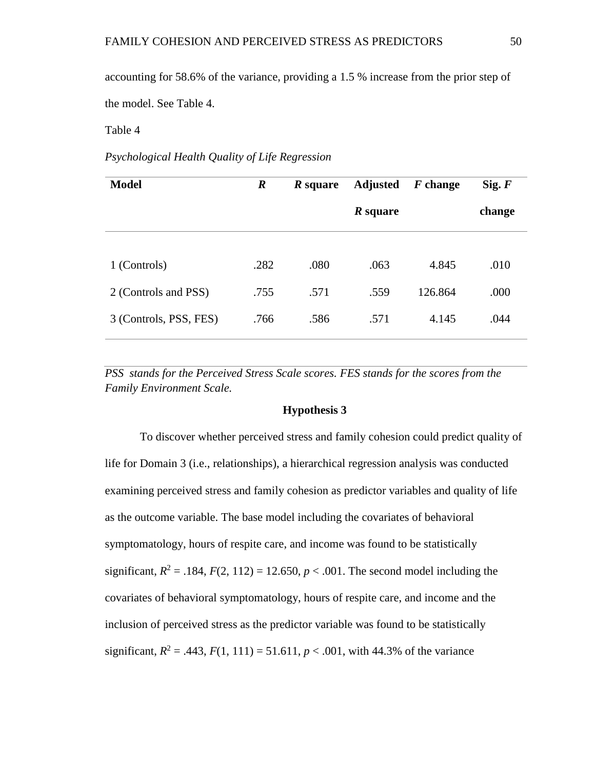accounting for 58.6% of the variance, providing a 1.5 % increase from the prior step of the model. See Table 4.

Table 4

## *Psychological Health Quality of Life Regression*

| <b>Model</b>           | $\boldsymbol{R}$ | <i>R</i> square | <b>Adjusted</b> | $F$ change | Sig. F |
|------------------------|------------------|-----------------|-----------------|------------|--------|
|                        |                  |                 | $R square$      |            | change |
|                        |                  |                 |                 |            |        |
| 1 (Controls)           | .282             | .080            | .063            | 4.845      | .010   |
| 2 (Controls and PSS)   | .755             | .571            | .559            | 126.864    | .000   |
| 3 (Controls, PSS, FES) | .766             | .586            | .571            | 4.145      | .044   |

*PSS stands for the Perceived Stress Scale scores. FES stands for the scores from the Family Environment Scale.*

## **Hypothesis 3**

To discover whether perceived stress and family cohesion could predict quality of life for Domain 3 (i.e., relationships), a hierarchical regression analysis was conducted examining perceived stress and family cohesion as predictor variables and quality of life as the outcome variable. The base model including the covariates of behavioral symptomatology, hours of respite care, and income was found to be statistically significant,  $R^2 = .184$ ,  $F(2, 112) = 12.650$ ,  $p < .001$ . The second model including the covariates of behavioral symptomatology, hours of respite care, and income and the inclusion of perceived stress as the predictor variable was found to be statistically significant,  $R^2 = .443$ ,  $F(1, 111) = 51.611$ ,  $p < .001$ , with 44.3% of the variance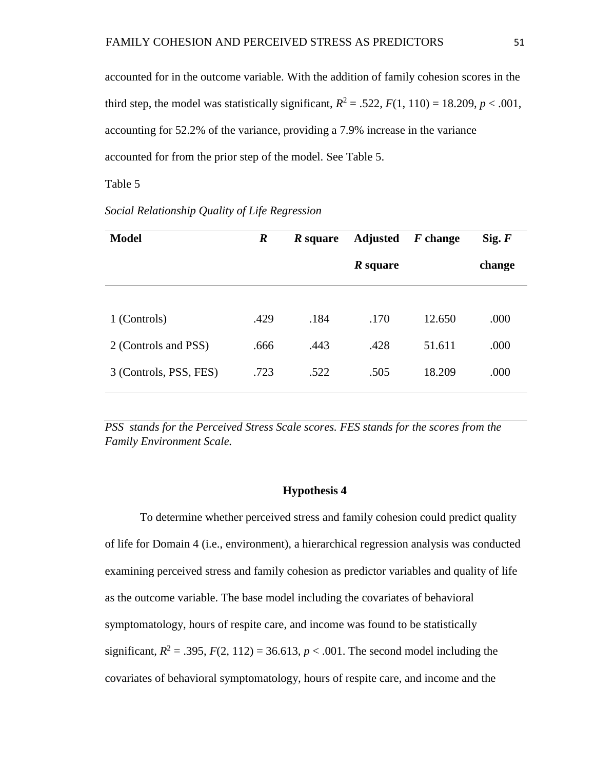accounted for in the outcome variable. With the addition of family cohesion scores in the third step, the model was statistically significant,  $R^2 = .522$ ,  $F(1, 110) = 18.209$ ,  $p < .001$ , accounting for 52.2% of the variance, providing a 7.9% increase in the variance accounted for from the prior step of the model. See Table 5.

Table 5

| <b>Model</b>           | $\boldsymbol{R}$ | <b>Adjusted</b><br><i>R</i> square |                 | F change | Sig. F |
|------------------------|------------------|------------------------------------|-----------------|----------|--------|
|                        |                  |                                    | <i>R</i> square |          | change |
|                        |                  |                                    |                 |          |        |
| 1 (Controls)           | .429             | .184                               | .170            | 12.650   | .000   |
| 2 (Controls and PSS)   | .666             | .443                               | .428            | 51.611   | .000   |
| 3 (Controls, PSS, FES) | .723             | .522                               | .505            | 18.209   | .000   |

## *Social Relationship Quality of Life Regression*

*PSS stands for the Perceived Stress Scale scores. FES stands for the scores from the Family Environment Scale.*

#### **Hypothesis 4**

To determine whether perceived stress and family cohesion could predict quality of life for Domain 4 (i.e., environment), a hierarchical regression analysis was conducted examining perceived stress and family cohesion as predictor variables and quality of life as the outcome variable. The base model including the covariates of behavioral symptomatology, hours of respite care, and income was found to be statistically significant,  $R^2 = .395$ ,  $F(2, 112) = 36.613$ ,  $p < .001$ . The second model including the covariates of behavioral symptomatology, hours of respite care, and income and the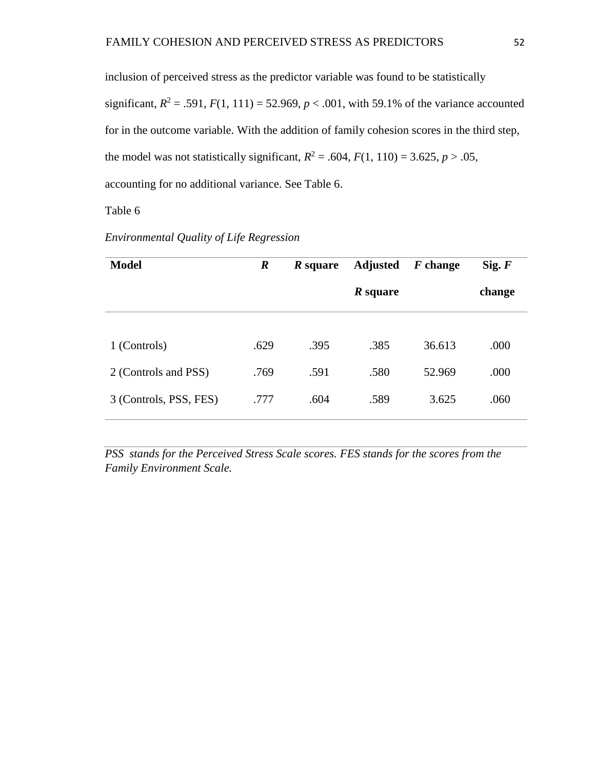inclusion of perceived stress as the predictor variable was found to be statistically significant,  $R^2 = .591$ ,  $F(1, 111) = 52.969$ ,  $p < .001$ , with 59.1% of the variance accounted for in the outcome variable. With the addition of family cohesion scores in the third step, the model was not statistically significant,  $R^2 = .604$ ,  $F(1, 110) = 3.625$ ,  $p > .05$ , accounting for no additional variance. See Table 6.

# Table 6

# *Environmental Quality of Life Regression*

| <b>Model</b>           | $\boldsymbol{R}$ | <i>R</i> square | <b>Adjusted</b> | $F$ change | Sig. F |
|------------------------|------------------|-----------------|-----------------|------------|--------|
|                        |                  |                 | <i>R</i> square |            | change |
|                        |                  |                 |                 |            |        |
| 1 (Controls)           | .629             | .395            | .385            | 36.613     | .000   |
| 2 (Controls and PSS)   | .769             | .591            | .580            | 52.969     | .000   |
| 3 (Controls, PSS, FES) | .777             | .604            | .589            | 3.625      | .060   |

**PSS** stands for the Perceived Stress Scale scores. FES stands for the scores from the *Family Environment Scale.*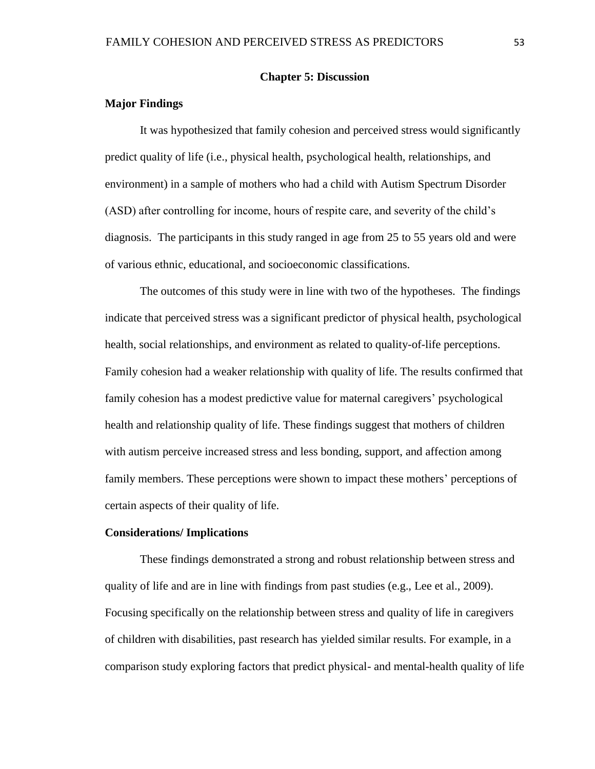## **Chapter 5: Discussion**

## **Major Findings**

It was hypothesized that family cohesion and perceived stress would significantly predict quality of life (i.e., physical health, psychological health, relationships, and environment) in a sample of mothers who had a child with Autism Spectrum Disorder (ASD) after controlling for income, hours of respite care, and severity of the child's diagnosis. The participants in this study ranged in age from 25 to 55 years old and were of various ethnic, educational, and socioeconomic classifications.

The outcomes of this study were in line with two of the hypotheses. The findings indicate that perceived stress was a significant predictor of physical health, psychological health, social relationships, and environment as related to quality-of-life perceptions. Family cohesion had a weaker relationship with quality of life. The results confirmed that family cohesion has a modest predictive value for maternal caregivers' psychological health and relationship quality of life. These findings suggest that mothers of children with autism perceive increased stress and less bonding, support, and affection among family members. These perceptions were shown to impact these mothers' perceptions of certain aspects of their quality of life.

#### **Considerations/ Implications**

These findings demonstrated a strong and robust relationship between stress and quality of life and are in line with findings from past studies (e.g., Lee et al., 2009). Focusing specifically on the relationship between stress and quality of life in caregivers of children with disabilities, past research has yielded similar results. For example, in a comparison study exploring factors that predict physical- and mental-health quality of life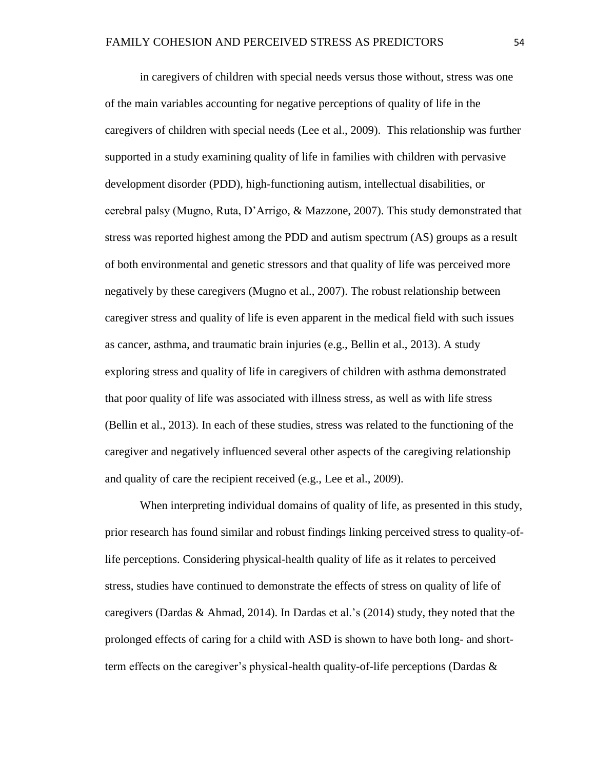in caregivers of children with special needs versus those without, stress was one of the main variables accounting for negative perceptions of quality of life in the caregivers of children with special needs (Lee et al., 2009). This relationship was further supported in a study examining quality of life in families with children with pervasive development disorder (PDD), high-functioning autism, intellectual disabilities, or cerebral palsy (Mugno, Ruta, D'Arrigo, & Mazzone, 2007). This study demonstrated that stress was reported highest among the PDD and autism spectrum (AS) groups as a result of both environmental and genetic stressors and that quality of life was perceived more negatively by these caregivers (Mugno et al., 2007). The robust relationship between caregiver stress and quality of life is even apparent in the medical field with such issues as cancer, asthma, and traumatic brain injuries (e.g., Bellin et al., 2013). A study exploring stress and quality of life in caregivers of children with asthma demonstrated that poor quality of life was associated with illness stress, as well as with life stress (Bellin et al., 2013). In each of these studies, stress was related to the functioning of the caregiver and negatively influenced several other aspects of the caregiving relationship and quality of care the recipient received (e.g., Lee et al., 2009).

When interpreting individual domains of quality of life, as presented in this study, prior research has found similar and robust findings linking perceived stress to quality-oflife perceptions. Considering physical-health quality of life as it relates to perceived stress, studies have continued to demonstrate the effects of stress on quality of life of caregivers (Dardas & Ahmad, 2014). In Dardas et al.'s (2014) study, they noted that the prolonged effects of caring for a child with ASD is shown to have both long- and shortterm effects on the caregiver's physical-health quality-of-life perceptions (Dardas  $\&$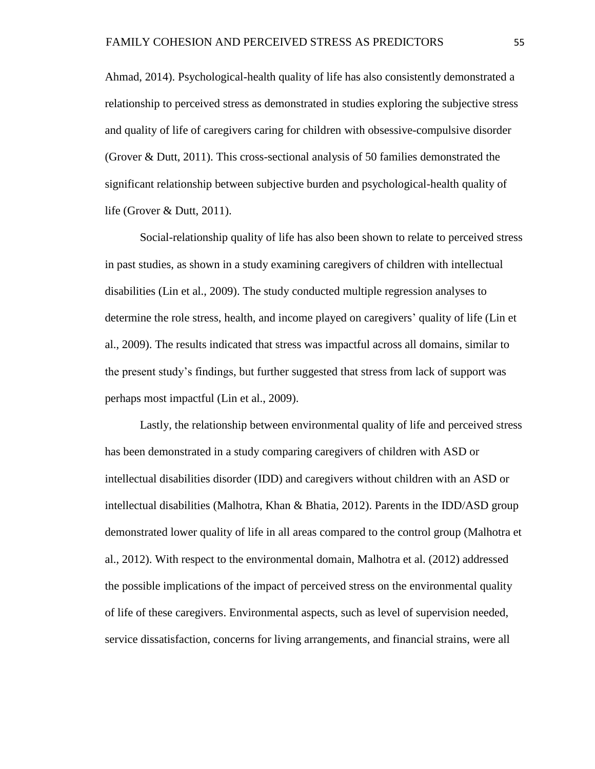Ahmad, 2014). Psychological-health quality of life has also consistently demonstrated a relationship to perceived stress as demonstrated in studies exploring the subjective stress and quality of life of caregivers caring for children with obsessive-compulsive disorder (Grover & Dutt, 2011). This cross-sectional analysis of 50 families demonstrated the significant relationship between subjective burden and psychological-health quality of life (Grover & Dutt, 2011).

Social-relationship quality of life has also been shown to relate to perceived stress in past studies, as shown in a study examining caregivers of children with intellectual disabilities (Lin et al., 2009). The study conducted multiple regression analyses to determine the role stress, health, and income played on caregivers' quality of life (Lin et al., 2009). The results indicated that stress was impactful across all domains, similar to the present study's findings, but further suggested that stress from lack of support was perhaps most impactful (Lin et al., 2009).

Lastly, the relationship between environmental quality of life and perceived stress has been demonstrated in a study comparing caregivers of children with ASD or intellectual disabilities disorder (IDD) and caregivers without children with an ASD or intellectual disabilities (Malhotra, Khan & Bhatia, 2012). Parents in the IDD/ASD group demonstrated lower quality of life in all areas compared to the control group (Malhotra et al., 2012). With respect to the environmental domain, Malhotra et al. (2012) addressed the possible implications of the impact of perceived stress on the environmental quality of life of these caregivers. Environmental aspects, such as level of supervision needed, service dissatisfaction, concerns for living arrangements, and financial strains, were all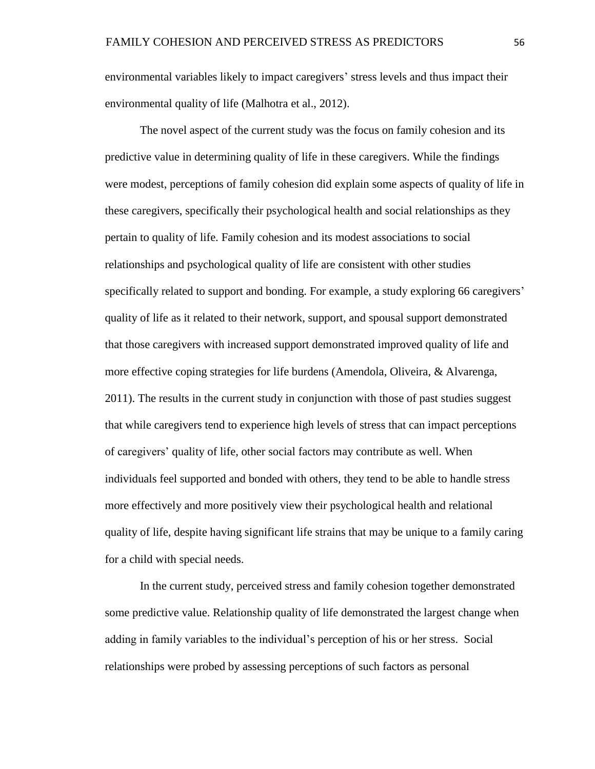environmental variables likely to impact caregivers' stress levels and thus impact their environmental quality of life (Malhotra et al., 2012).

The novel aspect of the current study was the focus on family cohesion and its predictive value in determining quality of life in these caregivers. While the findings were modest, perceptions of family cohesion did explain some aspects of quality of life in these caregivers, specifically their psychological health and social relationships as they pertain to quality of life. Family cohesion and its modest associations to social relationships and psychological quality of life are consistent with other studies specifically related to support and bonding. For example, a study exploring 66 caregivers' quality of life as it related to their network, support, and spousal support demonstrated that those caregivers with increased support demonstrated improved quality of life and more effective coping strategies for life burdens (Amendola, Oliveira, & Alvarenga, 2011). The results in the current study in conjunction with those of past studies suggest that while caregivers tend to experience high levels of stress that can impact perceptions of caregivers' quality of life, other social factors may contribute as well. When individuals feel supported and bonded with others, they tend to be able to handle stress more effectively and more positively view their psychological health and relational quality of life, despite having significant life strains that may be unique to a family caring for a child with special needs.

In the current study, perceived stress and family cohesion together demonstrated some predictive value. Relationship quality of life demonstrated the largest change when adding in family variables to the individual's perception of his or her stress. Social relationships were probed by assessing perceptions of such factors as personal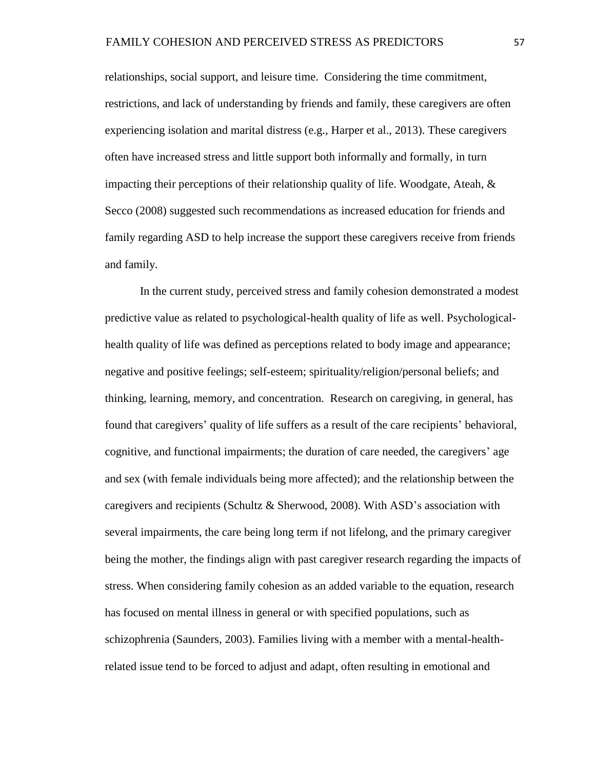relationships, social support, and leisure time. Considering the time commitment, restrictions, and lack of understanding by friends and family, these caregivers are often experiencing isolation and marital distress (e.g., Harper et al., 2013). These caregivers often have increased stress and little support both informally and formally, in turn impacting their perceptions of their relationship quality of life. Woodgate, Ateah,  $\&$ Secco (2008) suggested such recommendations as increased education for friends and family regarding ASD to help increase the support these caregivers receive from friends and family.

In the current study, perceived stress and family cohesion demonstrated a modest predictive value as related to psychological-health quality of life as well. Psychologicalhealth quality of life was defined as perceptions related to body image and appearance; negative and positive feelings; self-esteem; spirituality/religion/personal beliefs; and thinking, learning, memory, and concentration. Research on caregiving, in general, has found that caregivers' quality of life suffers as a result of the care recipients' behavioral, cognitive, and functional impairments; the duration of care needed, the caregivers' age and sex (with female individuals being more affected); and the relationship between the caregivers and recipients (Schultz & Sherwood, 2008). With ASD's association with several impairments, the care being long term if not lifelong, and the primary caregiver being the mother, the findings align with past caregiver research regarding the impacts of stress. When considering family cohesion as an added variable to the equation, research has focused on mental illness in general or with specified populations, such as schizophrenia (Saunders, 2003). Families living with a member with a mental-healthrelated issue tend to be forced to adjust and adapt, often resulting in emotional and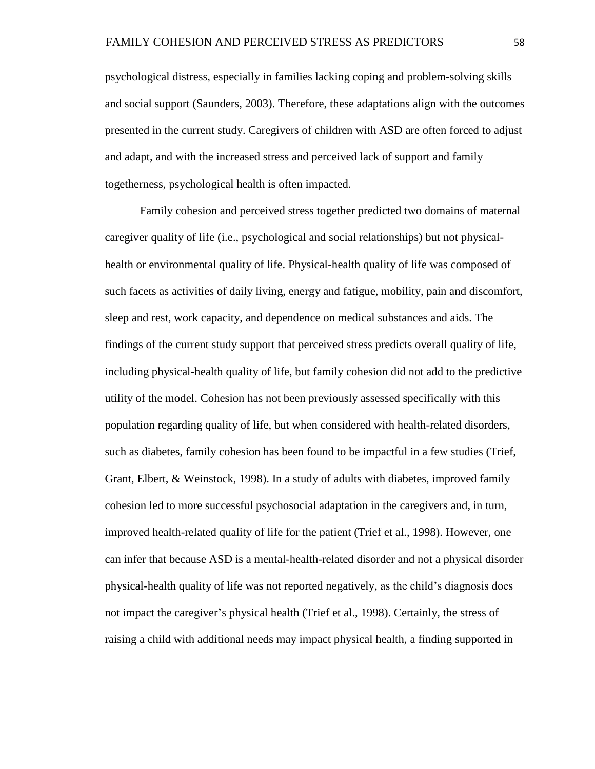psychological distress, especially in families lacking coping and problem-solving skills and social support (Saunders, 2003). Therefore, these adaptations align with the outcomes presented in the current study. Caregivers of children with ASD are often forced to adjust and adapt, and with the increased stress and perceived lack of support and family togetherness, psychological health is often impacted.

Family cohesion and perceived stress together predicted two domains of maternal caregiver quality of life (i.e., psychological and social relationships) but not physicalhealth or environmental quality of life. Physical-health quality of life was composed of such facets as activities of daily living, energy and fatigue, mobility, pain and discomfort, sleep and rest, work capacity, and dependence on medical substances and aids. The findings of the current study support that perceived stress predicts overall quality of life, including physical-health quality of life, but family cohesion did not add to the predictive utility of the model. Cohesion has not been previously assessed specifically with this population regarding quality of life, but when considered with health-related disorders, such as diabetes, family cohesion has been found to be impactful in a few studies (Trief, Grant, Elbert, & Weinstock, 1998). In a study of adults with diabetes, improved family cohesion led to more successful psychosocial adaptation in the caregivers and, in turn, improved health-related quality of life for the patient (Trief et al., 1998). However, one can infer that because ASD is a mental-health-related disorder and not a physical disorder physical-health quality of life was not reported negatively, as the child's diagnosis does not impact the caregiver's physical health (Trief et al., 1998). Certainly, the stress of raising a child with additional needs may impact physical health, a finding supported in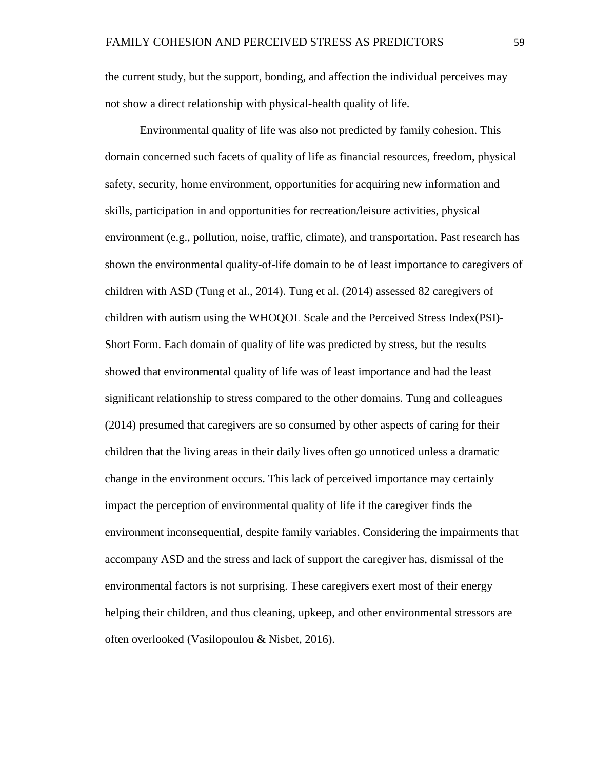the current study, but the support, bonding, and affection the individual perceives may not show a direct relationship with physical-health quality of life.

Environmental quality of life was also not predicted by family cohesion. This domain concerned such facets of quality of life as financial resources, freedom, physical safety, security, home environment, opportunities for acquiring new information and skills, participation in and opportunities for recreation/leisure activities, physical environment (e.g., pollution, noise, traffic, climate), and transportation. Past research has shown the environmental quality-of-life domain to be of least importance to caregivers of children with ASD (Tung et al., 2014). Tung et al. (2014) assessed 82 caregivers of children with autism using the WHOQOL Scale and the Perceived Stress Index(PSI)- Short Form. Each domain of quality of life was predicted by stress, but the results showed that environmental quality of life was of least importance and had the least significant relationship to stress compared to the other domains. Tung and colleagues (2014) presumed that caregivers are so consumed by other aspects of caring for their children that the living areas in their daily lives often go unnoticed unless a dramatic change in the environment occurs. This lack of perceived importance may certainly impact the perception of environmental quality of life if the caregiver finds the environment inconsequential, despite family variables. Considering the impairments that accompany ASD and the stress and lack of support the caregiver has, dismissal of the environmental factors is not surprising. These caregivers exert most of their energy helping their children, and thus cleaning, upkeep, and other environmental stressors are often overlooked (Vasilopoulou & Nisbet, 2016).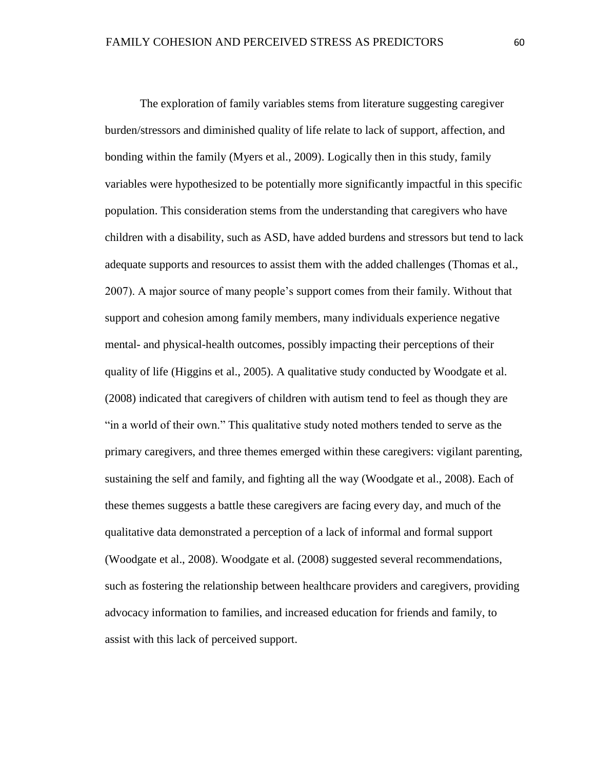The exploration of family variables stems from literature suggesting caregiver burden/stressors and diminished quality of life relate to lack of support, affection, and bonding within the family (Myers et al., 2009). Logically then in this study, family variables were hypothesized to be potentially more significantly impactful in this specific population. This consideration stems from the understanding that caregivers who have children with a disability, such as ASD, have added burdens and stressors but tend to lack adequate supports and resources to assist them with the added challenges (Thomas et al., 2007). A major source of many people's support comes from their family. Without that support and cohesion among family members, many individuals experience negative mental- and physical-health outcomes, possibly impacting their perceptions of their quality of life (Higgins et al., 2005). A qualitative study conducted by Woodgate et al. (2008) indicated that caregivers of children with autism tend to feel as though they are "in a world of their own." This qualitative study noted mothers tended to serve as the primary caregivers, and three themes emerged within these caregivers: vigilant parenting, sustaining the self and family, and fighting all the way (Woodgate et al., 2008). Each of these themes suggests a battle these caregivers are facing every day, and much of the qualitative data demonstrated a perception of a lack of informal and formal support (Woodgate et al., 2008). Woodgate et al. (2008) suggested several recommendations, such as fostering the relationship between healthcare providers and caregivers, providing advocacy information to families, and increased education for friends and family, to assist with this lack of perceived support.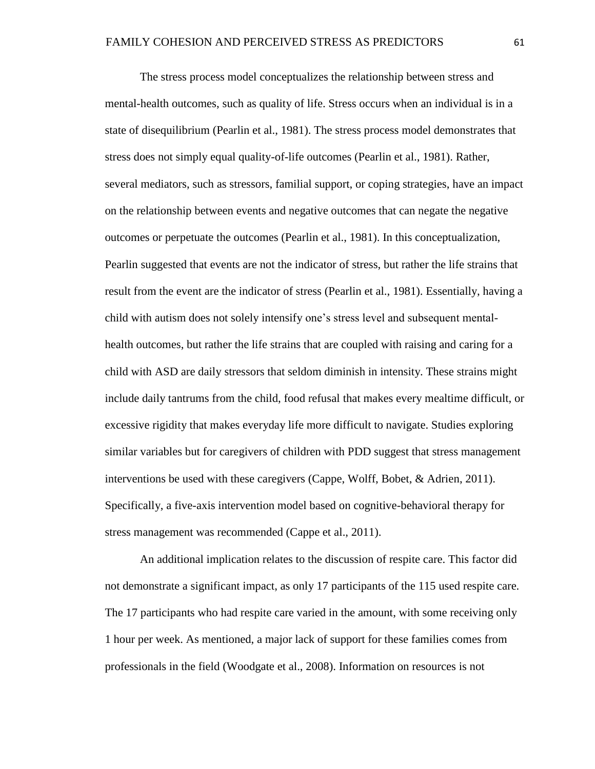The stress process model conceptualizes the relationship between stress and mental-health outcomes, such as quality of life. Stress occurs when an individual is in a state of disequilibrium (Pearlin et al., 1981). The stress process model demonstrates that stress does not simply equal quality-of-life outcomes (Pearlin et al., 1981). Rather, several mediators, such as stressors, familial support, or coping strategies, have an impact on the relationship between events and negative outcomes that can negate the negative outcomes or perpetuate the outcomes (Pearlin et al., 1981). In this conceptualization, Pearlin suggested that events are not the indicator of stress, but rather the life strains that result from the event are the indicator of stress (Pearlin et al., 1981). Essentially, having a child with autism does not solely intensify one's stress level and subsequent mentalhealth outcomes, but rather the life strains that are coupled with raising and caring for a child with ASD are daily stressors that seldom diminish in intensity. These strains might include daily tantrums from the child, food refusal that makes every mealtime difficult, or excessive rigidity that makes everyday life more difficult to navigate. Studies exploring similar variables but for caregivers of children with PDD suggest that stress management interventions be used with these caregivers (Cappe, Wolff, Bobet, & Adrien, 2011). Specifically, a five-axis intervention model based on cognitive-behavioral therapy for stress management was recommended (Cappe et al., 2011).

An additional implication relates to the discussion of respite care. This factor did not demonstrate a significant impact, as only 17 participants of the 115 used respite care. The 17 participants who had respite care varied in the amount, with some receiving only 1 hour per week. As mentioned, a major lack of support for these families comes from professionals in the field (Woodgate et al., 2008). Information on resources is not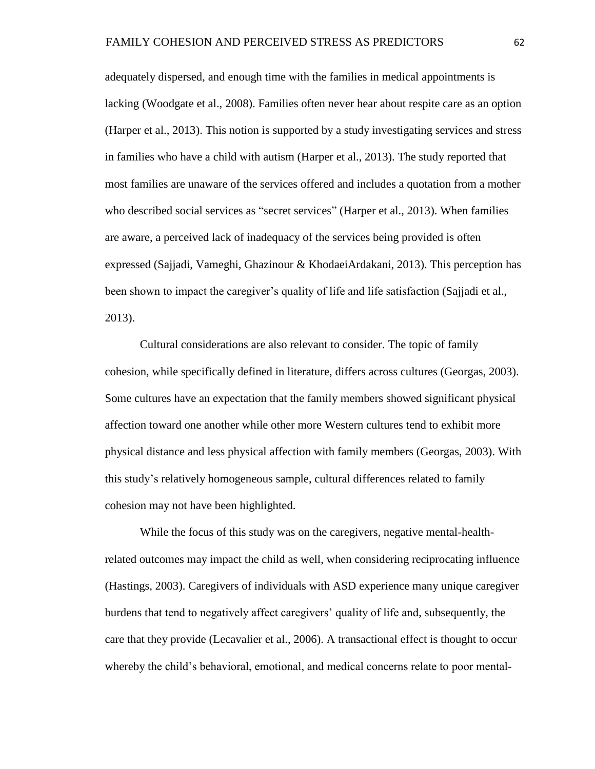adequately dispersed, and enough time with the families in medical appointments is lacking (Woodgate et al., 2008). Families often never hear about respite care as an option (Harper et al., 2013). This notion is supported by a study investigating services and stress in families who have a child with autism (Harper et al., 2013). The study reported that most families are unaware of the services offered and includes a quotation from a mother who described social services as "secret services" (Harper et al., 2013). When families are aware, a perceived lack of inadequacy of the services being provided is often expressed (Sajjadi, Vameghi, Ghazinour & KhodaeiArdakani, 2013). This perception has been shown to impact the caregiver's quality of life and life satisfaction (Sajjadi et al., 2013).

Cultural considerations are also relevant to consider. The topic of family cohesion, while specifically defined in literature, differs across cultures (Georgas, 2003). Some cultures have an expectation that the family members showed significant physical affection toward one another while other more Western cultures tend to exhibit more physical distance and less physical affection with family members (Georgas, 2003). With this study's relatively homogeneous sample, cultural differences related to family cohesion may not have been highlighted.

While the focus of this study was on the caregivers, negative mental-healthrelated outcomes may impact the child as well, when considering reciprocating influence (Hastings, 2003). Caregivers of individuals with ASD experience many unique caregiver burdens that tend to negatively affect caregivers' quality of life and, subsequently, the care that they provide (Lecavalier et al., 2006). A transactional effect is thought to occur whereby the child's behavioral, emotional, and medical concerns relate to poor mental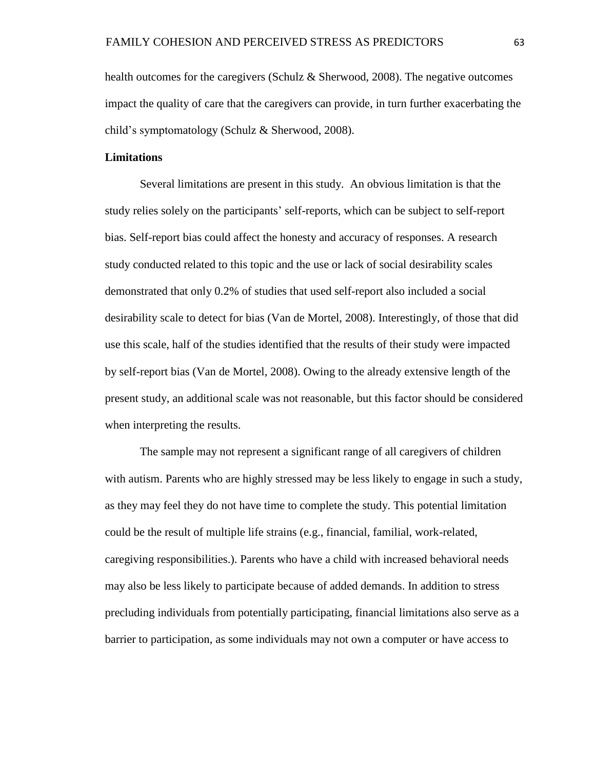health outcomes for the caregivers (Schulz & Sherwood, 2008). The negative outcomes impact the quality of care that the caregivers can provide, in turn further exacerbating the child's symptomatology (Schulz & Sherwood, 2008).

# **Limitations**

Several limitations are present in this study. An obvious limitation is that the study relies solely on the participants' self-reports, which can be subject to self-report bias. Self-report bias could affect the honesty and accuracy of responses. A research study conducted related to this topic and the use or lack of social desirability scales demonstrated that only 0.2% of studies that used self-report also included a social desirability scale to detect for bias (Van de Mortel, 2008). Interestingly, of those that did use this scale, half of the studies identified that the results of their study were impacted by self-report bias (Van de Mortel, 2008). Owing to the already extensive length of the present study, an additional scale was not reasonable, but this factor should be considered when interpreting the results.

The sample may not represent a significant range of all caregivers of children with autism. Parents who are highly stressed may be less likely to engage in such a study, as they may feel they do not have time to complete the study. This potential limitation could be the result of multiple life strains (e.g., financial, familial, work-related, caregiving responsibilities.). Parents who have a child with increased behavioral needs may also be less likely to participate because of added demands. In addition to stress precluding individuals from potentially participating, financial limitations also serve as a barrier to participation, as some individuals may not own a computer or have access to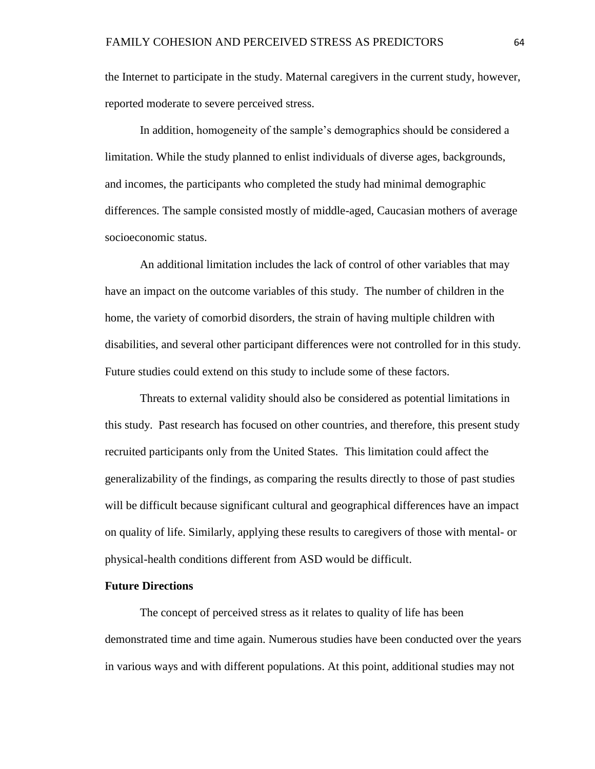the Internet to participate in the study. Maternal caregivers in the current study, however, reported moderate to severe perceived stress.

In addition, homogeneity of the sample's demographics should be considered a limitation. While the study planned to enlist individuals of diverse ages, backgrounds, and incomes, the participants who completed the study had minimal demographic differences. The sample consisted mostly of middle-aged, Caucasian mothers of average socioeconomic status.

An additional limitation includes the lack of control of other variables that may have an impact on the outcome variables of this study. The number of children in the home, the variety of comorbid disorders, the strain of having multiple children with disabilities, and several other participant differences were not controlled for in this study. Future studies could extend on this study to include some of these factors.

Threats to external validity should also be considered as potential limitations in this study. Past research has focused on other countries, and therefore, this present study recruited participants only from the United States. This limitation could affect the generalizability of the findings, as comparing the results directly to those of past studies will be difficult because significant cultural and geographical differences have an impact on quality of life. Similarly, applying these results to caregivers of those with mental- or physical-health conditions different from ASD would be difficult.

### **Future Directions**

The concept of perceived stress as it relates to quality of life has been demonstrated time and time again. Numerous studies have been conducted over the years in various ways and with different populations. At this point, additional studies may not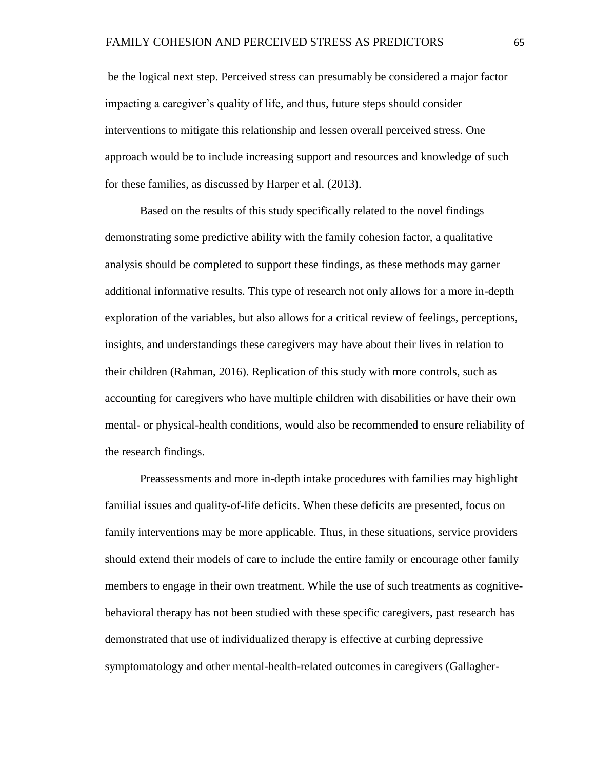be the logical next step. Perceived stress can presumably be considered a major factor impacting a caregiver's quality of life, and thus, future steps should consider interventions to mitigate this relationship and lessen overall perceived stress. One approach would be to include increasing support and resources and knowledge of such for these families, as discussed by Harper et al. (2013).

Based on the results of this study specifically related to the novel findings demonstrating some predictive ability with the family cohesion factor, a qualitative analysis should be completed to support these findings, as these methods may garner additional informative results. This type of research not only allows for a more in-depth exploration of the variables, but also allows for a critical review of feelings, perceptions, insights, and understandings these caregivers may have about their lives in relation to their children (Rahman, 2016). Replication of this study with more controls, such as accounting for caregivers who have multiple children with disabilities or have their own mental- or physical-health conditions, would also be recommended to ensure reliability of the research findings.

Preassessments and more in-depth intake procedures with families may highlight familial issues and quality-of-life deficits. When these deficits are presented, focus on family interventions may be more applicable. Thus, in these situations, service providers should extend their models of care to include the entire family or encourage other family members to engage in their own treatment. While the use of such treatments as cognitivebehavioral therapy has not been studied with these specific caregivers, past research has demonstrated that use of individualized therapy is effective at curbing depressive symptomatology and other mental-health-related outcomes in caregivers (Gallagher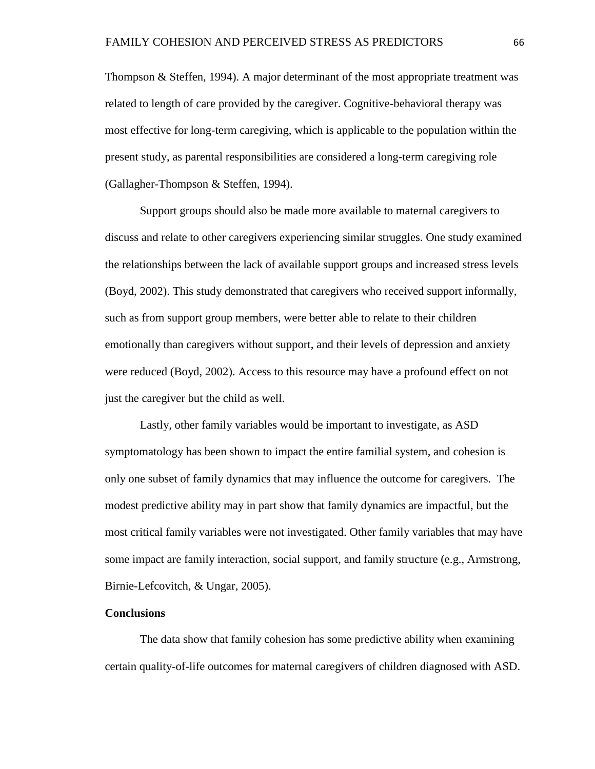Thompson & Steffen, 1994). A major determinant of the most appropriate treatment was related to length of care provided by the caregiver. Cognitive-behavioral therapy was most effective for long-term caregiving, which is applicable to the population within the present study, as parental responsibilities are considered a long-term caregiving role (Gallagher-Thompson & Steffen, 1994).

Support groups should also be made more available to maternal caregivers to discuss and relate to other caregivers experiencing similar struggles. One study examined the relationships between the lack of available support groups and increased stress levels (Boyd, 2002). This study demonstrated that caregivers who received support informally, such as from support group members, were better able to relate to their children emotionally than caregivers without support, and their levels of depression and anxiety were reduced (Boyd, 2002). Access to this resource may have a profound effect on not just the caregiver but the child as well.

Lastly, other family variables would be important to investigate, as ASD symptomatology has been shown to impact the entire familial system, and cohesion is only one subset of family dynamics that may influence the outcome for caregivers. The modest predictive ability may in part show that family dynamics are impactful, but the most critical family variables were not investigated. Other family variables that may have some impact are family interaction, social support, and family structure (e.g., Armstrong, Birnie-Lefcovitch, & Ungar, 2005).

### **Conclusions**

The data show that family cohesion has some predictive ability when examining certain quality-of-life outcomes for maternal caregivers of children diagnosed with ASD.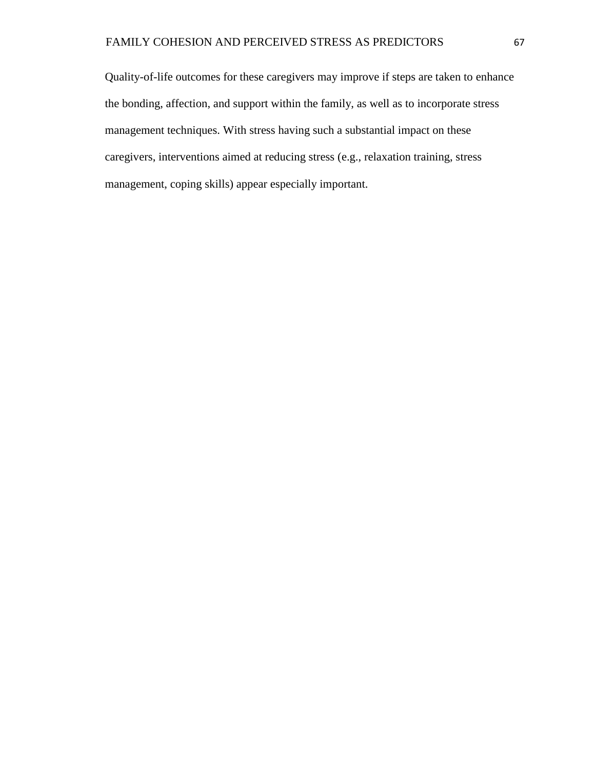Quality-of-life outcomes for these caregivers may improve if steps are taken to enhance the bonding, affection, and support within the family, as well as to incorporate stress management techniques. With stress having such a substantial impact on these caregivers, interventions aimed at reducing stress (e.g., relaxation training, stress management, coping skills) appear especially important.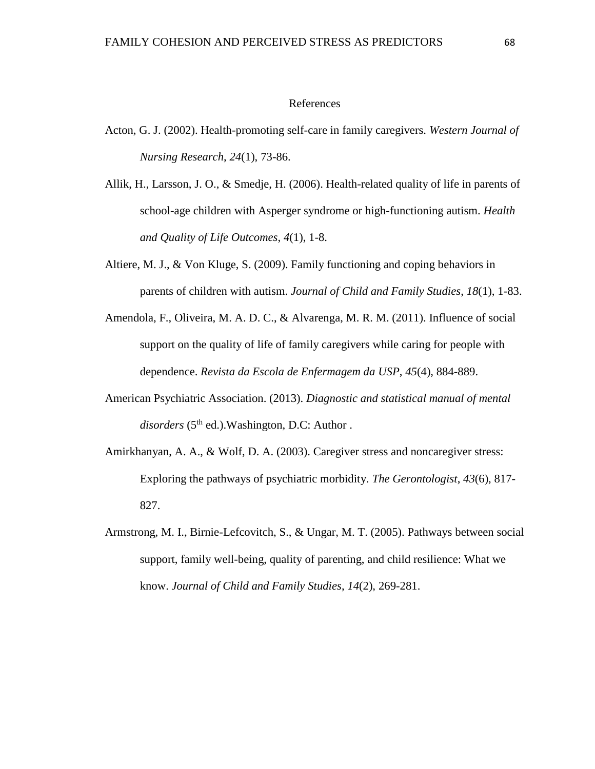#### References

- Acton, G. J. (2002). Health-promoting self-care in family caregivers. *Western Journal of Nursing Research*, *24*(1), 73-86.
- Allik, H., Larsson, J. O., & Smedje, H. (2006). Health-related quality of life in parents of school-age children with Asperger syndrome or high-functioning autism. *Health and Quality of Life Outcomes*, *4*(1), 1-8.
- Altiere, M. J., & Von Kluge, S. (2009). Family functioning and coping behaviors in parents of children with autism. *Journal of Child and Family Studies*, *18*(1), 1-83.
- Amendola, F., Oliveira, M. A. D. C., & Alvarenga, M. R. M. (2011). Influence of social support on the quality of life of family caregivers while caring for people with dependence. *Revista da Escola de Enfermagem da USP*, *45*(4), 884-889.
- American Psychiatric Association. (2013). *Diagnostic and statistical manual of mental*  disorders (5<sup>th</sup> ed.).Washington, D.C: Author.
- Amirkhanyan, A. A., & Wolf, D. A. (2003). Caregiver stress and noncaregiver stress: Exploring the pathways of psychiatric morbidity. *The Gerontologist*, *43*(6), 817- 827.
- Armstrong, M. I., Birnie-Lefcovitch, S., & Ungar, M. T. (2005). Pathways between social support, family well-being, quality of parenting, and child resilience: What we know. *Journal of Child and Family Studies*, *14*(2), 269-281.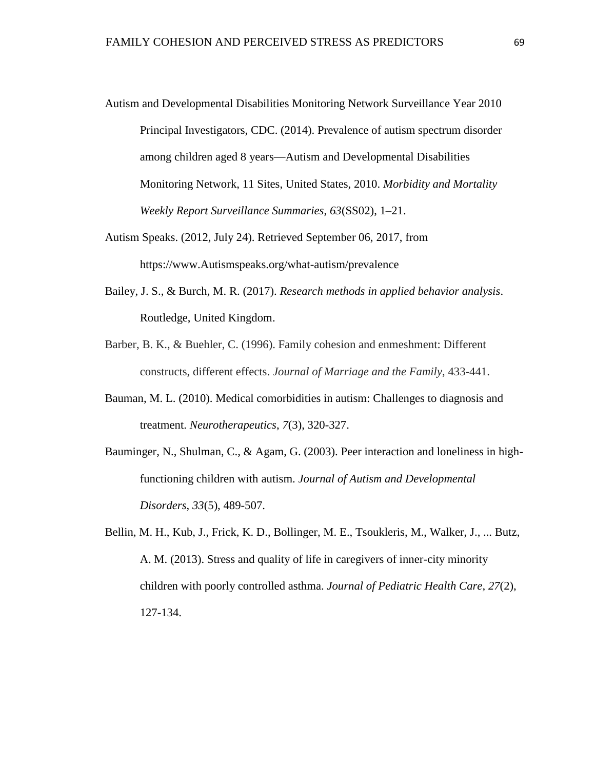- Autism and Developmental Disabilities Monitoring Network Surveillance Year 2010 Principal Investigators, CDC. (2014). Prevalence of autism spectrum disorder among children aged 8 years—Autism and Developmental Disabilities Monitoring Network, 11 Sites, United States, 2010. *Morbidity and Mortality Weekly Report Surveillance Summaries*, *63*(SS02), 1–21.
- Autism Speaks. (2012, July 24). Retrieved September 06, 2017, from https://www.Autismspeaks.org/what-autism/prevalence
- Bailey, J. S., & Burch, M. R. (2017). *Research methods in applied behavior analysis*. Routledge, United Kingdom.
- Barber, B. K., & Buehler, C. (1996). Family cohesion and enmeshment: Different constructs, different effects. *Journal of Marriage and the Family*, 433-441.
- Bauman, M. L. (2010). Medical comorbidities in autism: Challenges to diagnosis and treatment. *Neurotherapeutics*, *7*(3), 320-327.
- Bauminger, N., Shulman, C., & Agam, G. (2003). Peer interaction and loneliness in highfunctioning children with autism. *Journal of Autism and Developmental Disorders*, *33*(5), 489-507.
- Bellin, M. H., Kub, J., Frick, K. D., Bollinger, M. E., Tsoukleris, M., Walker, J., ... Butz, A. M. (2013). Stress and quality of life in caregivers of inner-city minority children with poorly controlled asthma. *Journal of Pediatric Health Care*, *27*(2), 127-134.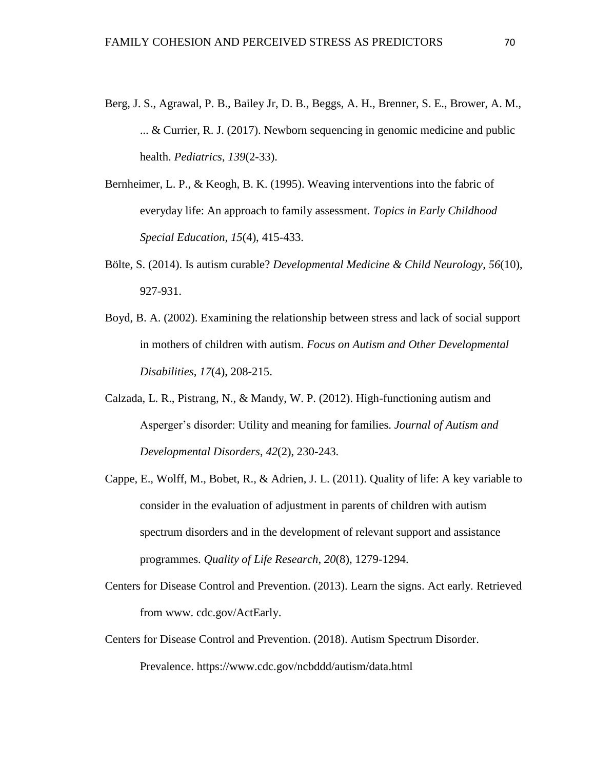- Berg, J. S., Agrawal, P. B., Bailey Jr, D. B., Beggs, A. H., Brenner, S. E., Brower, A. M., ... & Currier, R. J. (2017). Newborn sequencing in genomic medicine and public health. *Pediatrics*, *139*(2-33).
- Bernheimer, L. P., & Keogh, B. K. (1995). Weaving interventions into the fabric of everyday life: An approach to family assessment. *Topics in Early Childhood Special Education*, *15*(4), 415-433.
- Bölte, S. (2014). Is autism curable? *Developmental Medicine & Child Neurology*, *56*(10), 927-931.
- Boyd, B. A. (2002). Examining the relationship between stress and lack of social support in mothers of children with autism. *Focus on Autism and Other Developmental Disabilities*, *17*(4), 208-215.
- Calzada, L. R., Pistrang, N., & Mandy, W. P. (2012). High-functioning autism and Asperger's disorder: Utility and meaning for families. *Journal of Autism and Developmental Disorders*, *42*(2), 230-243.
- Cappe, E., Wolff, M., Bobet, R., & Adrien, J. L. (2011). Quality of life: A key variable to consider in the evaluation of adjustment in parents of children with autism spectrum disorders and in the development of relevant support and assistance programmes. *Quality of Life Research*, *20*(8), 1279-1294.
- Centers for Disease Control and Prevention. (2013). Learn the signs. Act early*.* Retrieved from www. cdc.gov/ActEarly.
- Centers for Disease Control and Prevention. (2018). Autism Spectrum Disorder. Prevalence. https://www.cdc.gov/ncbddd/autism/data.html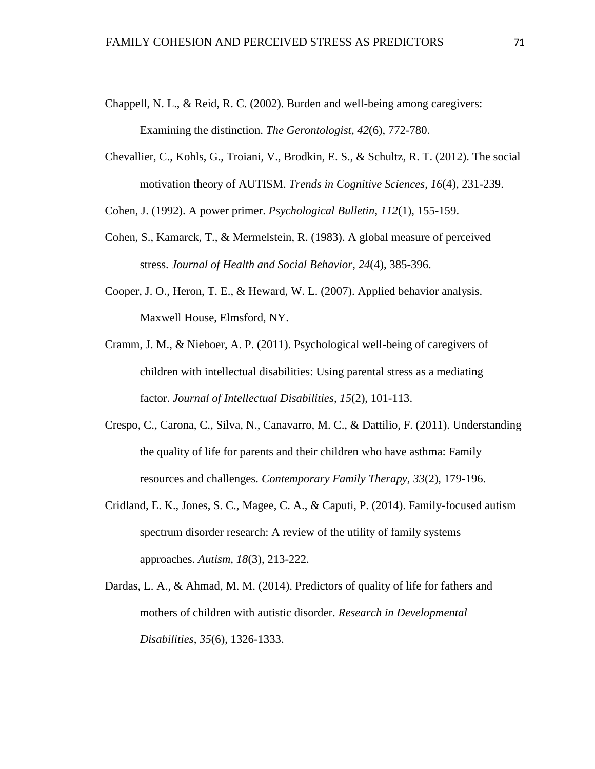- Chappell, N. L., & Reid, R. C. (2002). Burden and well-being among caregivers: Examining the distinction. *The Gerontologist*, *42*(6), 772-780.
- Chevallier, C., Kohls, G., Troiani, V., Brodkin, E. S., & Schultz, R. T. (2012). The social motivation theory of AUTISM. *Trends in Cognitive Sciences*, *16*(4), 231-239.
- Cohen, J. (1992). A power primer. *Psychological Bulletin*, *112*(1), 155-159.
- Cohen, S., Kamarck, T., & Mermelstein, R. (1983). A global measure of perceived stress. *Journal of Health and Social Behavior*, *24*(4), 385-396.
- Cooper, J. O., Heron, T. E., & Heward, W. L. (2007). Applied behavior analysis. Maxwell House, Elmsford, NY.
- Cramm, J. M., & Nieboer, A. P. (2011). Psychological well-being of caregivers of children with intellectual disabilities: Using parental stress as a mediating factor. *Journal of Intellectual Disabilities*, *15*(2), 101-113.
- Crespo, C., Carona, C., Silva, N., Canavarro, M. C., & Dattilio, F. (2011). Understanding the quality of life for parents and their children who have asthma: Family resources and challenges. *Contemporary Family Therapy*, *33*(2), 179-196.
- Cridland, E. K., Jones, S. C., Magee, C. A., & Caputi, P. (2014). Family-focused autism spectrum disorder research: A review of the utility of family systems approaches. *Autism, 18*(3), 213-222.
- Dardas, L. A., & Ahmad, M. M. (2014). Predictors of quality of life for fathers and mothers of children with autistic disorder. *Research in Developmental Disabilities*, *35*(6), 1326-1333.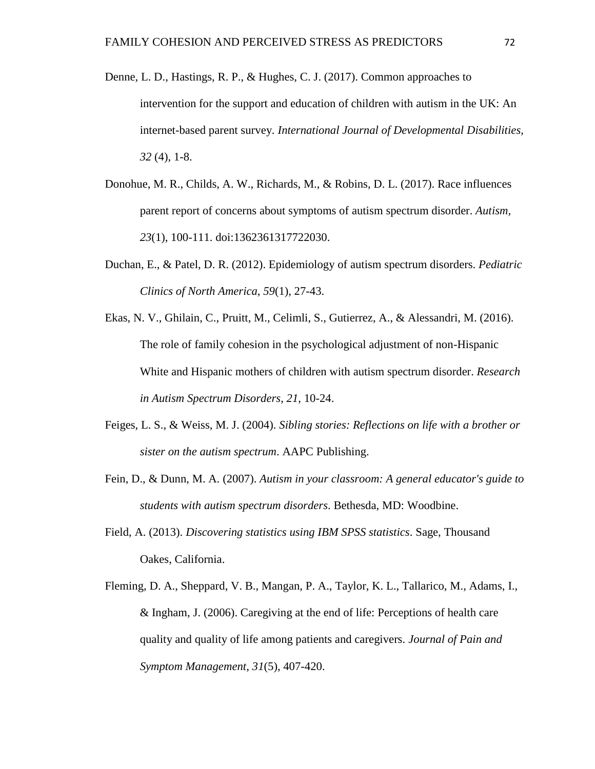- Denne, L. D., Hastings, R. P., & Hughes, C. J. (2017). Common approaches to intervention for the support and education of children with autism in the UK: An internet-based parent survey. *International Journal of Developmental Disabilities*, *32* (4), 1-8.
- Donohue, M. R., Childs, A. W., Richards, M., & Robins, D. L. (2017). Race influences parent report of concerns about symptoms of autism spectrum disorder. *Autism, 23*(1), 100-111. doi:1362361317722030.
- Duchan, E., & Patel, D. R. (2012). Epidemiology of autism spectrum disorders. *Pediatric Clinics of North America*, *59*(1), 27-43.
- Ekas, N. V., Ghilain, C., Pruitt, M., Celimli, S., Gutierrez, A., & Alessandri, M. (2016). The role of family cohesion in the psychological adjustment of non-Hispanic White and Hispanic mothers of children with autism spectrum disorder. *Research in Autism Spectrum Disorders*, *21*, 10-24.
- Feiges, L. S., & Weiss, M. J. (2004). *Sibling stories: Reflections on life with a brother or sister on the autism spectrum*. AAPC Publishing.
- Fein, D., & Dunn, M. A. (2007). *Autism in your classroom: A general educator's guide to students with autism spectrum disorders*. Bethesda, MD: Woodbine.
- Field, A. (2013). *Discovering statistics using IBM SPSS statistics*. Sage, Thousand Oakes, California.
- Fleming, D. A., Sheppard, V. B., Mangan, P. A., Taylor, K. L., Tallarico, M., Adams, I., & Ingham, J. (2006). Caregiving at the end of life: Perceptions of health care quality and quality of life among patients and caregivers. *Journal of Pain and Symptom Management*, *31*(5), 407-420.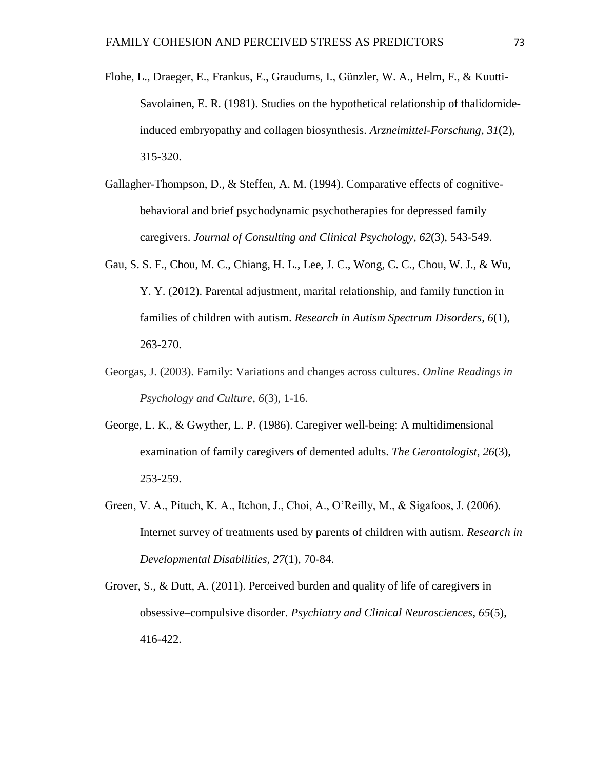- Flohe, L., Draeger, E., Frankus, E., Graudums, I., Günzler, W. A., Helm, F., & Kuutti-Savolainen, E. R. (1981). Studies on the hypothetical relationship of thalidomideinduced embryopathy and collagen biosynthesis. *Arzneimittel-Forschung*, *31*(2), 315-320.
- Gallagher-Thompson, D., & Steffen, A. M. (1994). Comparative effects of cognitivebehavioral and brief psychodynamic psychotherapies for depressed family caregivers. *Journal of Consulting and Clinical Psychology*, *62*(3), 543-549.
- Gau, S. S. F., Chou, M. C., Chiang, H. L., Lee, J. C., Wong, C. C., Chou, W. J., & Wu, Y. Y. (2012). Parental adjustment, marital relationship, and family function in families of children with autism. *Research in Autism Spectrum Disorders*, *6*(1), 263-270.
- Georgas, J. (2003). Family: Variations and changes across cultures. *Online Readings in Psychology and Culture*, *6*(3), 1-16.
- George, L. K., & Gwyther, L. P. (1986). Caregiver well-being: A multidimensional examination of family caregivers of demented adults. *The Gerontologist*, *26*(3), 253-259.
- Green, V. A., Pituch, K. A., Itchon, J., Choi, A., O'Reilly, M., & Sigafoos, J. (2006). Internet survey of treatments used by parents of children with autism. *Research in Developmental Disabilities*, *27*(1), 70-84.
- Grover, S., & Dutt, A. (2011). Perceived burden and quality of life of caregivers in obsessive–compulsive disorder. *Psychiatry and Clinical Neurosciences*, *65*(5), 416-422.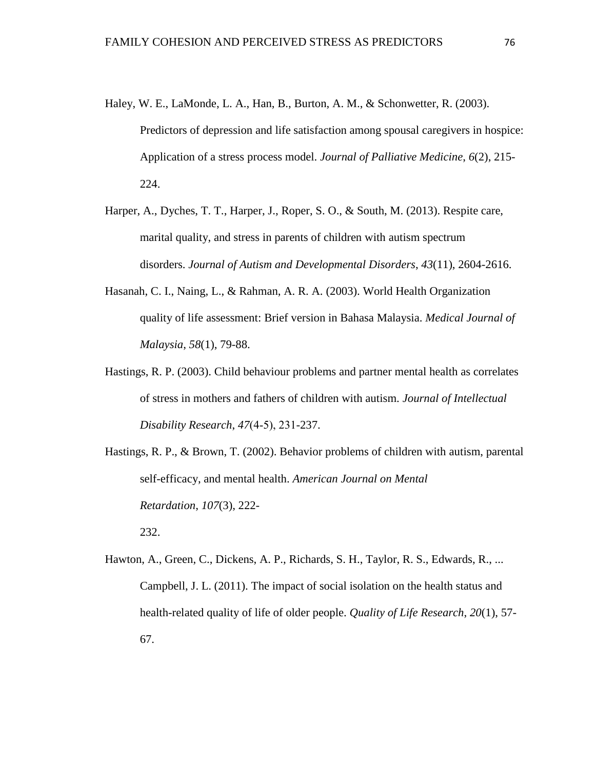- Haley, W. E., LaMonde, L. A., Han, B., Burton, A. M., & Schonwetter, R. (2003). Predictors of depression and life satisfaction among spousal caregivers in hospice: Application of a stress process model. *Journal of Palliative Medicine*, *6*(2), 215- 224.
- Harper, A., Dyches, T. T., Harper, J., Roper, S. O., & South, M. (2013). Respite care, marital quality, and stress in parents of children with autism spectrum disorders. *Journal of Autism and Developmental Disorders*, *43*(11), 2604-2616.
- Hasanah, C. I., Naing, L., & Rahman, A. R. A. (2003). World Health Organization quality of life assessment: Brief version in Bahasa Malaysia. *Medical Journal of Malaysia*, *58*(1), 79-88.
- Hastings, R. P. (2003). Child behaviour problems and partner mental health as correlates of stress in mothers and fathers of children with autism. *Journal of Intellectual Disability Research*, *47*(4‐5), 231-237.
- Hastings, R. P., & Brown, T. (2002). Behavior problems of children with autism, parental self-efficacy, and mental health. *American Journal on Mental Retardation*, *107*(3), 222- 232.
- Hawton, A., Green, C., Dickens, A. P., Richards, S. H., Taylor, R. S., Edwards, R., ... Campbell, J. L. (2011). The impact of social isolation on the health status and health-related quality of life of older people. *Quality of Life Research*, *20*(1), 57- 67.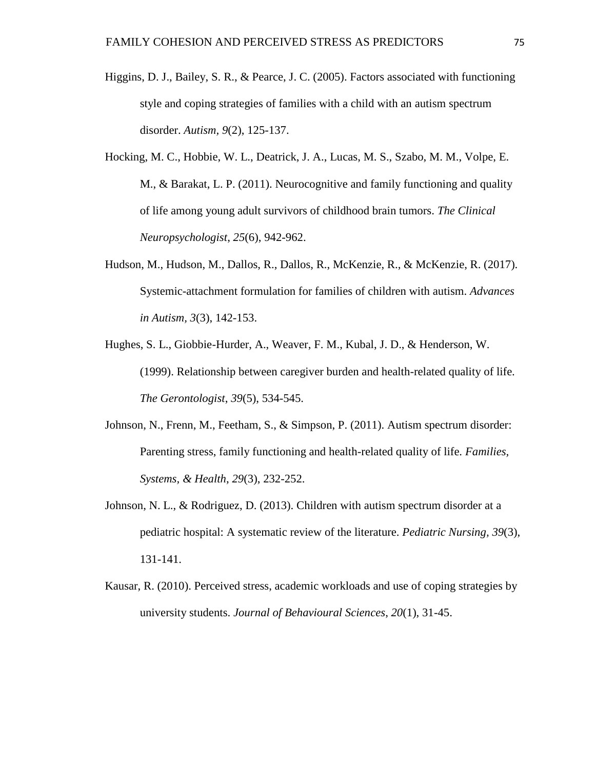- Higgins, D. J., Bailey, S. R., & Pearce, J. C. (2005). Factors associated with functioning style and coping strategies of families with a child with an autism spectrum disorder. *Autism, 9*(2), 125-137.
- Hocking, M. C., Hobbie, W. L., Deatrick, J. A., Lucas, M. S., Szabo, M. M., Volpe, E. M., & Barakat, L. P. (2011). Neurocognitive and family functioning and quality of life among young adult survivors of childhood brain tumors. *The Clinical Neuropsychologist*, *25*(6), 942-962.
- Hudson, M., Hudson, M., Dallos, R., Dallos, R., McKenzie, R., & McKenzie, R. (2017). Systemic-attachment formulation for families of children with autism. *Advances in Autism, 3*(3), 142-153.
- Hughes, S. L., Giobbie-Hurder, A., Weaver, F. M., Kubal, J. D., & Henderson, W. (1999). Relationship between caregiver burden and health-related quality of life. *The Gerontologist*, *39*(5), 534-545.
- Johnson, N., Frenn, M., Feetham, S., & Simpson, P. (2011). Autism spectrum disorder: Parenting stress, family functioning and health-related quality of life. *Families, Systems, & Health*, *29*(3), 232-252.
- Johnson, N. L., & Rodriguez, D. (2013). Children with autism spectrum disorder at a pediatric hospital: A systematic review of the literature. *Pediatric Nursing, 39*(3), 131-141.
- Kausar, R. (2010). Perceived stress, academic workloads and use of coping strategies by university students. *Journal of Behavioural Sciences*, *20*(1), 31-45.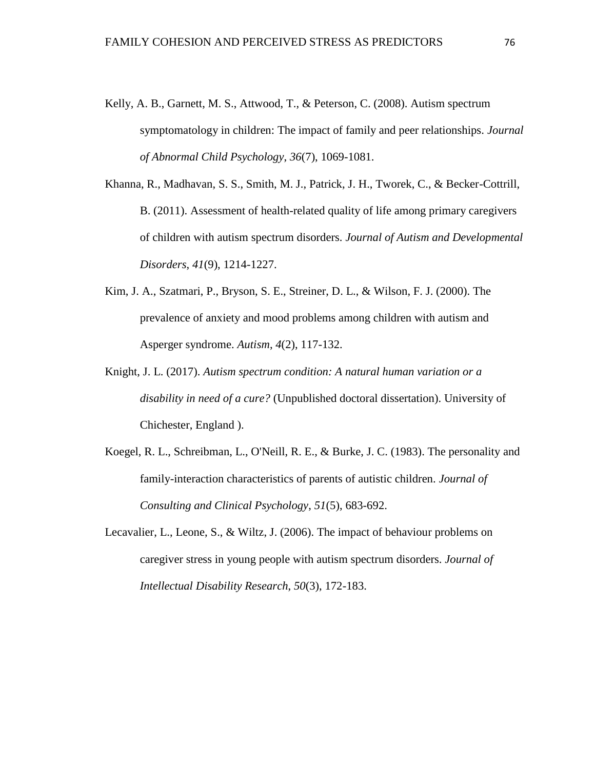- Kelly, A. B., Garnett, M. S., Attwood, T., & Peterson, C. (2008). Autism spectrum symptomatology in children: The impact of family and peer relationships. *Journal of Abnormal Child Psychology*, *36*(7), 1069-1081.
- Khanna, R., Madhavan, S. S., Smith, M. J., Patrick, J. H., Tworek, C., & Becker-Cottrill, B. (2011). Assessment of health-related quality of life among primary caregivers of children with autism spectrum disorders. *Journal of Autism and Developmental Disorders*, *41*(9), 1214-1227.
- Kim, J. A., Szatmari, P., Bryson, S. E., Streiner, D. L., & Wilson, F. J. (2000). The prevalence of anxiety and mood problems among children with autism and Asperger syndrome. *Autism*, *4*(2), 117-132.
- Knight, J. L. (2017). *Autism spectrum condition: A natural human variation or a disability in need of a cure?* (Unpublished doctoral dissertation). University of Chichester, England ).
- Koegel, R. L., Schreibman, L., O'Neill, R. E., & Burke, J. C. (1983). The personality and family-interaction characteristics of parents of autistic children. *Journal of Consulting and Clinical Psychology*, *51*(5), 683-692.
- Lecavalier, L., Leone, S., & Wiltz, J. (2006). The impact of behaviour problems on caregiver stress in young people with autism spectrum disorders. *Journal of Intellectual Disability Research*, *50*(3), 172-183.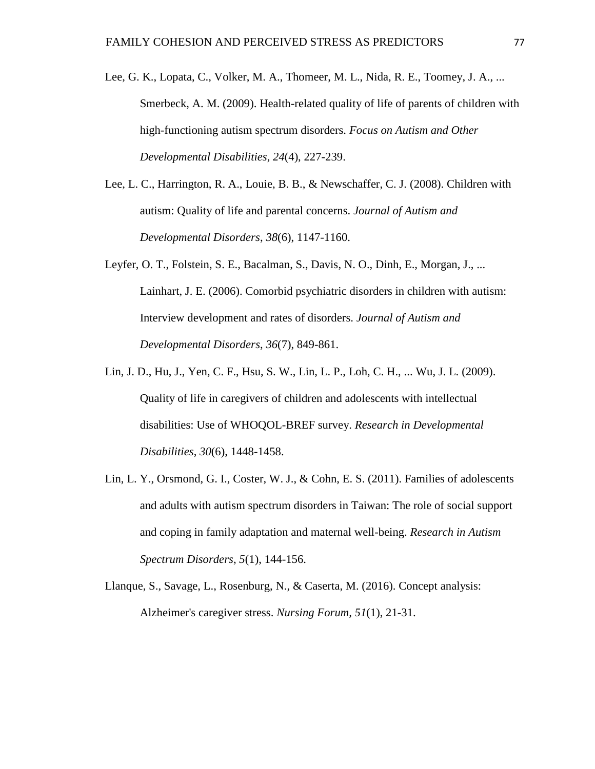- Lee, G. K., Lopata, C., Volker, M. A., Thomeer, M. L., Nida, R. E., Toomey, J. A., ... Smerbeck, A. M. (2009). Health-related quality of life of parents of children with high-functioning autism spectrum disorders. *Focus on Autism and Other Developmental Disabilities*, *24*(4), 227-239.
- Lee, L. C., Harrington, R. A., Louie, B. B., & Newschaffer, C. J. (2008). Children with autism: Quality of life and parental concerns. *Journal of Autism and Developmental Disorders*, *38*(6), 1147-1160.
- Leyfer, O. T., Folstein, S. E., Bacalman, S., Davis, N. O., Dinh, E., Morgan, J., ... Lainhart, J. E. (2006). Comorbid psychiatric disorders in children with autism: Interview development and rates of disorders. *Journal of Autism and Developmental Disorders*, *36*(7), 849-861.
- Lin, J. D., Hu, J., Yen, C. F., Hsu, S. W., Lin, L. P., Loh, C. H., ... Wu, J. L. (2009). Quality of life in caregivers of children and adolescents with intellectual disabilities: Use of WHOQOL-BREF survey. *Research in Developmental Disabilities*, *30*(6), 1448-1458.
- Lin, L. Y., Orsmond, G. I., Coster, W. J., & Cohn, E. S. (2011). Families of adolescents and adults with autism spectrum disorders in Taiwan: The role of social support and coping in family adaptation and maternal well-being. *Research in Autism Spectrum Disorders*, *5*(1), 144-156.
- Llanque, S., Savage, L., Rosenburg, N., & Caserta, M. (2016). Concept analysis: Alzheimer's caregiver stress. *Nursing Forum, 51*(1), 21-31.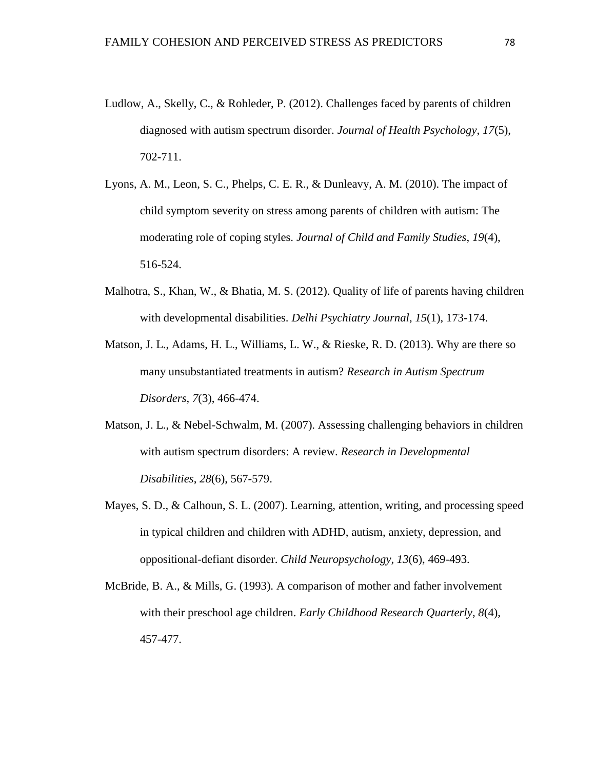- Ludlow, A., Skelly, C., & Rohleder, P. (2012). Challenges faced by parents of children diagnosed with autism spectrum disorder. *Journal of Health Psychology*, *17*(5), 702-711.
- Lyons, A. M., Leon, S. C., Phelps, C. E. R., & Dunleavy, A. M. (2010). The impact of child symptom severity on stress among parents of children with autism: The moderating role of coping styles. *Journal of Child and Family Studies*, *19*(4), 516-524.
- Malhotra, S., Khan, W., & Bhatia, M. S. (2012). Quality of life of parents having children with developmental disabilities. *Delhi Psychiatry Journal*, *15*(1), 173-174.
- Matson, J. L., Adams, H. L., Williams, L. W., & Rieske, R. D. (2013). Why are there so many unsubstantiated treatments in autism? *Research in Autism Spectrum Disorders*, *7*(3), 466-474.
- Matson, J. L., & Nebel-Schwalm, M. (2007). Assessing challenging behaviors in children with autism spectrum disorders: A review. *Research in Developmental Disabilities*, *28*(6), 567-579.
- Mayes, S. D., & Calhoun, S. L. (2007). Learning, attention, writing, and processing speed in typical children and children with ADHD, autism, anxiety, depression, and oppositional-defiant disorder. *Child Neuropsychology*, *13*(6), 469-493.
- McBride, B. A., & Mills, G. (1993). A comparison of mother and father involvement with their preschool age children. *Early Childhood Research Quarterly*, *8*(4), 457-477.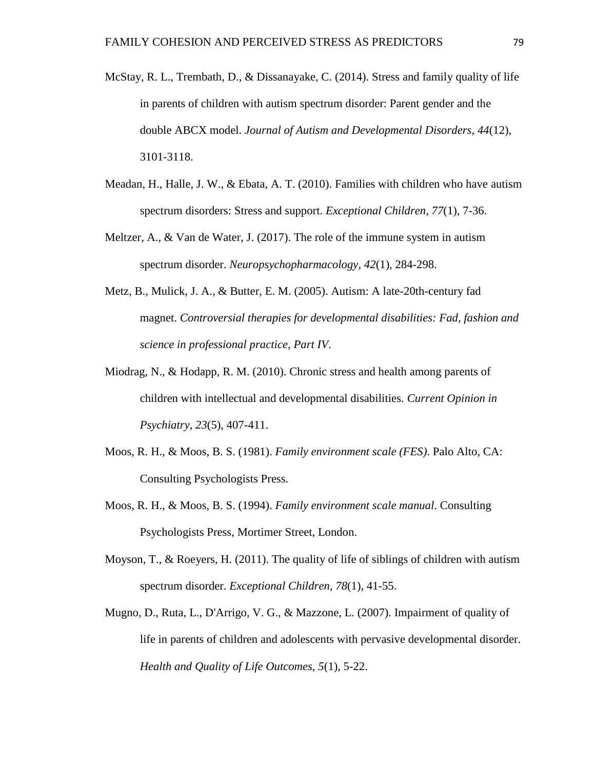- McStay, R. L., Trembath, D., & Dissanayake, C. (2014). Stress and family quality of life in parents of children with autism spectrum disorder: Parent gender and the double ABCX model. *Journal of Autism and Developmental Disorders*, *44*(12), 3101-3118.
- Meadan, H., Halle, J. W., & Ebata, A. T. (2010). Families with children who have autism spectrum disorders: Stress and support. *Exceptional Children*, *77*(1), 7-36.
- Meltzer, A., & Van de Water, J. (2017). The role of the immune system in autism spectrum disorder. *Neuropsychopharmacology*, *42*(1), 284-298.
- Metz, B., Mulick, J. A., & Butter, E. M. (2005). Autism: A late-20th-century fad magnet. *Controversial therapies for developmental disabilities: Fad, fashion and science in professional practice*, *Part IV*.
- Miodrag, N., & Hodapp, R. M. (2010). Chronic stress and health among parents of children with intellectual and developmental disabilities. *Current Opinion in Psychiatry*, *23*(5), 407-411.
- Moos, R. H., & Moos, B. S. (1981). *Family environment scale (FES)*. Palo Alto, CA: Consulting Psychologists Press.
- Moos, R. H., & Moos, B. S. (1994). *Family environment scale manual*. Consulting Psychologists Press, Mortimer Street, London.
- Moyson, T., & Roeyers, H. (2011). The quality of life of siblings of children with autism spectrum disorder. *Exceptional Children*, *78*(1), 41-55.
- Mugno, D., Ruta, L., D'Arrigo, V. G., & Mazzone, L. (2007). Impairment of quality of life in parents of children and adolescents with pervasive developmental disorder. *Health and Quality of Life Outcomes*, *5*(1), 5-22.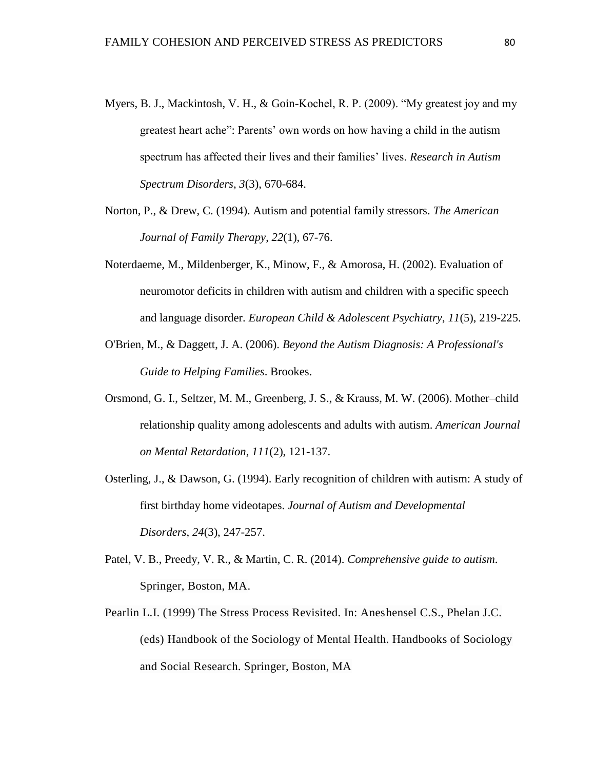- Myers, B. J., Mackintosh, V. H., & Goin-Kochel, R. P. (2009). "My greatest joy and my greatest heart ache": Parents' own words on how having a child in the autism spectrum has affected their lives and their families' lives. *Research in Autism Spectrum Disorders*, *3*(3), 670-684.
- Norton, P., & Drew, C. (1994). Autism and potential family stressors. *The American Journal of Family Therapy*, *22*(1), 67-76.
- Noterdaeme, M., Mildenberger, K., Minow, F., & Amorosa, H. (2002). Evaluation of neuromotor deficits in children with autism and children with a specific speech and language disorder. *European Child & Adolescent Psychiatry*, *11*(5), 219-225.
- O'Brien, M., & Daggett, J. A. (2006). *Beyond the Autism Diagnosis: A Professional's Guide to Helping Families*. Brookes.
- Orsmond, G. I., Seltzer, M. M., Greenberg, J. S., & Krauss, M. W. (2006). Mother–child relationship quality among adolescents and adults with autism. *American Journal on Mental Retardation*, *111*(2), 121-137.
- Osterling, J., & Dawson, G. (1994). Early recognition of children with autism: A study of first birthday home videotapes. *Journal of Autism and Developmental Disorders*, *24*(3), 247-257.
- Patel, V. B., Preedy, V. R., & Martin, C. R. (2014). *Comprehensive guide to autism*. Springer, Boston, MA.
- Pearlin L.I. (1999) The Stress Process Revisited. In: Aneshensel C.S., Phelan J.C. (eds) Handbook of the Sociology of Mental Health. Handbooks of Sociology and Social Research. Springer, Boston, MA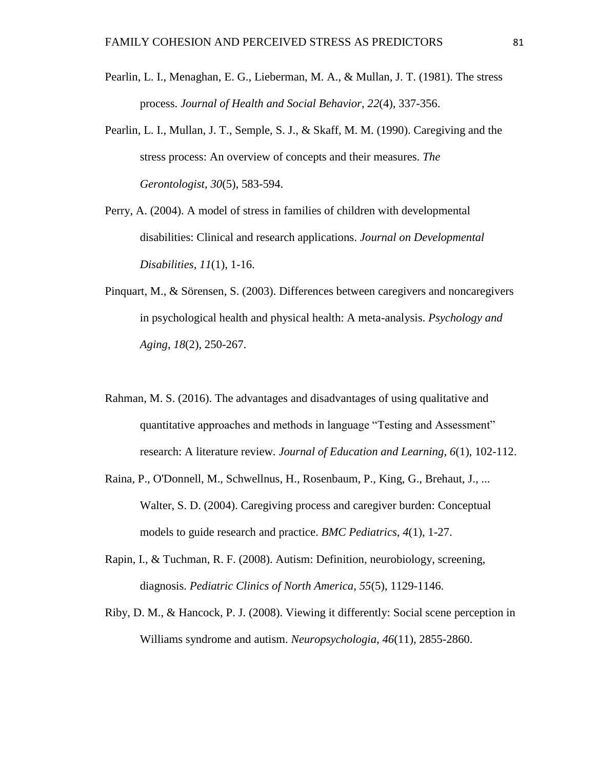- Pearlin, L. I., Menaghan, E. G., Lieberman, M. A., & Mullan, J. T. (1981). The stress process. *Journal of Health and Social Behavior*, *22*(4), 337-356.
- Pearlin, L. I., Mullan, J. T., Semple, S. J., & Skaff, M. M. (1990). Caregiving and the stress process: An overview of concepts and their measures. *The Gerontologist*, *30*(5), 583-594.
- Perry, A. (2004). A model of stress in families of children with developmental disabilities: Clinical and research applications. *Journal on Developmental Disabilities*, *11*(1), 1-16.
- Pinquart, M., & Sörensen, S. (2003). Differences between caregivers and noncaregivers in psychological health and physical health: A meta-analysis. *Psychology and Aging*, *18*(2), 250-267.
- Rahman, M. S. (2016). The advantages and disadvantages of using qualitative and quantitative approaches and methods in language "Testing and Assessment" research: A literature review. *Journal of Education and Learning*, *6*(1), 102-112.
- Raina, P., O'Donnell, M., Schwellnus, H., Rosenbaum, P., King, G., Brehaut, J., ... Walter, S. D. (2004). Caregiving process and caregiver burden: Conceptual models to guide research and practice. *BMC Pediatrics*, *4*(1), 1-27.
- Rapin, I., & Tuchman, R. F. (2008). Autism: Definition, neurobiology, screening, diagnosis. *Pediatric Clinics of North America*, *55*(5), 1129-1146.
- Riby, D. M., & Hancock, P. J. (2008). Viewing it differently: Social scene perception in Williams syndrome and autism. *Neuropsychologia*, *46*(11), 2855-2860.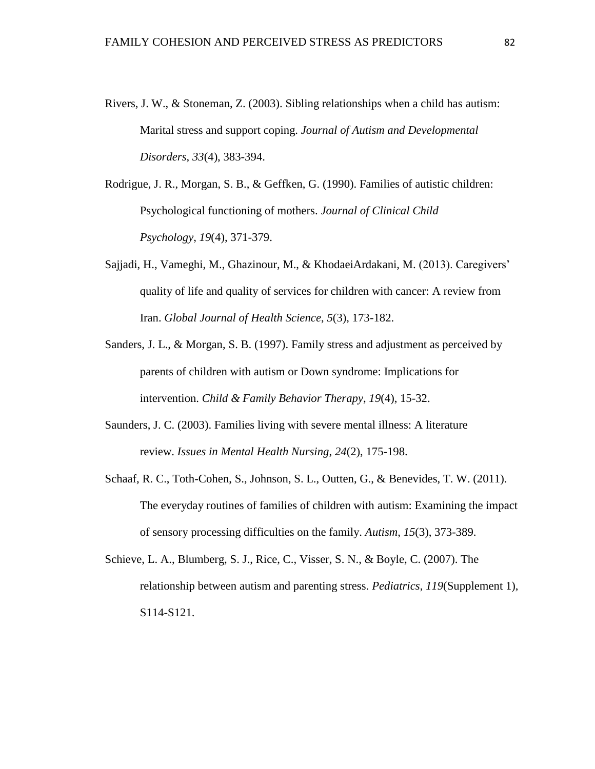- Rivers, J. W., & Stoneman, Z. (2003). Sibling relationships when a child has autism: Marital stress and support coping. *Journal of Autism and Developmental Disorders*, *33*(4), 383-394.
- Rodrigue, J. R., Morgan, S. B., & Geffken, G. (1990). Families of autistic children: Psychological functioning of mothers. *Journal of Clinical Child Psychology*, *19*(4), 371-379.
- Sajjadi, H., Vameghi, M., Ghazinour, M., & KhodaeiArdakani, M. (2013). Caregivers' quality of life and quality of services for children with cancer: A review from Iran. *Global Journal of Health Science*, *5*(3), 173-182.
- Sanders, J. L., & Morgan, S. B. (1997). Family stress and adjustment as perceived by parents of children with autism or Down syndrome: Implications for intervention. *Child & Family Behavior Therapy*, *19*(4), 15-32.
- Saunders, J. C. (2003). Families living with severe mental illness: A literature review. *Issues in Mental Health Nursing*, *24*(2), 175-198.
- Schaaf, R. C., Toth-Cohen, S., Johnson, S. L., Outten, G., & Benevides, T. W. (2011). The everyday routines of families of children with autism: Examining the impact of sensory processing difficulties on the family. *Autism*, *15*(3), 373-389.
- Schieve, L. A., Blumberg, S. J., Rice, C., Visser, S. N., & Boyle, C. (2007). The relationship between autism and parenting stress. *Pediatrics*, *119*(Supplement 1), S114-S121.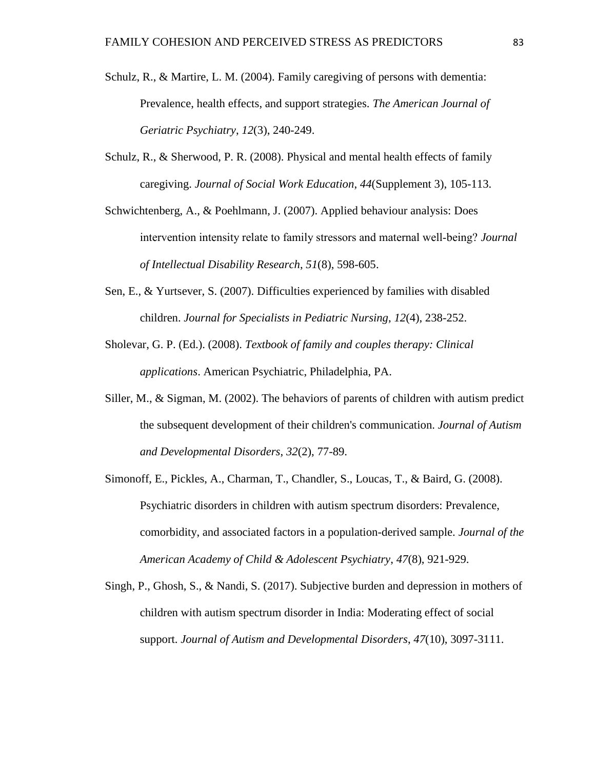- Schulz, R., & Martire, L. M. (2004). Family caregiving of persons with dementia: Prevalence, health effects, and support strategies. *The American Journal of Geriatric Psychiatry*, *12*(3), 240-249.
- Schulz, R., & Sherwood, P. R. (2008). Physical and mental health effects of family caregiving. *Journal of Social Work Education*, *44*(Supplement 3), 105-113.
- Schwichtenberg, A., & Poehlmann, J. (2007). Applied behaviour analysis: Does intervention intensity relate to family stressors and maternal well‐being? *Journal of Intellectual Disability Research*, *51*(8), 598-605.
- Sen, E., & Yurtsever, S. (2007). Difficulties experienced by families with disabled children. *Journal for Specialists in Pediatric Nursing*, *12*(4), 238-252.
- Sholevar, G. P. (Ed.). (2008). *Textbook of family and couples therapy: Clinical applications*. American Psychiatric, Philadelphia, PA.
- Siller, M., & Sigman, M. (2002). The behaviors of parents of children with autism predict the subsequent development of their children's communication. *Journal of Autism and Developmental Disorders*, *32*(2), 77-89.
- Simonoff, E., Pickles, A., Charman, T., Chandler, S., Loucas, T., & Baird, G. (2008). Psychiatric disorders in children with autism spectrum disorders: Prevalence, comorbidity, and associated factors in a population-derived sample. *Journal of the American Academy of Child & Adolescent Psychiatry*, *47*(8), 921-929.
- Singh, P., Ghosh, S., & Nandi, S. (2017). Subjective burden and depression in mothers of children with autism spectrum disorder in India: Moderating effect of social support. *Journal of Autism and Developmental Disorders*, *47*(10), 3097-3111.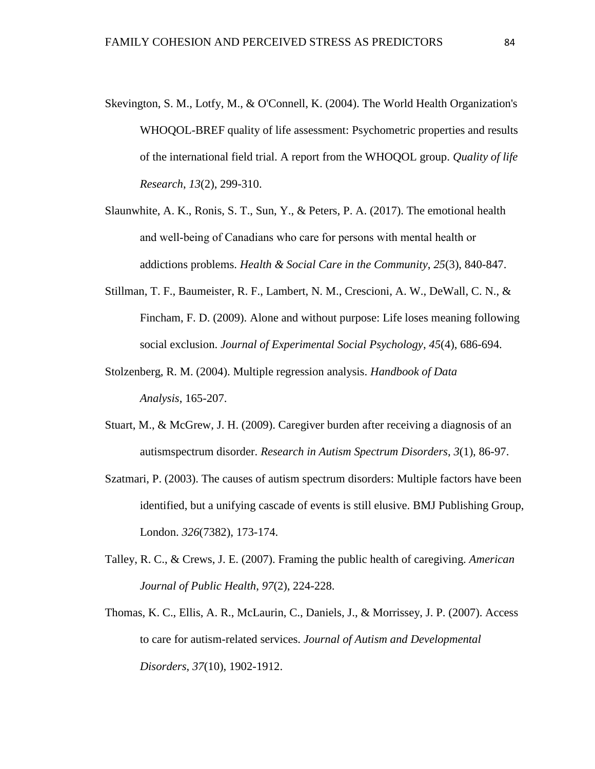- Skevington, S. M., Lotfy, M., & O'Connell, K. (2004). The World Health Organization's WHOQOL-BREF quality of life assessment: Psychometric properties and results of the international field trial. A report from the WHOQOL group. *Quality of life Research*, *13*(2), 299-310.
- Slaunwhite, A. K., Ronis, S. T., Sun, Y., & Peters, P. A. (2017). The emotional health and well‐being of Canadians who care for persons with mental health or addictions problems. *Health & Social Care in the Community*, *25*(3), 840-847.
- Stillman, T. F., Baumeister, R. F., Lambert, N. M., Crescioni, A. W., DeWall, C. N., & Fincham, F. D. (2009). Alone and without purpose: Life loses meaning following social exclusion. *Journal of Experimental Social Psychology*, *45*(4), 686-694.
- Stolzenberg, R. M. (2004). Multiple regression analysis. *Handbook of Data Analysis*, 165-207.
- Stuart, M., & McGrew, J. H. (2009). Caregiver burden after receiving a diagnosis of an autismspectrum disorder. *Research in Autism Spectrum Disorders*, *3*(1), 86-97.
- Szatmari, P. (2003). The causes of autism spectrum disorders: Multiple factors have been identified, but a unifying cascade of events is still elusive. BMJ Publishing Group, London. *326*(7382), 173-174.
- Talley, R. C., & Crews, J. E. (2007). Framing the public health of caregiving. *American Journal of Public Health*, *97*(2), 224-228.
- Thomas, K. C., Ellis, A. R., McLaurin, C., Daniels, J., & Morrissey, J. P. (2007). Access to care for autism-related services. *Journal of Autism and Developmental Disorders*, *37*(10), 1902-1912.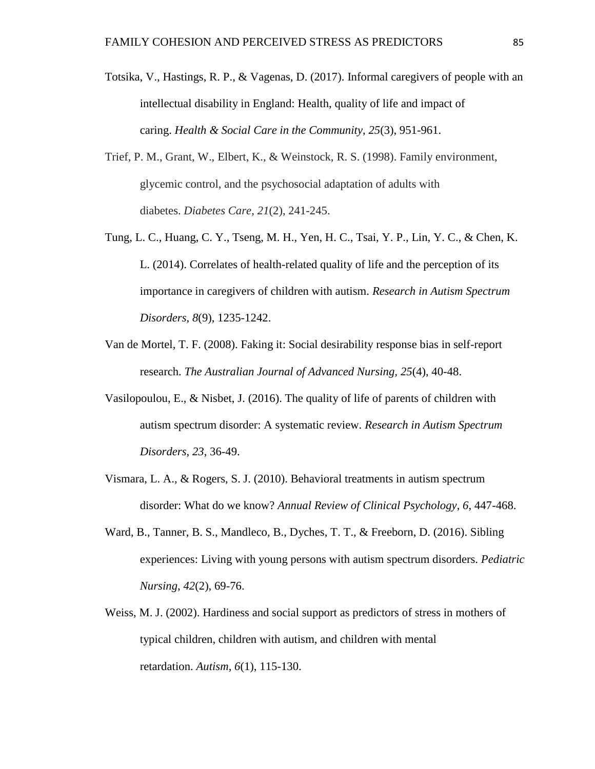- Totsika, V., Hastings, R. P., & Vagenas, D. (2017). Informal caregivers of people with an intellectual disability in England: Health, quality of life and impact of caring. *Health & Social Care in the Community*, *25*(3), 951-961.
- Trief, P. M., Grant, W., Elbert, K., & Weinstock, R. S. (1998). Family environment, glycemic control, and the psychosocial adaptation of adults with diabetes. *Diabetes Care*, *21*(2), 241-245.
- Tung, L. C., Huang, C. Y., Tseng, M. H., Yen, H. C., Tsai, Y. P., Lin, Y. C., & Chen, K. L. (2014). Correlates of health-related quality of life and the perception of its importance in caregivers of children with autism. *Research in Autism Spectrum Disorders*, *8*(9), 1235-1242.
- Van de Mortel, T. F. (2008). Faking it: Social desirability response bias in self-report research. *The Australian Journal of Advanced Nursing, 25*(4), 40-48.
- Vasilopoulou, E., & Nisbet, J. (2016). The quality of life of parents of children with autism spectrum disorder: A systematic review. *Research in Autism Spectrum Disorders*, *23*, 36-49.
- Vismara, L. A., & Rogers, S. J. (2010). Behavioral treatments in autism spectrum disorder: What do we know? *Annual Review of Clinical Psychology*, *6*, 447-468.
- Ward, B., Tanner, B. S., Mandleco, B., Dyches, T. T., & Freeborn, D. (2016). Sibling experiences: Living with young persons with autism spectrum disorders. *Pediatric Nursing*, *42*(2), 69-76.
- Weiss, M. J. (2002). Hardiness and social support as predictors of stress in mothers of typical children, children with autism, and children with mental retardation. *Autism*, *6*(1), 115-130.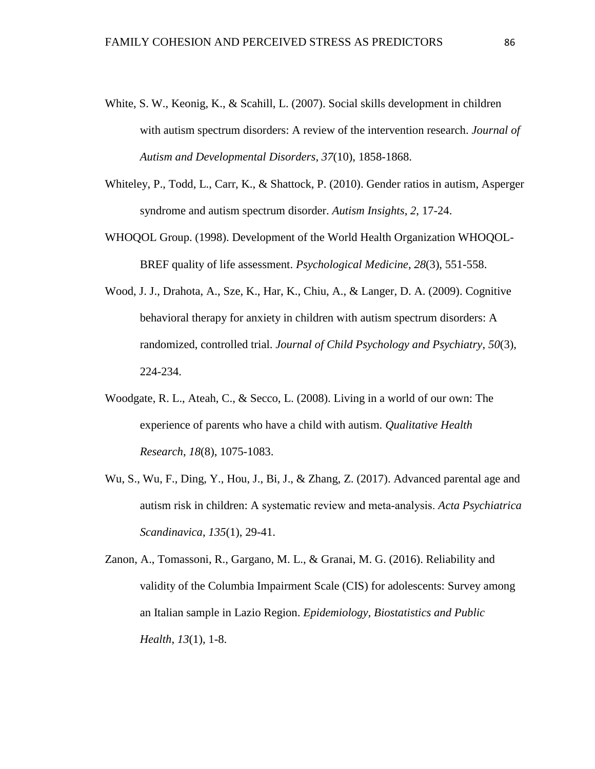- White, S. W., Keonig, K., & Scahill, L. (2007). Social skills development in children with autism spectrum disorders: A review of the intervention research. *Journal of Autism and Developmental Disorders*, *37*(10), 1858-1868.
- Whiteley, P., Todd, L., Carr, K., & Shattock, P. (2010). Gender ratios in autism, Asperger syndrome and autism spectrum disorder. *Autism Insights*, *2*, 17-24.
- WHOQOL Group. (1998). Development of the World Health Organization WHOQOL-BREF quality of life assessment. *Psychological Medicine*, *28*(3), 551-558.
- Wood, J. J., Drahota, A., Sze, K., Har, K., Chiu, A., & Langer, D. A. (2009). Cognitive behavioral therapy for anxiety in children with autism spectrum disorders: A randomized, controlled trial. *Journal of Child Psychology and Psychiatry*, *50*(3), 224-234.
- Woodgate, R. L., Ateah, C., & Secco, L. (2008). Living in a world of our own: The experience of parents who have a child with autism. *Qualitative Health Research*, *18*(8), 1075-1083.
- Wu, S., Wu, F., Ding, Y., Hou, J., Bi, J., & Zhang, Z. (2017). Advanced parental age and autism risk in children: A systematic review and meta‐analysis. *Acta Psychiatrica Scandinavica*, *135*(1), 29-41.
- Zanon, A., Tomassoni, R., Gargano, M. L., & Granai, M. G. (2016). Reliability and validity of the Columbia Impairment Scale (CIS) for adolescents: Survey among an Italian sample in Lazio Region. *Epidemiology, Biostatistics and Public Health*, *13*(1), 1-8.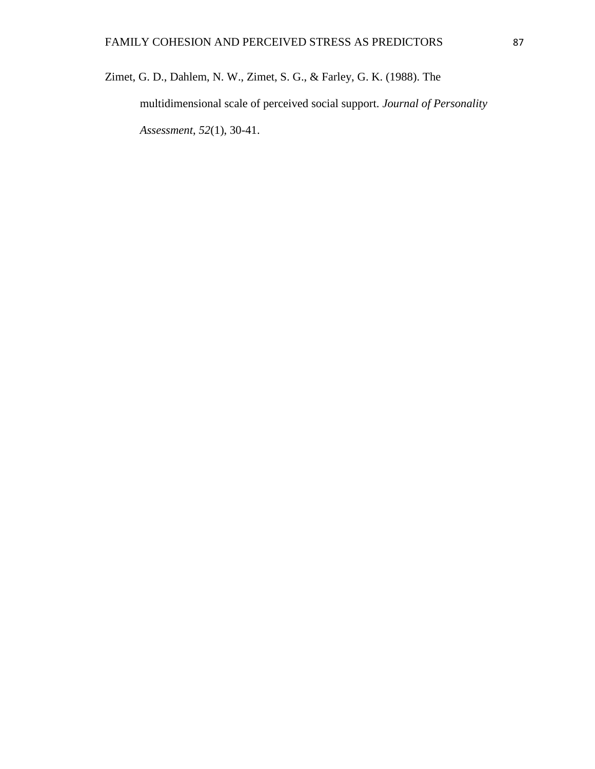Zimet, G. D., Dahlem, N. W., Zimet, S. G., & Farley, G. K. (1988). The multidimensional scale of perceived social support. *Journal of Personality Assessment*, *52*(1), 30-41.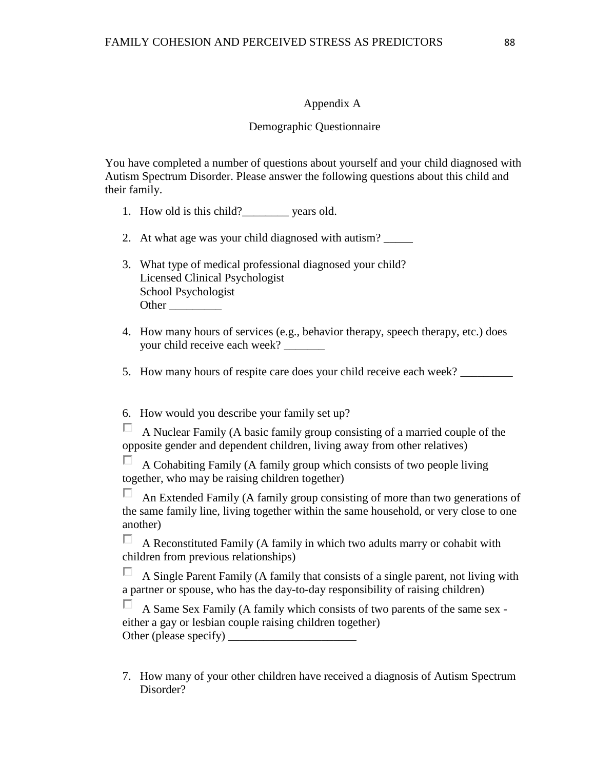# Appendix A

# Demographic Questionnaire

You have completed a number of questions about yourself and your child diagnosed with Autism Spectrum Disorder. Please answer the following questions about this child and their family.

- 1. How old is this child?\_\_\_\_\_\_\_\_ years old.
- 2. At what age was your child diagnosed with autism?
- 3. What type of medical professional diagnosed your child? Licensed Clinical Psychologist School Psychologist Other \_\_\_\_\_\_\_\_\_
- 4. How many hours of services (e.g., behavior therapy, speech therapy, etc.) does your child receive each week?
- 5. How many hours of respite care does your child receive each week?

6. How would you describe your family set up?

П. A Nuclear Family (A basic family group consisting of a married couple of the opposite gender and dependent children, living away from other relatives)

П. A Cohabiting Family (A family group which consists of two people living together, who may be raising children together)

П. An Extended Family (A family group consisting of more than two generations of the same family line, living together within the same household, or very close to one another)

 $\Box$  A Reconstituted Family (A family in which two adults marry or cohabit with children from previous relationships)

П A Single Parent Family (A family that consists of a single parent, not living with a partner or spouse, who has the day-to-day responsibility of raising children)

П A Same Sex Family (A family which consists of two parents of the same sex either a gay or lesbian couple raising children together) Other (please specify) \_\_\_\_\_\_\_\_\_\_\_\_\_\_\_\_\_\_\_\_\_\_

7. How many of your other children have received a diagnosis of Autism Spectrum Disorder?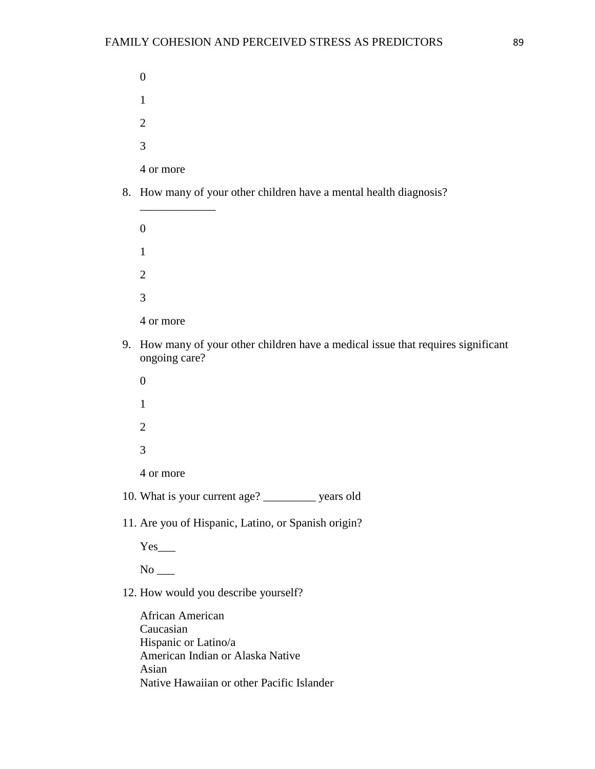8. How many of your other children have a mental health diagnosis?

\_\_\_\_\_\_\_\_\_\_\_\_\_

- 9. How many of your other children have a medical issue that requires significant ongoing care?
	- 0 1 2 3 4 or more
- 10. What is your current age? \_\_\_\_\_\_\_\_\_ years old
- 11. Are you of Hispanic, Latino, or Spanish origin?

 $Yes$ <sub>\_\_\_</sub>

 $No$ <sub>\_\_\_</sub>

12. How would you describe yourself?

African American Caucasian Hispanic or Latino/a American Indian or Alaska Native Asian Native Hawaiian or other Pacific Islander